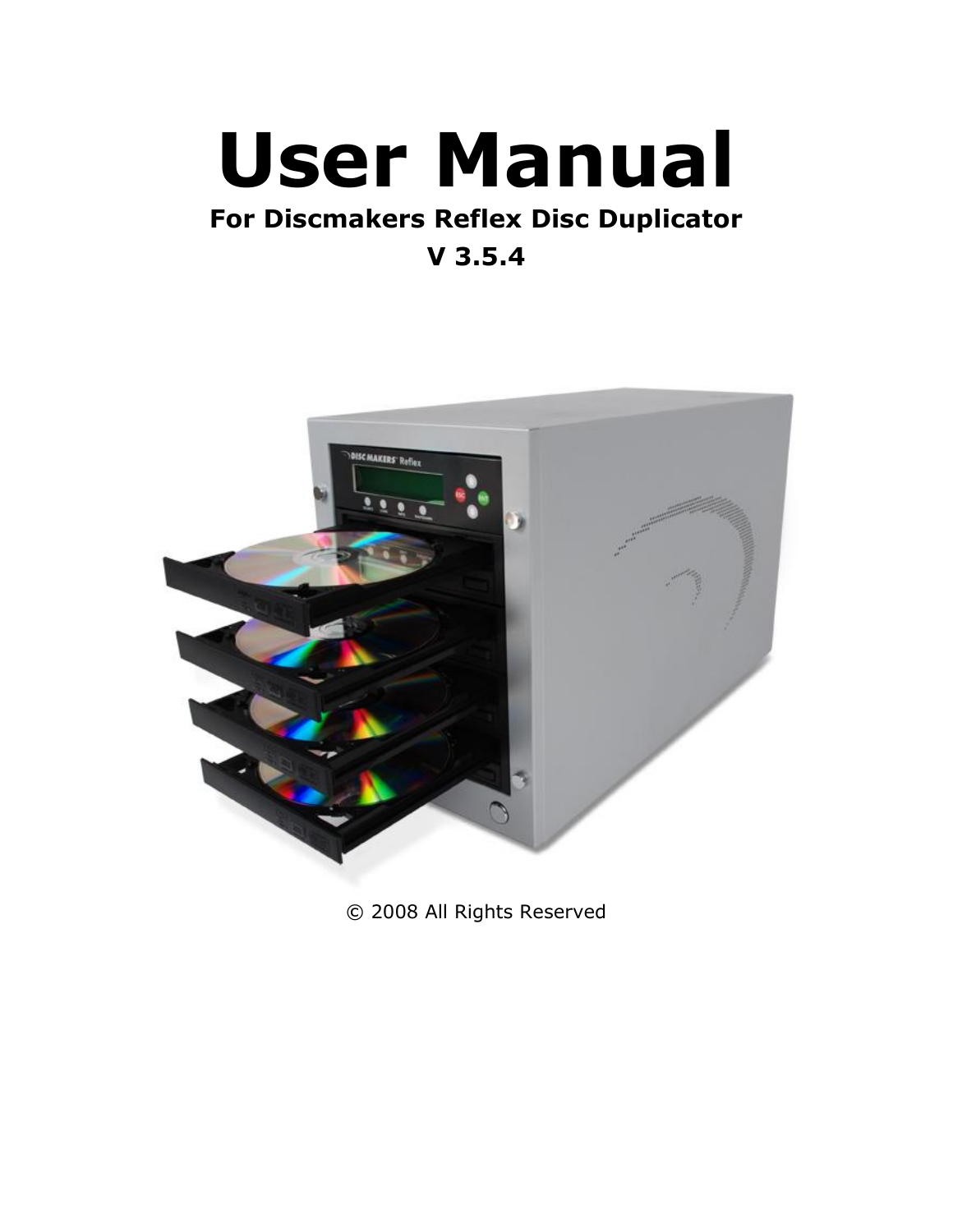# **User Manual**

# **For Discmakers Reflex Disc Duplicator V 3.5.4**



© 2008 All Rights Reserved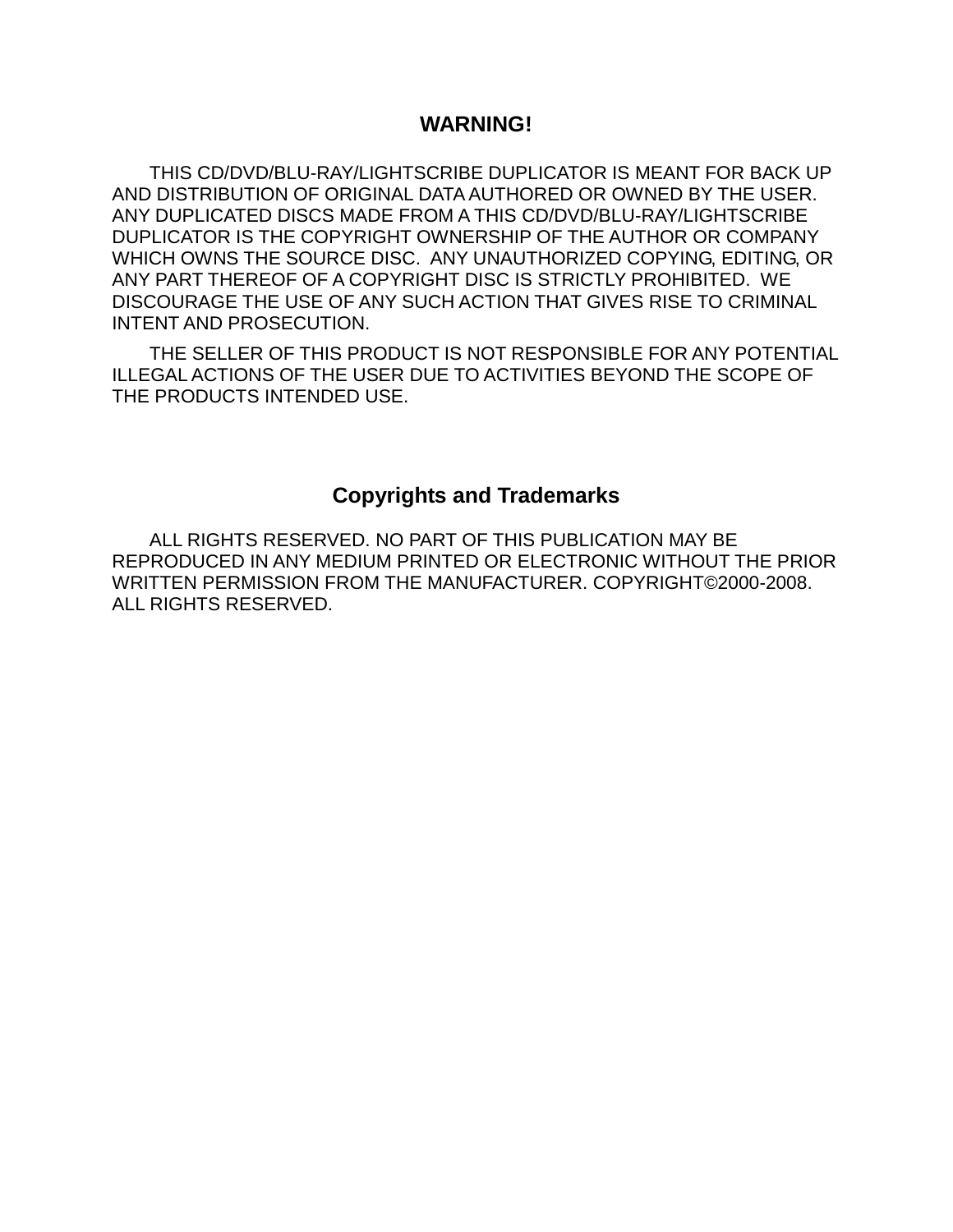# **WARNING!**

THIS CD/DVD/BLU-RAY/LIGHTSCRIBE DUPLICATOR IS MEANT FOR BACK UP AND DISTRIBUTION OF ORIGINAL DATA AUTHORED OR OWNED BY THE USER. ANY DUPLICATED DISCS MADE FROM A THIS CD/DVD/BLU-RAY/LIGHTSCRIBE DUPLICATOR IS THE COPYRIGHT OWNERSHIP OF THE AUTHOR OR COMPANY WHICH OWNS THE SOURCE DISC. ANY UNAUTHORIZED COPYING, EDITING, OR ANY PART THEREOF OF A COPYRIGHT DISC IS STRICTLY PROHIBITED. WE DISCOURAGE THE USE OF ANY SUCH ACTION THAT GIVES RISE TO CRIMINAL INTENT AND PROSECUTION.

THE SELLER OF THIS PRODUCT IS NOT RESPONSIBLE FOR ANY POTENTIAL ILLEGAL ACTIONS OF THE USER DUE TO ACTIVITIES BEYOND THE SCOPE OF THE PRODUCTS INTENDED USE.

# **Copyrights and Trademarks**

ALL RIGHTS RESERVED. NO PART OF THIS PUBLICATION MAY BE REPRODUCED IN ANY MEDIUM PRINTED OR ELECTRONIC WITHOUT THE PRIOR WRITTEN PERMISSION FROM THE MANUFACTURER. COPYRIGHT©2000-2008. ALL RIGHTS RESERVED.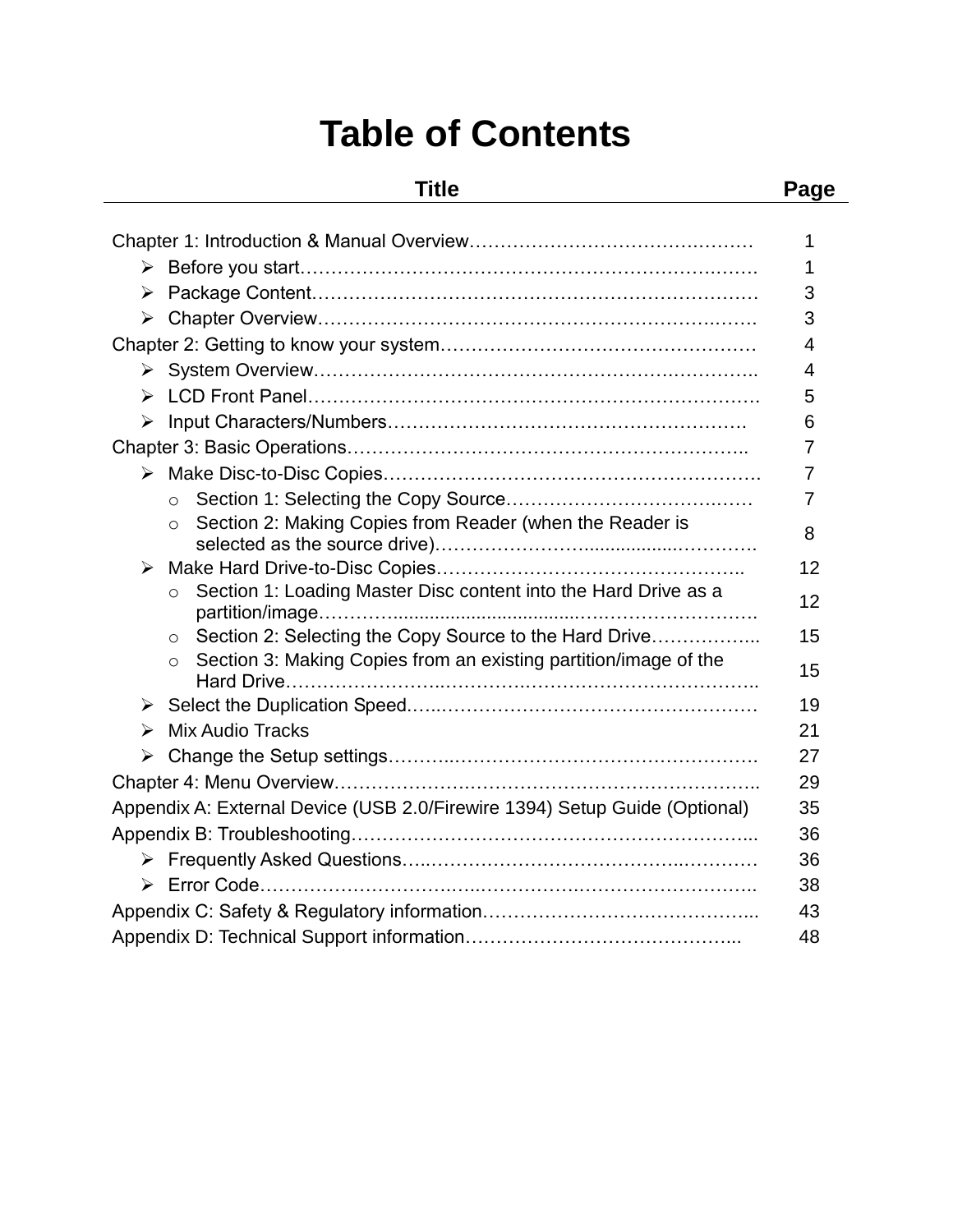# **Table of Contents**

# **Title Page**

|                                                                             | 1              |  |  |
|-----------------------------------------------------------------------------|----------------|--|--|
| 1                                                                           |                |  |  |
| ➤<br>3                                                                      |                |  |  |
| $\blacktriangleright$                                                       | 3              |  |  |
|                                                                             | $\overline{4}$ |  |  |
|                                                                             | 4              |  |  |
| ➤                                                                           | 5              |  |  |
| ➤                                                                           | 6              |  |  |
|                                                                             | 7              |  |  |
|                                                                             | 7              |  |  |
| $\circ$                                                                     | 7              |  |  |
| Section 2: Making Copies from Reader (when the Reader is                    | 8              |  |  |
|                                                                             |                |  |  |
| ➤                                                                           | 12             |  |  |
| Section 1: Loading Master Disc content into the Hard Drive as a<br>$\circ$  | 12             |  |  |
| Section 2: Selecting the Copy Source to the Hard Drive<br>$\circ$           | 15             |  |  |
| Section 3: Making Copies from an existing partition/image of the<br>$\circ$ | 15             |  |  |
| ➤                                                                           | 19             |  |  |
| <b>Mix Audio Tracks</b><br>➤                                                | 21             |  |  |
| ➤                                                                           | 27             |  |  |
|                                                                             | 29             |  |  |
| Appendix A: External Device (USB 2.0/Firewire 1394) Setup Guide (Optional)  | 35             |  |  |
|                                                                             | 36             |  |  |
|                                                                             | 36             |  |  |
| ➤                                                                           | 38             |  |  |
|                                                                             | 43             |  |  |
|                                                                             | 48             |  |  |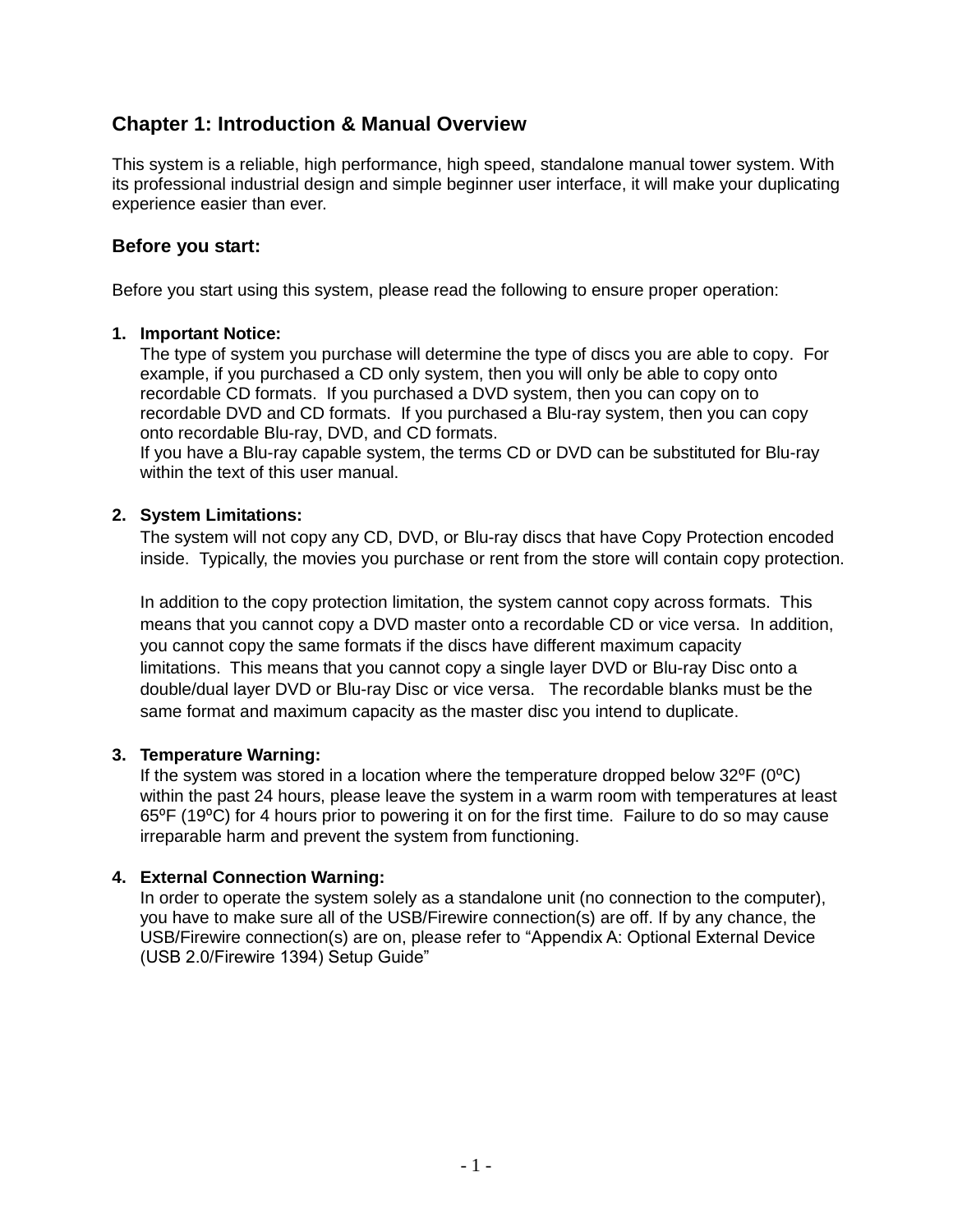# **Chapter 1: Introduction & Manual Overview**

This system is a reliable, high performance, high speed, standalone manual tower system. With its professional industrial design and simple beginner user interface, it will make your duplicating experience easier than ever.

#### **Before you start:**

Before you start using this system, please read the following to ensure proper operation:

#### **1. Important Notice:**

The type of system you purchase will determine the type of discs you are able to copy. For example, if you purchased a CD only system, then you will only be able to copy onto recordable CD formats. If you purchased a DVD system, then you can copy on to recordable DVD and CD formats. If you purchased a Blu-ray system, then you can copy onto recordable Blu-ray, DVD, and CD formats.

If you have a Blu-ray capable system, the terms CD or DVD can be substituted for Blu-ray within the text of this user manual.

#### **2. System Limitations:**

The system will not copy any CD, DVD, or Blu-ray discs that have Copy Protection encoded inside. Typically, the movies you purchase or rent from the store will contain copy protection.

In addition to the copy protection limitation, the system cannot copy across formats. This means that you cannot copy a DVD master onto a recordable CD or vice versa. In addition, you cannot copy the same formats if the discs have different maximum capacity limitations. This means that you cannot copy a single layer DVD or Blu-ray Disc onto a double/dual layer DVD or Blu-ray Disc or vice versa. The recordable blanks must be the same format and maximum capacity as the master disc you intend to duplicate.

#### **3. Temperature Warning:**

If the system was stored in a location where the temperature dropped below  $32^{\circ}F$  (0 $^{\circ}C$ ) within the past 24 hours, please leave the system in a warm room with temperatures at least 65⁰F (19⁰C) for 4 hours prior to powering it on for the first time. Failure to do so may cause irreparable harm and prevent the system from functioning.

#### **4. External Connection Warning:**

In order to operate the system solely as a standalone unit (no connection to the computer), you have to make sure all of the USB/Firewire connection(s) are off. If by any chance, the USB/Firewire connection(s) are on, please refer to "Appendix A: Optional External Device (USB 2.0/Firewire 1394) Setup Guide"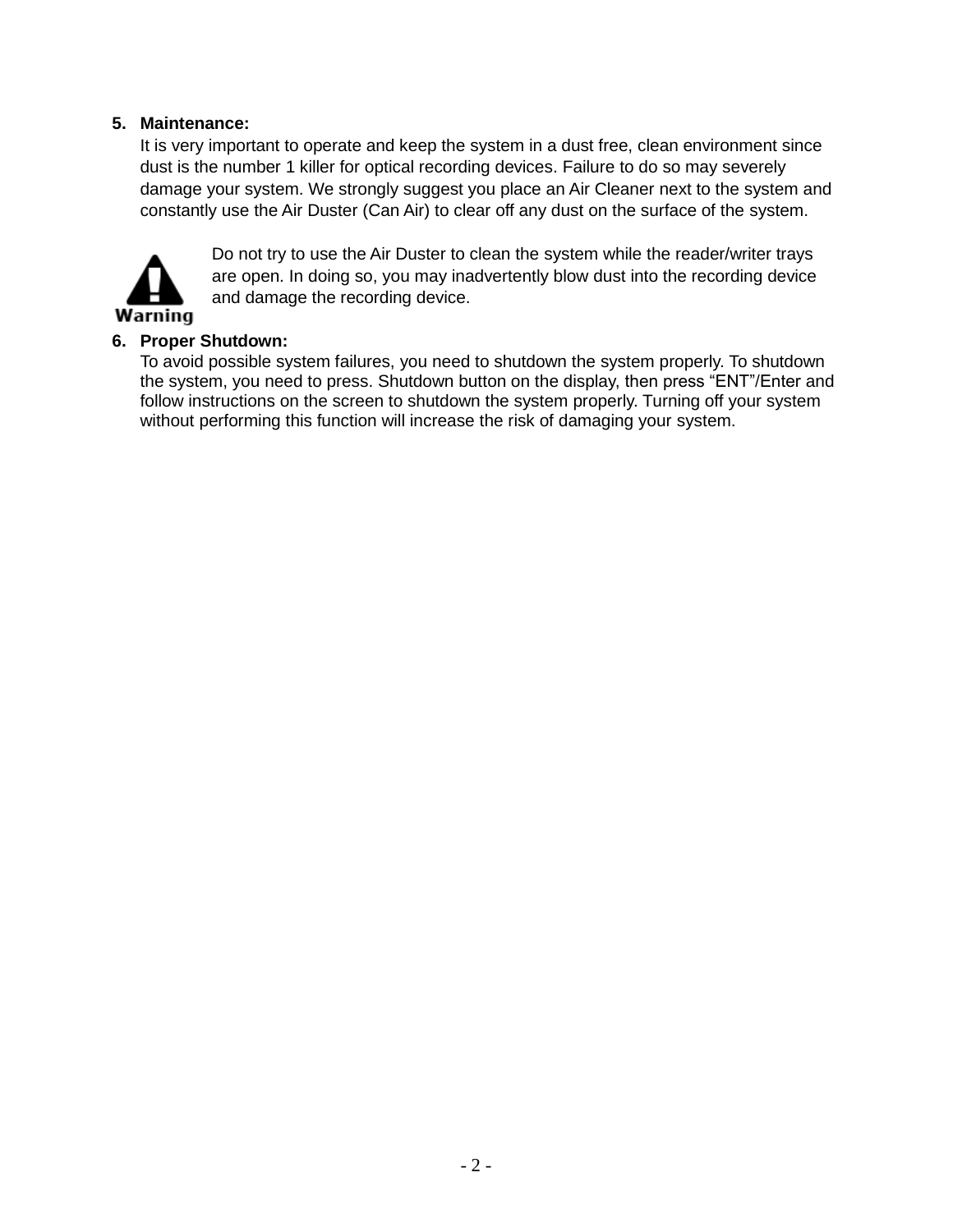#### **5. Maintenance:**

It is very important to operate and keep the system in a dust free, clean environment since dust is the number 1 killer for optical recording devices. Failure to do so may severely damage your system. We strongly suggest you place an Air Cleaner next to the system and constantly use the Air Duster (Can Air) to clear off any dust on the surface of the system.



Do not try to use the Air Duster to clean the system while the reader/writer trays are open. In doing so, you may inadvertently blow dust into the recording device and damage the recording device.

# **6. Proper Shutdown:**

To avoid possible system failures, you need to shutdown the system properly. To shutdown the system, you need to press. Shutdown button on the display, then press "ENT"/Enter and follow instructions on the screen to shutdown the system properly. Turning off your system without performing this function will increase the risk of damaging your system.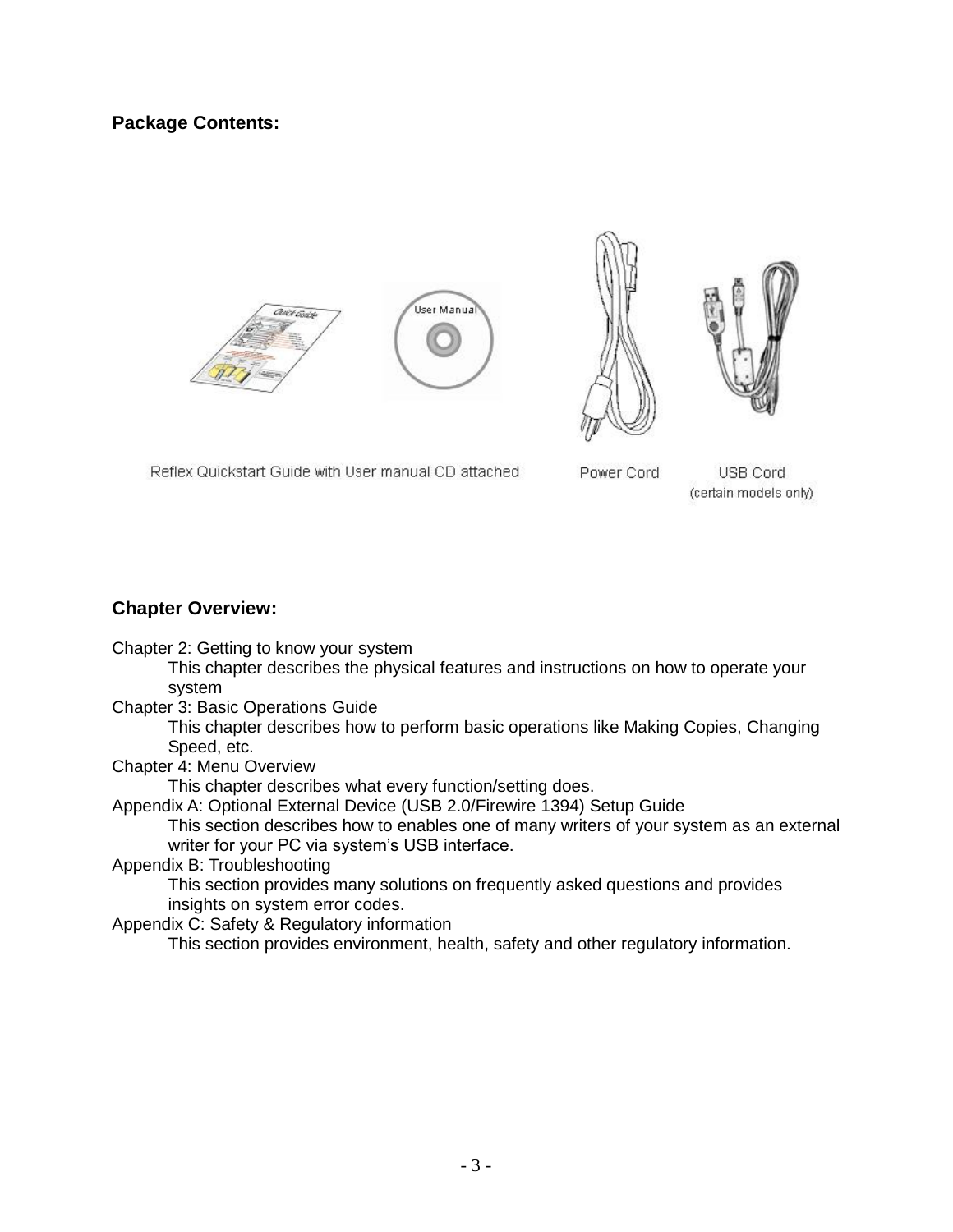# **Package Contents:**









Reflex Quickstart Guide with User manual CD attached

Power Cord

USB Cord (certain models only)

#### **Chapter Overview:**

Chapter 2: Getting to know your system

This chapter describes the physical features and instructions on how to operate your system

Chapter 3: Basic Operations Guide

This chapter describes how to perform basic operations like Making Copies, Changing Speed, etc.

Chapter 4: Menu Overview

This chapter describes what every function/setting does.

Appendix A: Optional External Device (USB 2.0/Firewire 1394) Setup Guide

This section describes how to enables one of many writers of your system as an external writer for your PC via system's USB interface.

Appendix B: Troubleshooting

This section provides many solutions on frequently asked questions and provides insights on system error codes.

Appendix C: Safety & Regulatory information

This section provides environment, health, safety and other regulatory information.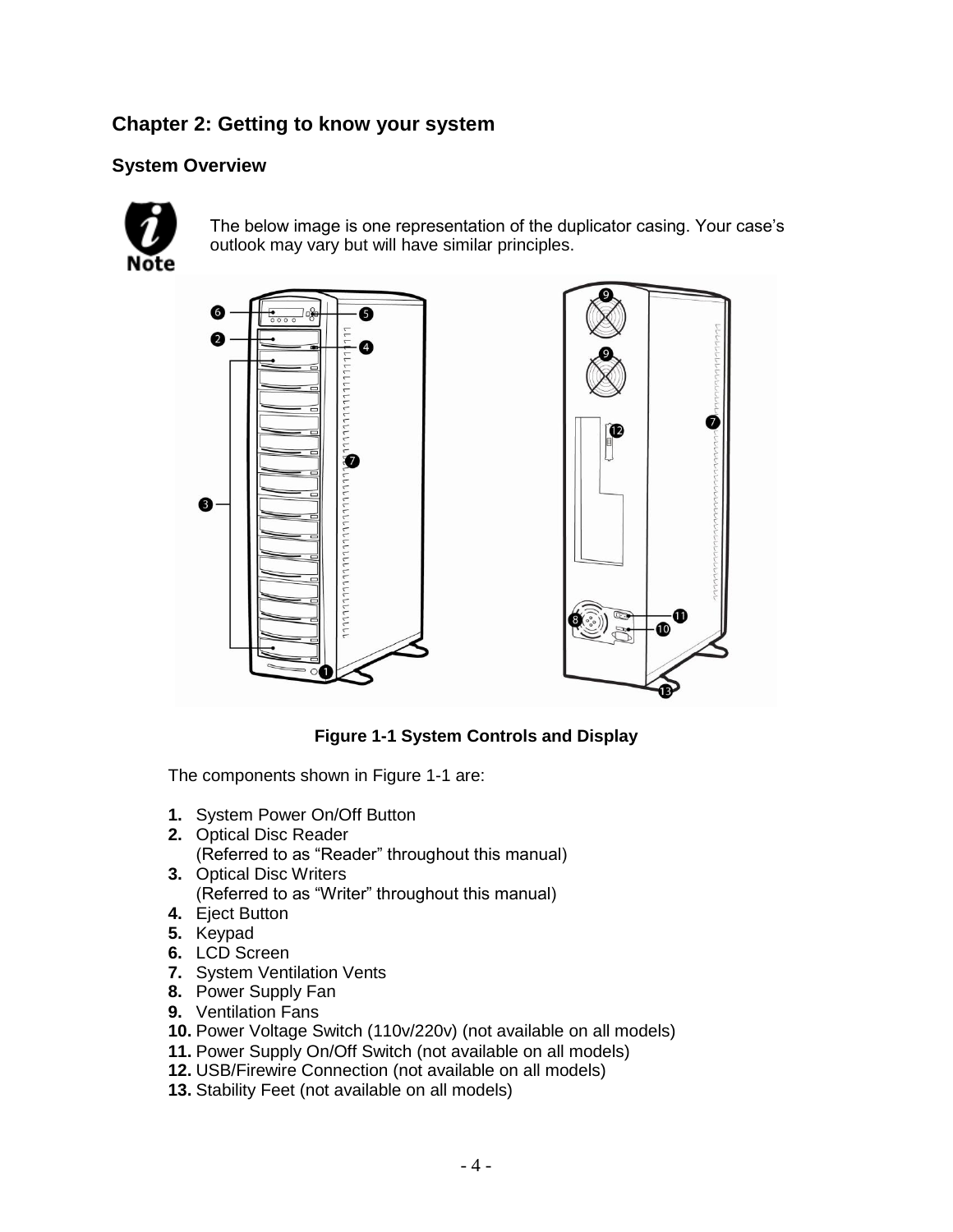# **Chapter 2: Getting to know your system**

# **System Overview**



The below image is one representation of the duplicator casing. Your case's outlook may vary but will have similar principles.





# **Figure 1-1 System Controls and Display**

The components shown in Figure 1-1 are:

- **1.** System Power On/Off Button
- **2.** Optical Disc Reader (Referred to as "Reader" throughout this manual)
- **3.** Optical Disc Writers (Referred to as "Writer" throughout this manual)
- **4.** Eject Button
- **5.** Keypad
- **6.** LCD Screen
- **7.** System Ventilation Vents
- **8.** Power Supply Fan
- **9.** Ventilation Fans
- **10.** Power Voltage Switch (110v/220v) (not available on all models)
- **11.** Power Supply On/Off Switch (not available on all models)
- **12.** USB/Firewire Connection (not available on all models)
- **13.** Stability Feet (not available on all models)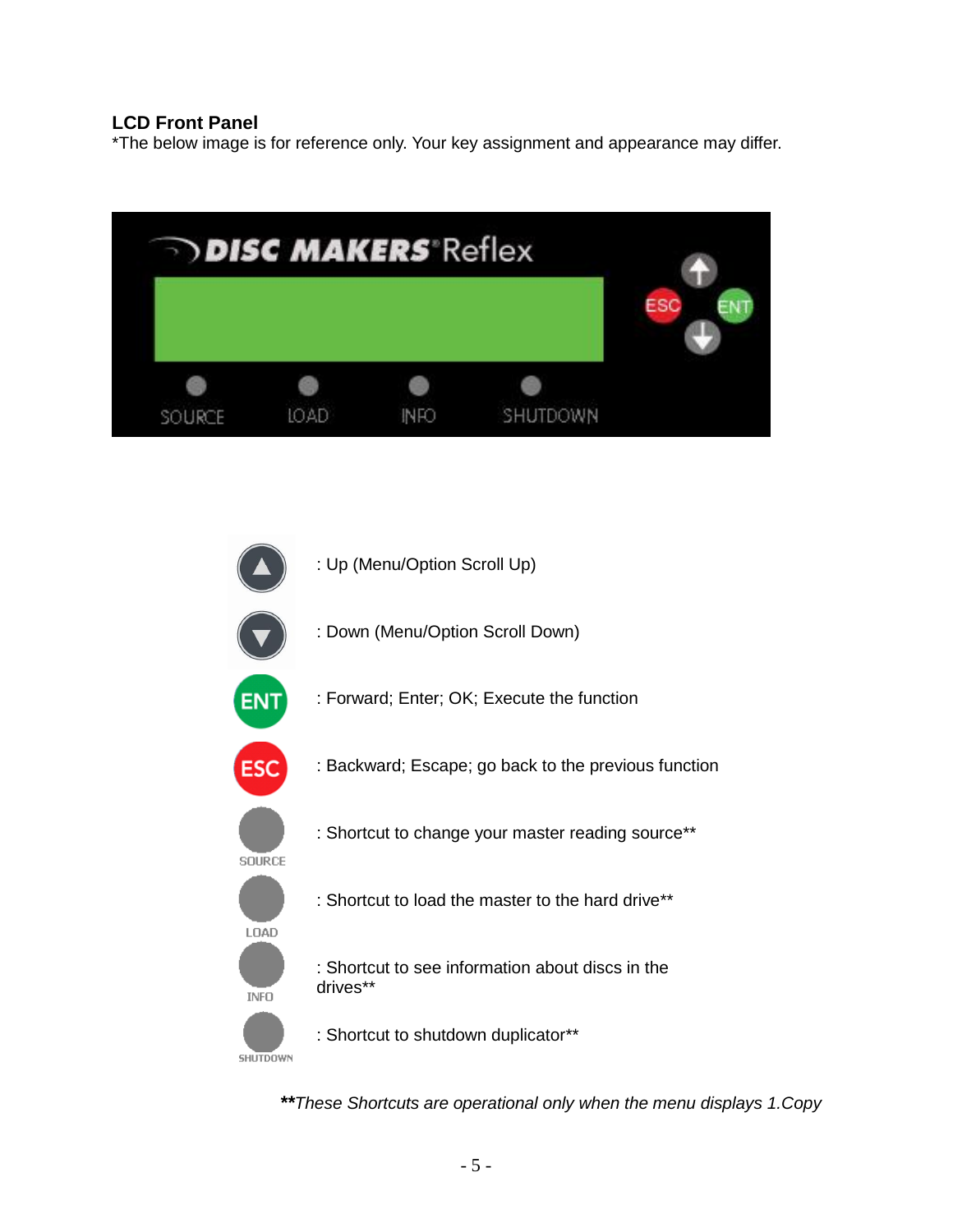# **LCD Front Panel**

\*The below image is for reference only. Your key assignment and appearance may differ.



*\*\*These Shortcuts are operational only when the menu displays 1.Copy*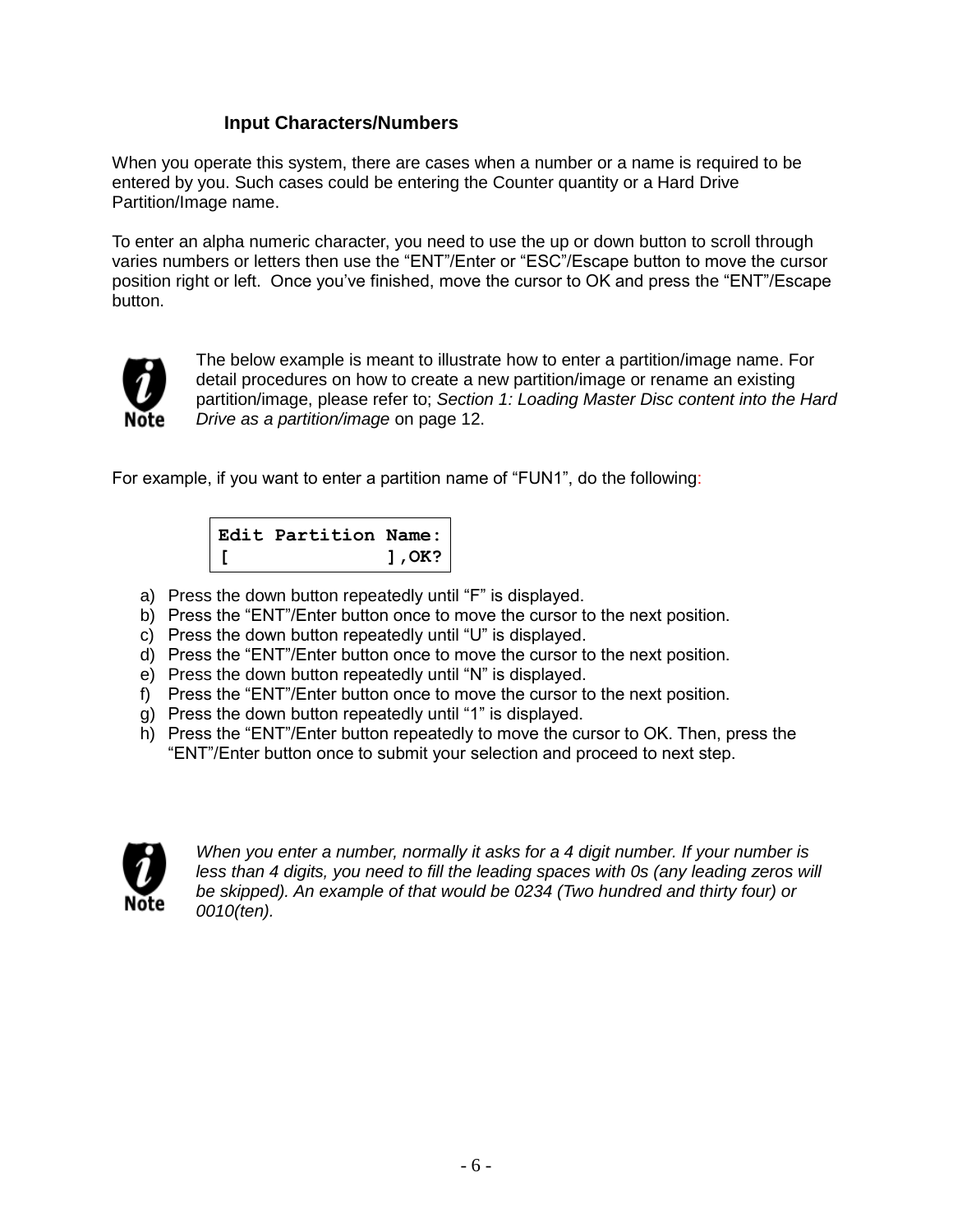# **Input Characters/Numbers**

When you operate this system, there are cases when a number or a name is required to be entered by you. Such cases could be entering the Counter quantity or a Hard Drive Partition/Image name.

To enter an alpha numeric character, you need to use the up or down button to scroll through varies numbers or letters then use the "ENT"/Enter or "ESC"/Escape button to move the cursor position right or left. Once you've finished, move the cursor to OK and press the "ENT"/Escape button.



The below example is meant to illustrate how to enter a partition/image name. For detail procedures on how to create a new partition/image or rename an existing partition/image, please refer to; *Section 1: Loading Master Disc content into the Hard Drive as a partition/image* on page 12.

For example, if you want to enter a partition name of "FUN1", do the following:



- a) Press the down button repeatedly until "F" is displayed.
- b) Press the "ENT"/Enter button once to move the cursor to the next position.
- c) Press the down button repeatedly until "U" is displayed.
- d) Press the "ENT"/Enter button once to move the cursor to the next position.
- e) Press the down button repeatedly until "N" is displayed.
- f) Press the "ENT"/Enter button once to move the cursor to the next position.
- g) Press the down button repeatedly until "1" is displayed.
- h) Press the "ENT"/Enter button repeatedly to move the cursor to OK. Then, press the "ENT"/Enter button once to submit your selection and proceed to next step.



*When you enter a number, normally it asks for a 4 digit number. If your number is*  less than 4 digits, you need to fill the leading spaces with 0s (any leading zeros will *be skipped). An example of that would be 0234 (Two hundred and thirty four) or 0010(ten).*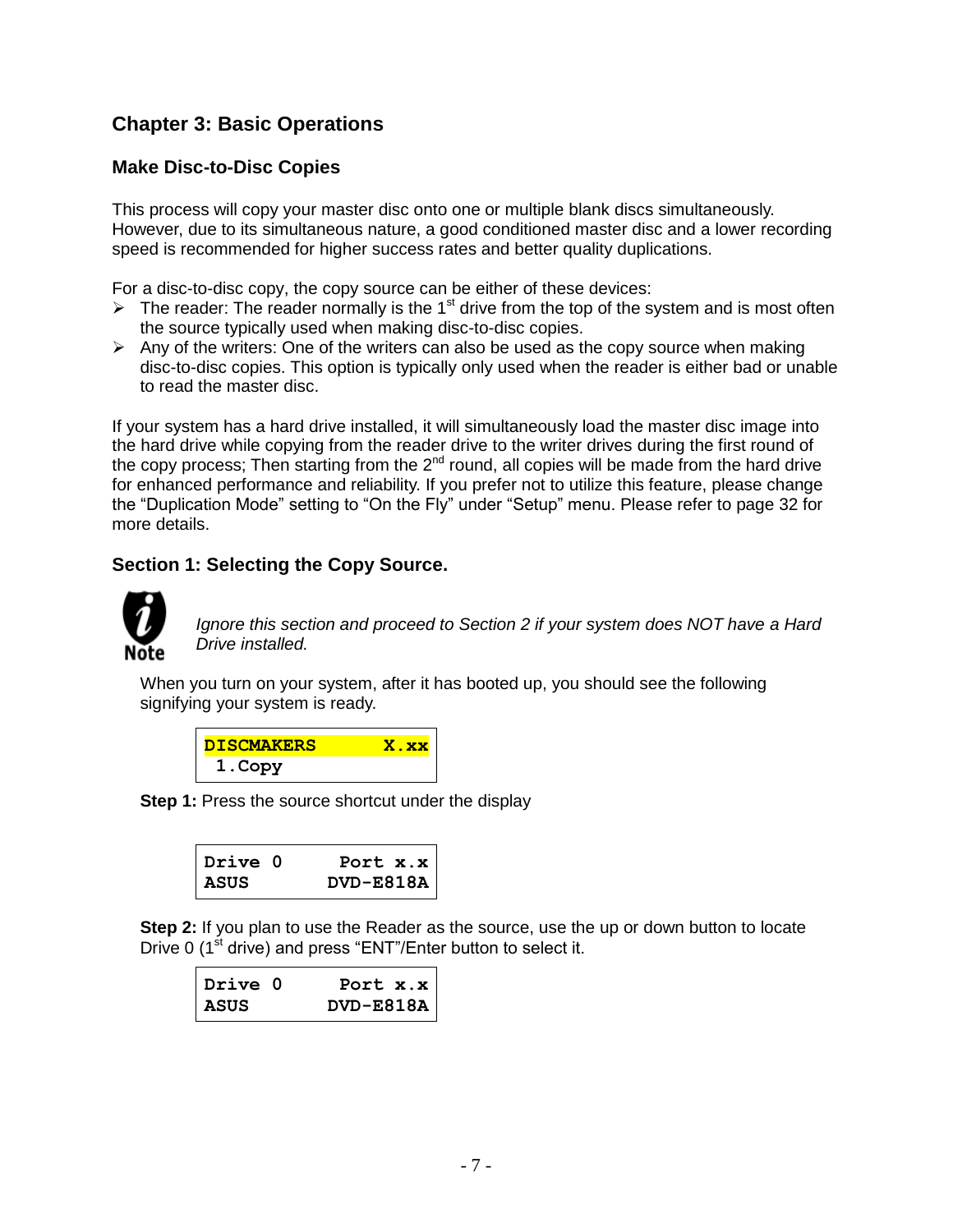# **Chapter 3: Basic Operations**

# **Make Disc-to-Disc Copies**

This process will copy your master disc onto one or multiple blank discs simultaneously. However, due to its simultaneous nature, a good conditioned master disc and a lower recording speed is recommended for higher success rates and better quality duplications.

For a disc-to-disc copy, the copy source can be either of these devices:

- $\triangleright$  The reader: The reader normally is the 1<sup>st</sup> drive from the top of the system and is most often the source typically used when making disc-to-disc copies.
- $\triangleright$  Any of the writers: One of the writers can also be used as the copy source when making disc-to-disc copies. This option is typically only used when the reader is either bad or unable to read the master disc.

If your system has a hard drive installed, it will simultaneously load the master disc image into the hard drive while copying from the reader drive to the writer drives during the first round of the copy process; Then starting from the  $2^{nd}$  round, all copies will be made from the hard drive for enhanced performance and reliability. If you prefer not to utilize this feature, please change the "Duplication Mode" setting to "On the Fly" under "Setup" menu. Please refer to page 32 for more details.

# **Section 1: Selecting the Copy Source.**



*Ignore this section and proceed to Section 2 if your system does NOT have a Hard Drive installed.*

When you turn on your system, after it has booted up, you should see the following signifying your system is ready.

| <b>DISCMAKERS</b> | <u>. XX</u> |
|-------------------|-------------|
| 1. Copy           |             |

**Step 1:** Press the source shortcut under the display

| Drive 0     | Port $x.x$    |
|-------------|---------------|
| <b>ASUS</b> | $DVD - E818A$ |

**Step 2:** If you plan to use the Reader as the source, use the up or down button to locate Drive 0  $(1<sup>st</sup>$  drive) and press "ENT"/Enter button to select it.

| Drive 0     | Port $x.x$    |
|-------------|---------------|
| <b>ASUS</b> | $DVD - E818A$ |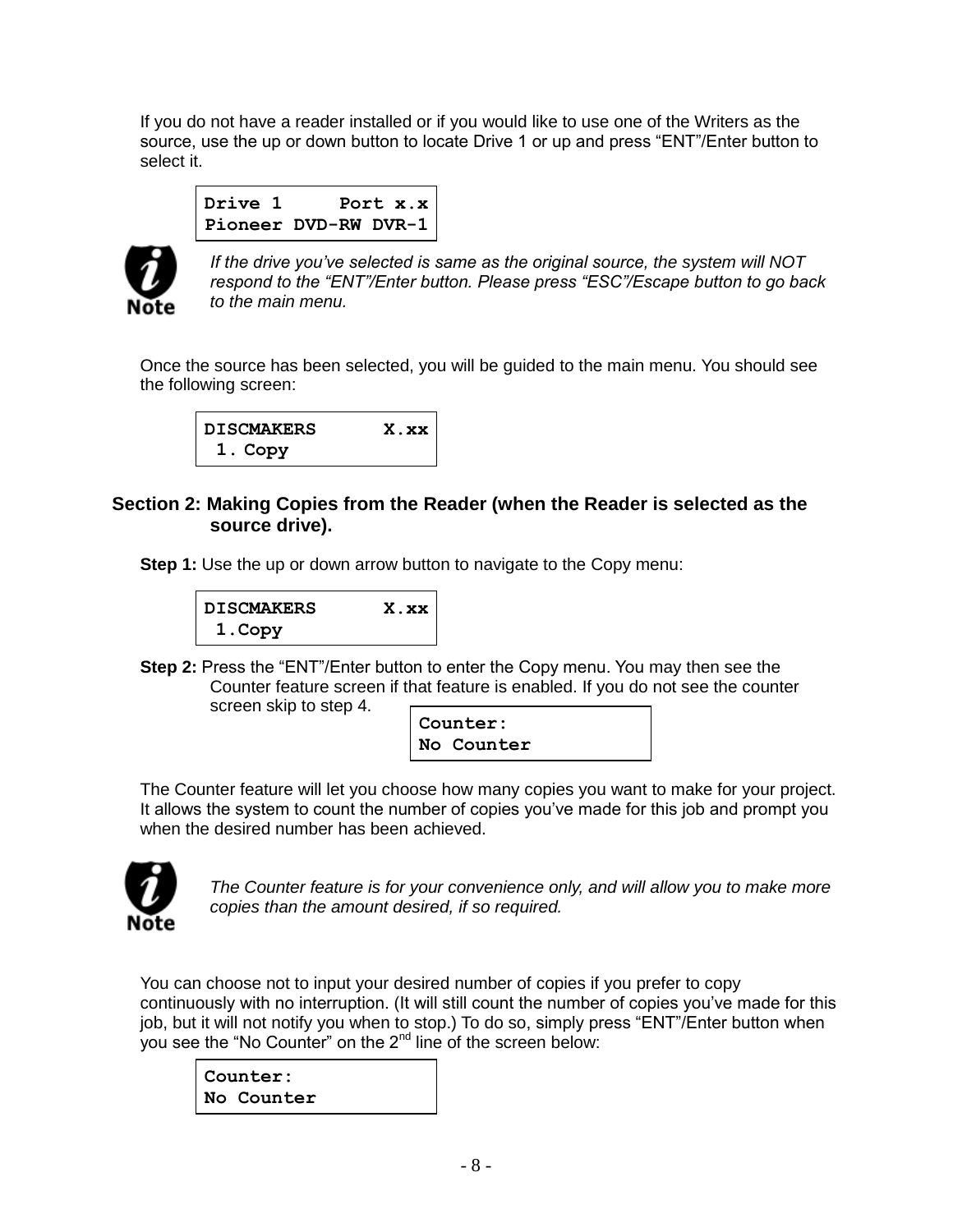If you do not have a reader installed or if you would like to use one of the Writers as the source, use the up or down button to locate Drive 1 or up and press "ENT"/Enter button to select it.

```
Drive 1 Port x.x
Pioneer DVD-RW DVR-1
```


*If the drive you've selected is same as the original source, the system will NOT respond to the "ENT"/Enter button. Please press "ESC"/Escape button to go back to the main menu.*

Once the source has been selected, you will be guided to the main menu. You should see the following screen:



# **Section 2: Making Copies from the Reader (when the Reader is selected as the source drive).**

**Step 1:** Use the up or down arrow button to navigate to the Copy menu:



**Step 2:** Press the "ENT"/Enter button to enter the Copy menu. You may then see the Counter feature screen if that feature is enabled. If you do not see the counter screen skip to step 4.

| Counter:   |  |
|------------|--|
| No Counter |  |

The Counter feature will let you choose how many copies you want to make for your project. It allows the system to count the number of copies you've made for this job and prompt you when the desired number has been achieved.



*The Counter feature is for your convenience only, and will allow you to make more copies than the amount desired, if so required.*

You can choose not to input your desired number of copies if you prefer to copy continuously with no interruption. (It will still count the number of copies you've made for this job, but it will not notify you when to stop.) To do so, simply press "ENT"/Enter button when you see the "No Counter" on the 2<sup>nd</sup> line of the screen below:

**Counter: No Counter**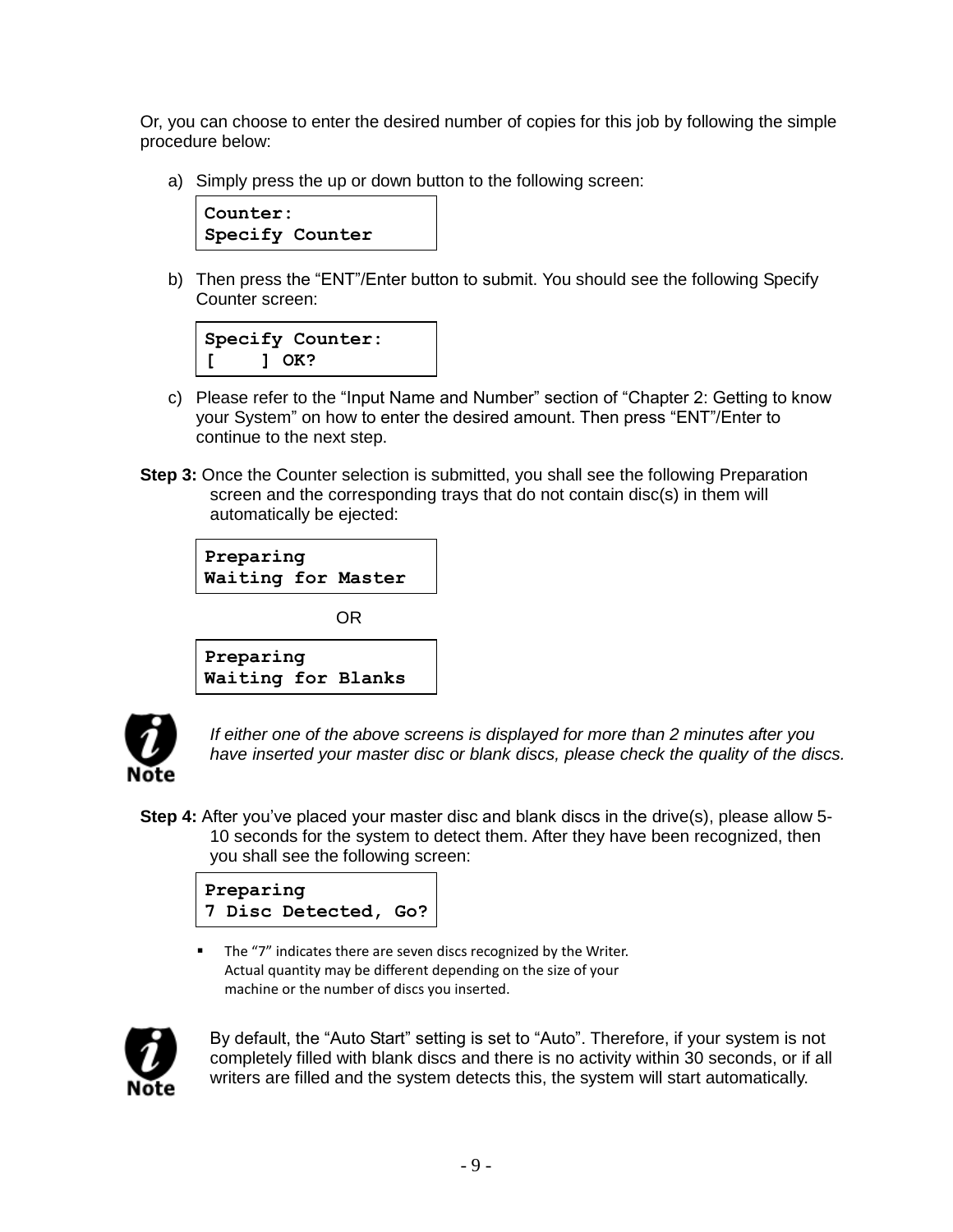Or, you can choose to enter the desired number of copies for this job by following the simple procedure below:

a) Simply press the up or down button to the following screen:



b) Then press the "ENT"/Enter button to submit. You should see the following Specify Counter screen:

| Specify Counter: |  |
|------------------|--|
| 1 OK?            |  |

- c) Please refer to the "Input Name and Number" section of "Chapter 2: Getting to know your System" on how to enter the desired amount. Then press "ENT"/Enter to continue to the next step.
- **Step 3:** Once the Counter selection is submitted, you shall see the following Preparation screen and the corresponding trays that do not contain disc(s) in them will automatically be ejected:





*If either one of the above screens is displayed for more than 2 minutes after you have inserted your master disc or blank discs, please check the quality of the discs.*

**Step 4:** After you've placed your master disc and blank discs in the drive(s), please allow 5- 10 seconds for the system to detect them. After they have been recognized, then you shall see the following screen:



 The "7" indicates there are seven discs recognized by the Writer. Actual quantity may be different depending on the size of your machine or the number of discs you inserted.



By default, the "Auto Start" setting is set to "Auto". Therefore, if your system is not completely filled with blank discs and there is no activity within 30 seconds, or if all writers are filled and the system detects this, the system will start automatically.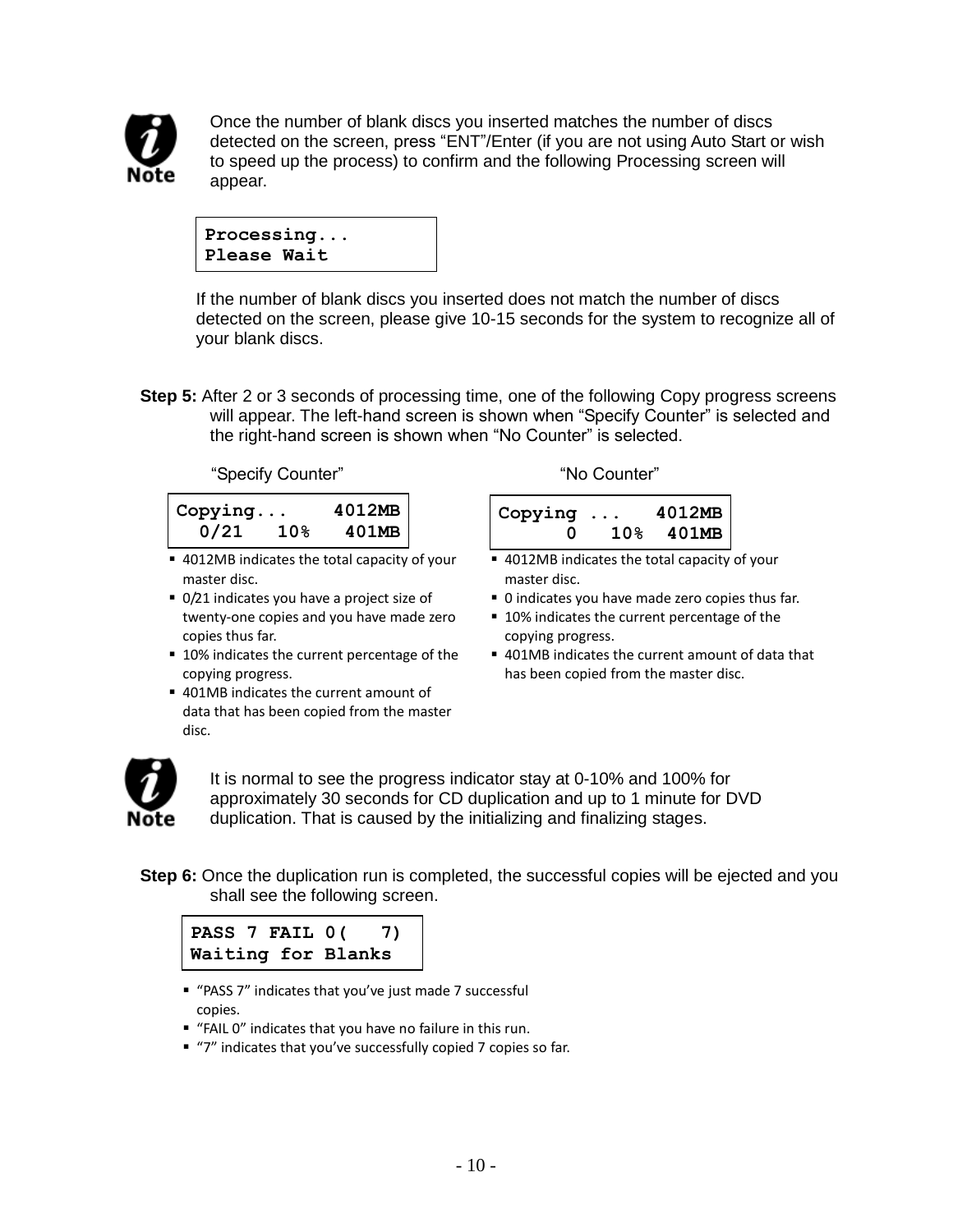

Once the number of blank discs you inserted matches the number of discs detected on the screen, press "ENT"/Enter (if you are not using Auto Start or wish to speed up the process) to confirm and the following Processing screen will appear.

Ī **Processing... Please Wait**

If the number of blank discs you inserted does not match the number of discs detected on the screen, please give 10-15 seconds for the system to recognize all of your blank discs.

**Step 5:** After 2 or 3 seconds of processing time, one of the following Copy progress screens will appear. The left-hand screen is shown when "Specify Counter" is selected and the right-hand screen is shown when "No Counter" is selected.

"Specify Counter" No Counter"

| Copying |                 | 4012MB |
|---------|-----------------|--------|
| 0/21    | 10 <sub>8</sub> | 401MB  |

- 4012MB indicates the total capacity of your master disc.
- 0/21 indicates you have a project size of twenty-one copies and you have made zero copies thus far.
- 10% indicates the current percentage of the copying progress.
- 401MB indicates the current amount of data that has been copied from the master disc.

| Copying      | 4012MB       |
|--------------|--------------|
| $\mathbf{u}$ | $10\%$ 401MB |

- 4012MB indicates the total capacity of your master disc.
- 0 indicates you have made zero copies thus far.
- 10% indicates the current percentage of the copying progress.
- 401MB indicates the current amount of data that has been copied from the master disc.



It is normal to see the progress indicator stay at 0-10% and 100% for approximately 30 seconds for CD duplication and up to 1 minute for DVD duplication. That is caused by the initializing and finalizing stages.

**Step 6:** Once the duplication run is completed, the successful copies will be ejected and you shall see the following screen.



- "PASS 7" indicates that you've just made 7 successful copies.
- "FAIL 0" indicates that you have no failure in this run.
- "7" indicates that you've successfully copied 7 copies so far.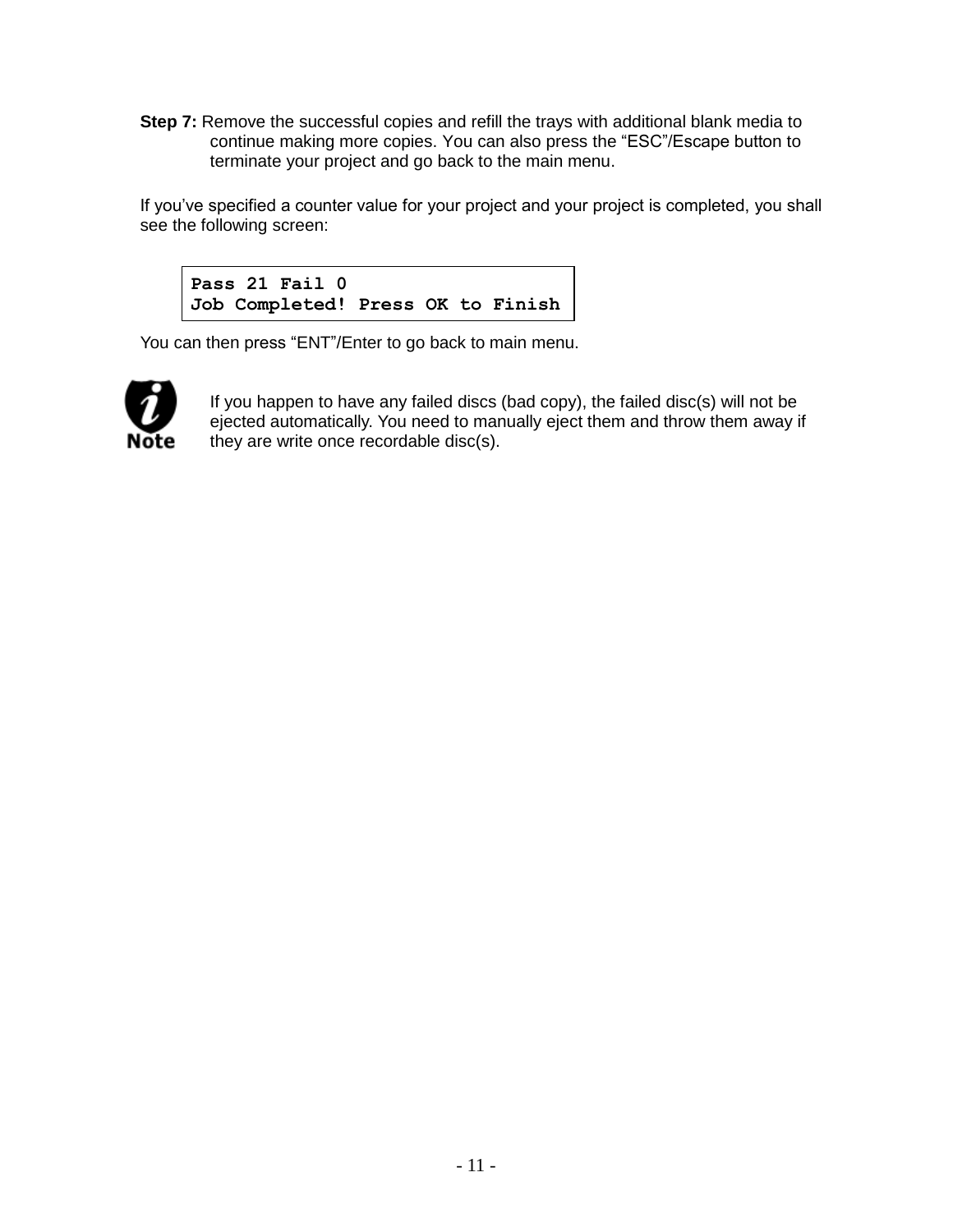**Step 7:** Remove the successful copies and refill the trays with additional blank media to continue making more copies. You can also press the "ESC"/Escape button to terminate your project and go back to the main menu.

If you've specified a counter value for your project and your project is completed, you shall see the following screen:



You can then press "ENT"/Enter to go back to main menu.



If you happen to have any failed discs (bad copy), the failed disc(s) will not be ejected automatically. You need to manually eject them and throw them away if they are write once recordable disc(s).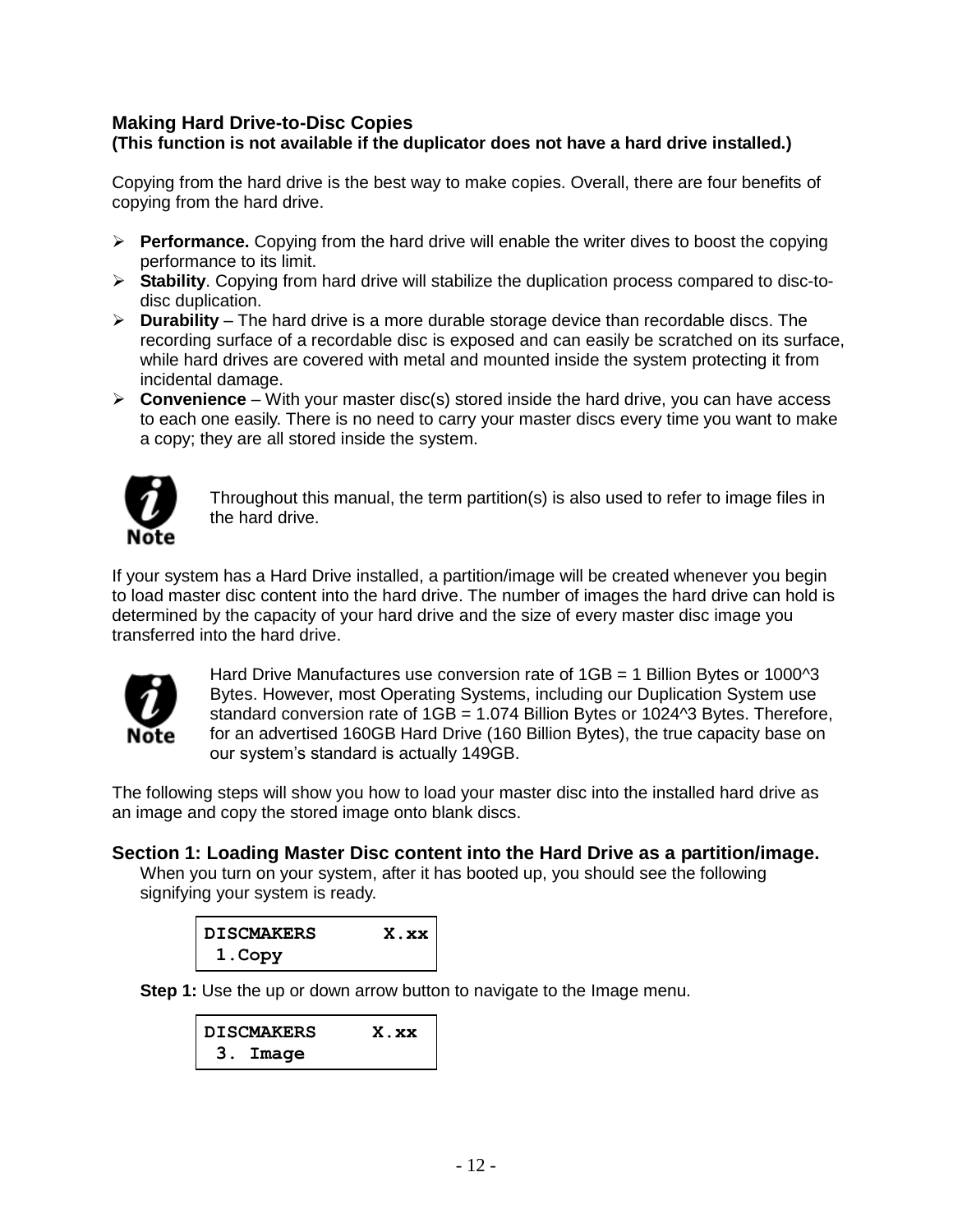#### **Making Hard Drive-to-Disc Copies (This function is not available if the duplicator does not have a hard drive installed.)**

Copying from the hard drive is the best way to make copies. Overall, there are four benefits of copying from the hard drive.

- **Performance.** Copying from the hard drive will enable the writer dives to boost the copying performance to its limit.
- **Stability**. Copying from hard drive will stabilize the duplication process compared to disc-todisc duplication.
- **Durability** The hard drive is a more durable storage device than recordable discs. The recording surface of a recordable disc is exposed and can easily be scratched on its surface, while hard drives are covered with metal and mounted inside the system protecting it from incidental damage.
- $\triangleright$  **Convenience** With your master disc(s) stored inside the hard drive, you can have access to each one easily. There is no need to carry your master discs every time you want to make a copy; they are all stored inside the system.



Throughout this manual, the term partition(s) is also used to refer to image files in the hard drive.

If your system has a Hard Drive installed, a partition/image will be created whenever you begin to load master disc content into the hard drive. The number of images the hard drive can hold is determined by the capacity of your hard drive and the size of every master disc image you transferred into the hard drive.



Hard Drive Manufactures use conversion rate of 1GB = 1 Billion Bytes or 1000<sup>^3</sup> Bytes. However, most Operating Systems, including our Duplication System use standard conversion rate of  $1GB = 1.074$  Billion Bytes or  $1024^3$  Bytes. Therefore, for an advertised 160GB Hard Drive (160 Billion Bytes), the true capacity base on our system's standard is actually 149GB.

The following steps will show you how to load your master disc into the installed hard drive as an image and copy the stored image onto blank discs.

#### **Section 1: Loading Master Disc content into the Hard Drive as a partition/image.**

When you turn on your system, after it has booted up, you should see the following signifying your system is ready.

| DISCMAKERS | X.xx |
|------------|------|
| 1.Copy     |      |

**Step 1:** Use the up or down arrow button to navigate to the Image menu.

| DISCMAKERS | X.xx |
|------------|------|
| 3. Image   |      |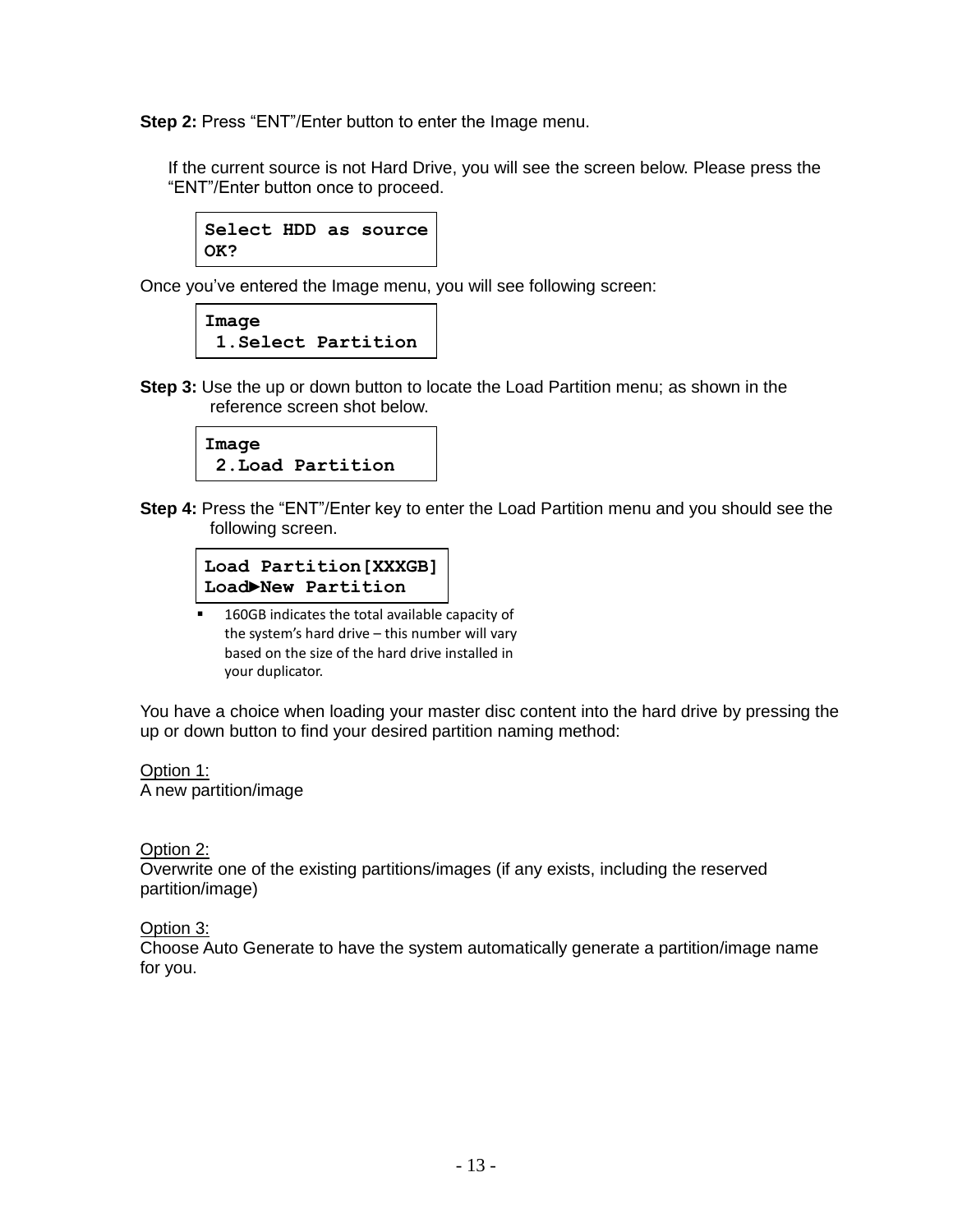**Step 2:** Press "ENT"/Enter button to enter the Image menu.

If the current source is not Hard Drive, you will see the screen below. Please press the "ENT"/Enter button once to proceed.

**Select HDD as source OK?**

Once you've entered the Image menu, you will see following screen:

| Image |                     |
|-------|---------------------|
|       | 1. Select Partition |

**Step 3:** Use the up or down button to locate the Load Partition menu; as shown in the reference screen shot below.

| Image |                   |
|-------|-------------------|
|       | 2. Load Partition |

**Step 4:** Press the "ENT"/Enter key to enter the Load Partition menu and you should see the following screen.

|  | Load Partition [XXXGB] |
|--|------------------------|
|  | Load New Partition     |

■ 160GB indicates the total available capacity of the system's hard drive – this number will vary based on the size of the hard drive installed in your duplicator.

You have a choice when loading your master disc content into the hard drive by pressing the up or down button to find your desired partition naming method:

Option 1: A new partition/image

#### Option 2:

Overwrite one of the existing partitions/images (if any exists, including the reserved partition/image)

Option 3:

Choose Auto Generate to have the system automatically generate a partition/image name for you.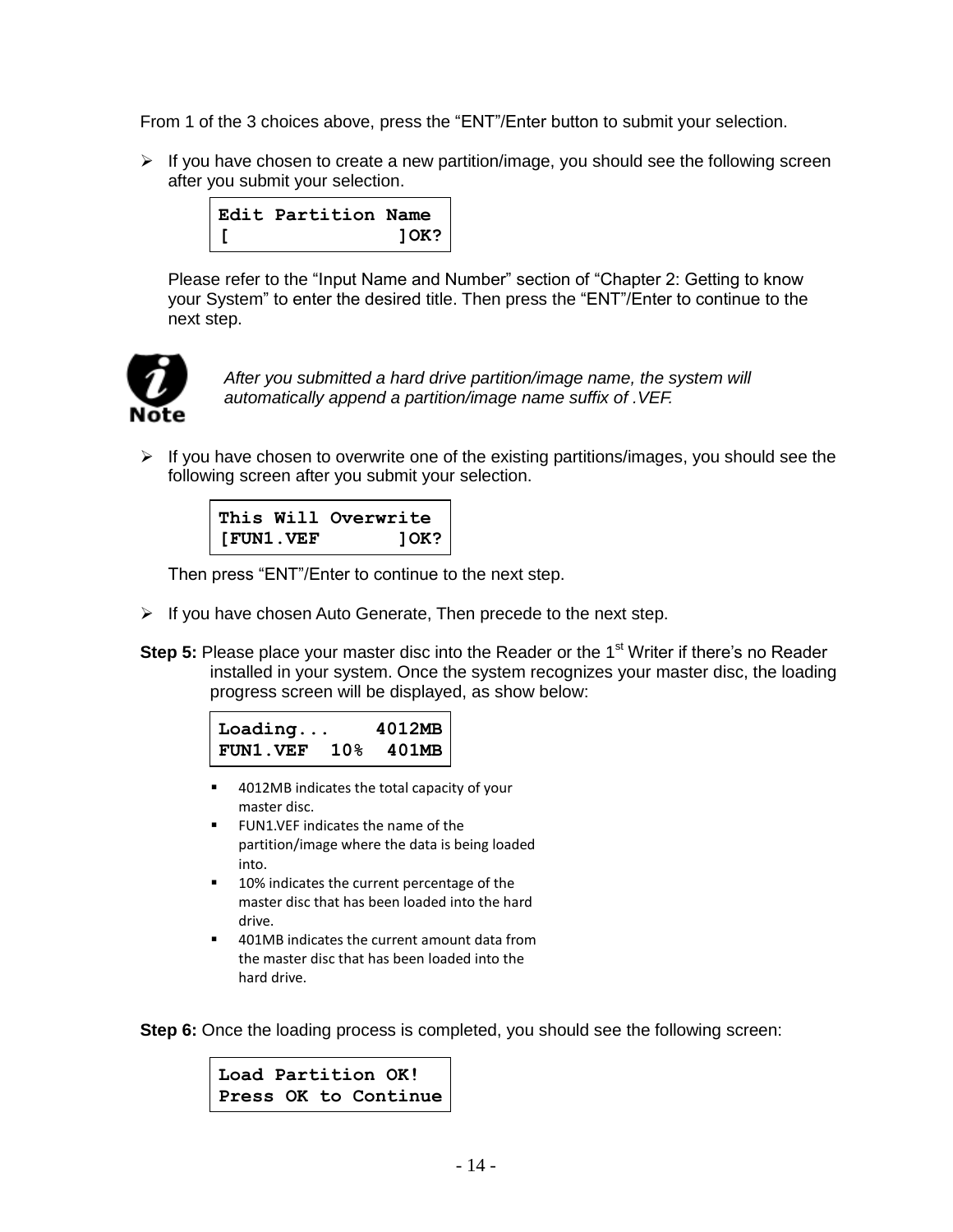From 1 of the 3 choices above, press the "ENT"/Enter button to submit your selection.

 $\triangleright$  If you have chosen to create a new partition/image, you should see the following screen after you submit your selection.



Please refer to the "Input Name and Number" section of "Chapter 2: Getting to know your System" to enter the desired title. Then press the "ENT"/Enter to continue to the next step.



*After you submitted a hard drive partition/image name, the system will automatically append a partition/image name suffix of .VEF.* 

 $\triangleright$  If you have chosen to overwrite one of the existing partitions/images, you should see the following screen after you submit your selection.



Then press "ENT"/Enter to continue to the next step.

- $\triangleright$  If you have chosen Auto Generate, Then precede to the next step.
- **Step 5:** Please place your master disc into the Reader or the 1<sup>st</sup> Writer if there's no Reader installed in your system. Once the system recognizes your master disc, the loading progress screen will be displayed, as show below:

| $\texttt{loading}$  |  | 4012MB |
|---------------------|--|--------|
| FUN1. VEF 10% 401MB |  |        |

- 4012MB indicates the total capacity of your master disc.
- FUN1.VEF indicates the name of the partition/image where the data is being loaded into.
- 10% indicates the current percentage of the master disc that has been loaded into the hard drive.
- 401MB indicates the current amount data from the master disc that has been loaded into the hard drive.

**Step 6:** Once the loading process is completed, you should see the following screen:

**Load Partition OK! Press OK to Continue**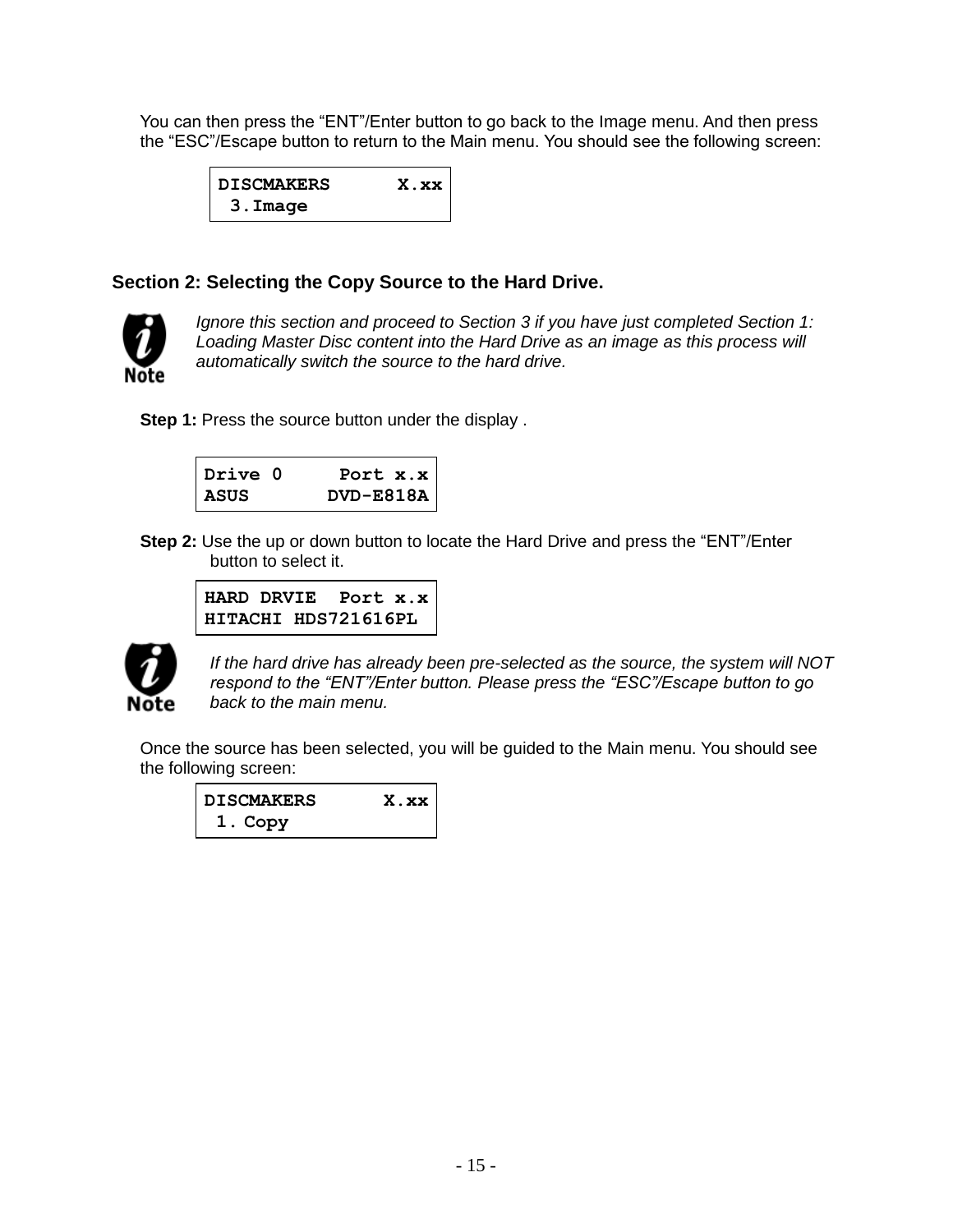You can then press the "ENT"/Enter button to go back to the Image menu. And then press the "ESC"/Escape button to return to the Main menu. You should see the following screen:

| <b>DISCMAKERS</b> | $X$ . $XX$ |
|-------------------|------------|
| 3.Image           |            |

#### **Section 2: Selecting the Copy Source to the Hard Drive.**



*Ignore this section and proceed to Section 3 if you have just completed Section 1: Loading Master Disc content into the Hard Drive as an image as this process will automatically switch the source to the hard drive.*

**Step 1:** Press the source button under the display.

| Drive O | Port $x.x$    |
|---------|---------------|
| ASUS    | $DVD - E818A$ |

**Step 2:** Use the up or down button to locate the Hard Drive and press the "ENT"/Enter button to select it.

```
HARD DRVIE Port x.x
HITACHI HDS721616PL
```


*If the hard drive has already been pre-selected as the source, the system will NOT respond to the "ENT"/Enter button. Please press the "ESC"/Escape button to go back to the main menu.*

Once the source has been selected, you will be guided to the Main menu. You should see the following screen:

| DISCMAKERS | X.xx |
|------------|------|
| 1. Copy    |      |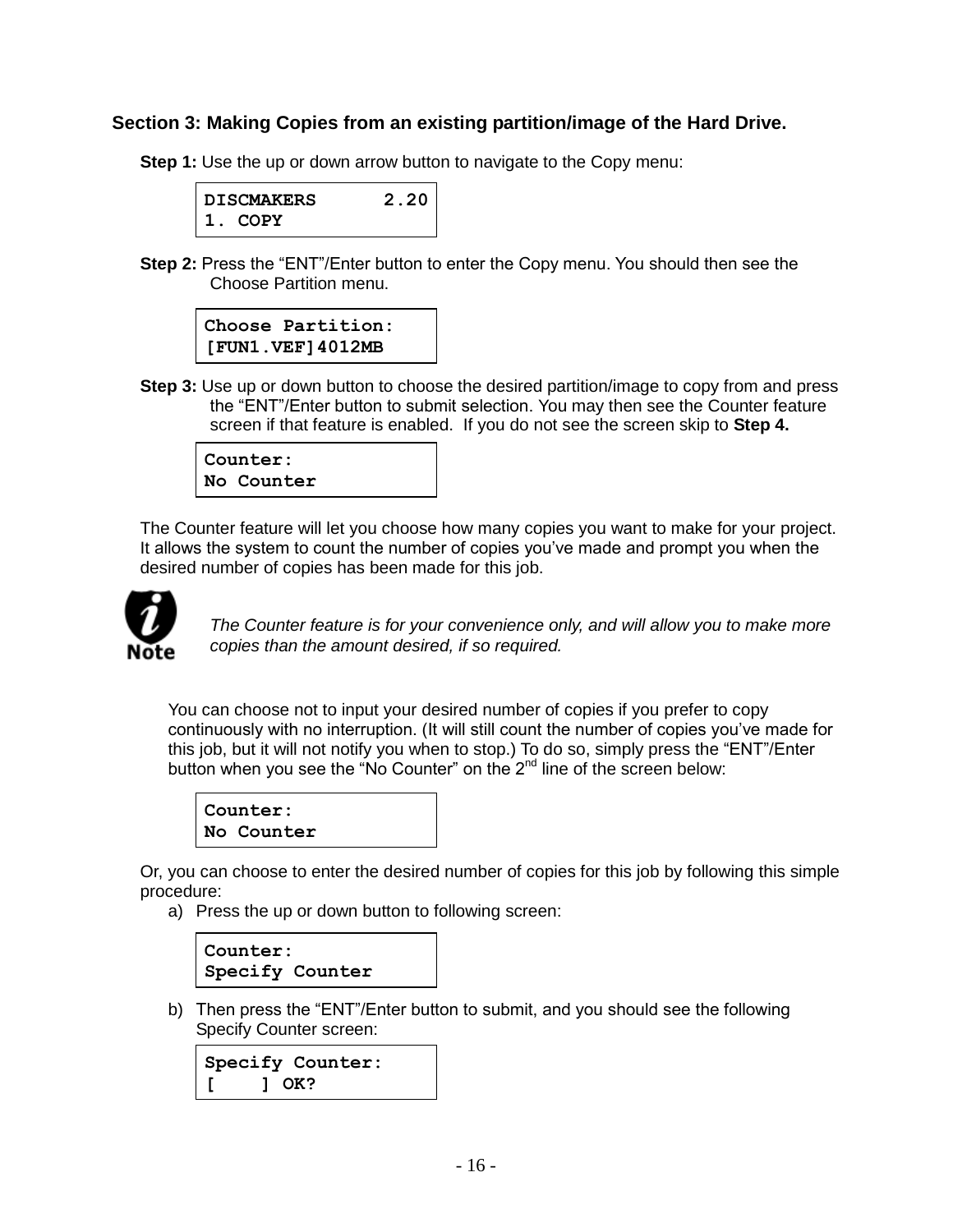#### **Section 3: Making Copies from an existing partition/image of the Hard Drive.**

**Step 1:** Use the up or down arrow button to navigate to the Copy menu:



**Step 2:** Press the "ENT"/Enter button to enter the Copy menu. You should then see the Choose Partition menu.



**Step 3:** Use up or down button to choose the desired partition/image to copy from and press the "ENT"/Enter button to submit selection. You may then see the Counter feature screen if that feature is enabled. If you do not see the screen skip to **Step 4.**

**Counter: No Counter**

The Counter feature will let you choose how many copies you want to make for your project. It allows the system to count the number of copies you've made and prompt you when the desired number of copies has been made for this job.



*The Counter feature is for your convenience only, and will allow you to make more copies than the amount desired, if so required.*

You can choose not to input your desired number of copies if you prefer to copy continuously with no interruption. (It will still count the number of copies you've made for this job, but it will not notify you when to stop.) To do so, simply press the "ENT"/Enter button when you see the "No Counter" on the  $2<sup>nd</sup>$  line of the screen below:



Or, you can choose to enter the desired number of copies for this job by following this simple procedure:

a) Press the up or down button to following screen:



b) Then press the "ENT"/Enter button to submit, and you should see the following Specify Counter screen:

```
Specify Counter:
[ ] OK?
```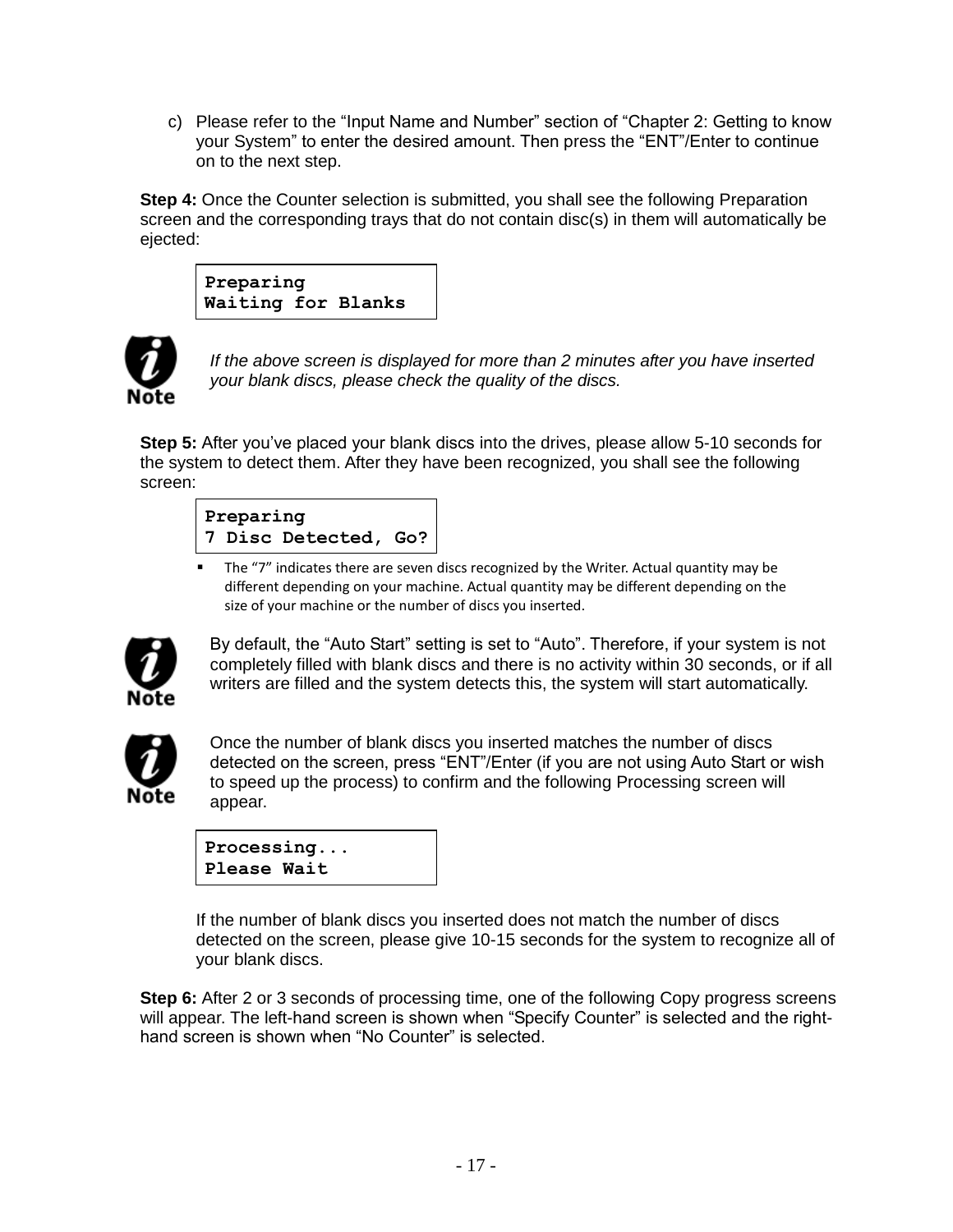c) Please refer to the "Input Name and Number" section of "Chapter 2: Getting to know your System" to enter the desired amount. Then press the "ENT"/Enter to continue on to the next step.

**Step 4:** Once the Counter selection is submitted, you shall see the following Preparation screen and the corresponding trays that do not contain disc(s) in them will automatically be ejected:

**Preparing Waiting for Blanks**



*If the above screen is displayed for more than 2 minutes after you have inserted your blank discs, please check the quality of the discs.*

**Step 5:** After you've placed your blank discs into the drives, please allow 5-10 seconds for the system to detect them. After they have been recognized, you shall see the following screen:

# **Preparing 7 Disc Detected, Go?**

 The "7" indicates there are seven discs recognized by the Writer. Actual quantity may be different depending on your machine. Actual quantity may be different depending on the size of your machine or the number of discs you inserted.



By default, the "Auto Start" setting is set to "Auto". Therefore, if your system is not completely filled with blank discs and there is no activity within 30 seconds, or if all writers are filled and the system detects this, the system will start automatically.



Once the number of blank discs you inserted matches the number of discs detected on the screen, press "ENT"/Enter (if you are not using Auto Start or wish to speed up the process) to confirm and the following Processing screen will appear.

| Processing  |  |
|-------------|--|
| Please Wait |  |

If the number of blank discs you inserted does not match the number of discs detected on the screen, please give 10-15 seconds for the system to recognize all of your blank discs.

**Step 6:** After 2 or 3 seconds of processing time, one of the following Copy progress screens will appear. The left-hand screen is shown when "Specify Counter" is selected and the righthand screen is shown when "No Counter" is selected.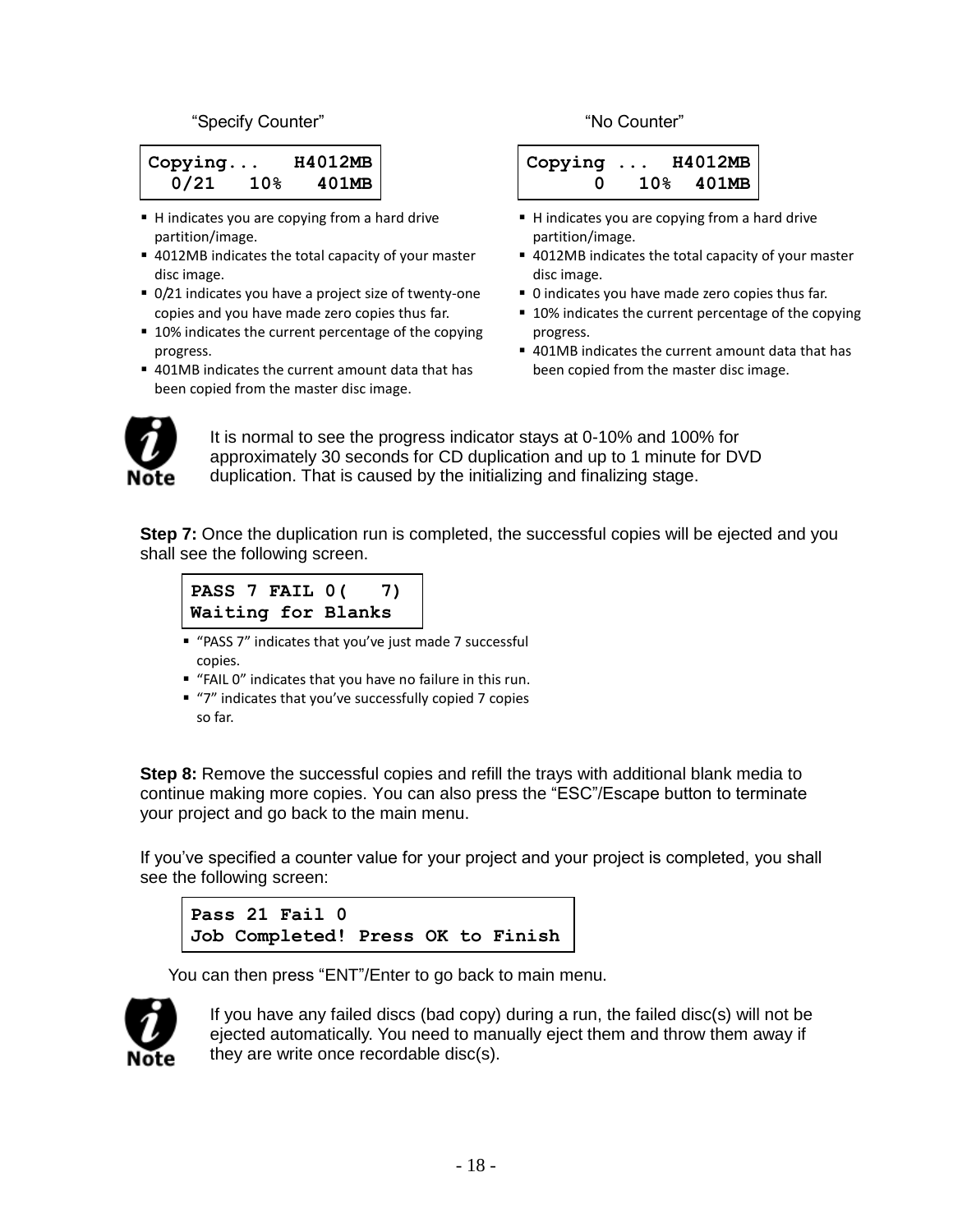#### "Specify Counter" "No Counter"

| $\vert$ Copying |                 | H4012MB |
|-----------------|-----------------|---------|
| 0/21            | 10 <sub>8</sub> | 401MB   |

- H indicates you are copying from a hard drive partition/image.
- 4012MB indicates the total capacity of your master disc image.
- 0/21 indicates you have a project size of twenty-one copies and you have made zero copies thus far.
- 10% indicates the current percentage of the copying progress.
- 401MB indicates the current amount data that has been copied from the master disc image.

```
Copying ... H4012MB
      0 10% 401MB
```
- H indicates you are copying from a hard drive partition/image.
- 4012MB indicates the total capacity of your master disc image.
- 0 indicates you have made zero copies thus far.
- 10% indicates the current percentage of the copying progress.
- 401MB indicates the current amount data that has been copied from the master disc image.



It is normal to see the progress indicator stays at 0-10% and 100% for approximately 30 seconds for CD duplication and up to 1 minute for DVD duplication. That is caused by the initializing and finalizing stage.

**Step 7:** Once the duplication run is completed, the successful copies will be ejected and you shall see the following screen.

```
PASS 7 FAIL 0( 7)
Waiting for Blanks
```
- "PASS 7" indicates that you've just made 7 successful copies.
- "FAIL 0" indicates that you have no failure in this run.
- "7" indicates that you've successfully copied 7 copies so far.

**Step 8:** Remove the successful copies and refill the trays with additional blank media to continue making more copies. You can also press the "ESC"/Escape button to terminate your project and go back to the main menu.

If you've specified a counter value for your project and your project is completed, you shall see the following screen:

```
Pass 21 Fail 0
Job Completed! Press OK to Finish
```
You can then press "ENT"/Enter to go back to main menu.



If you have any failed discs (bad copy) during a run, the failed disc(s) will not be ejected automatically. You need to manually eject them and throw them away if they are write once recordable disc(s).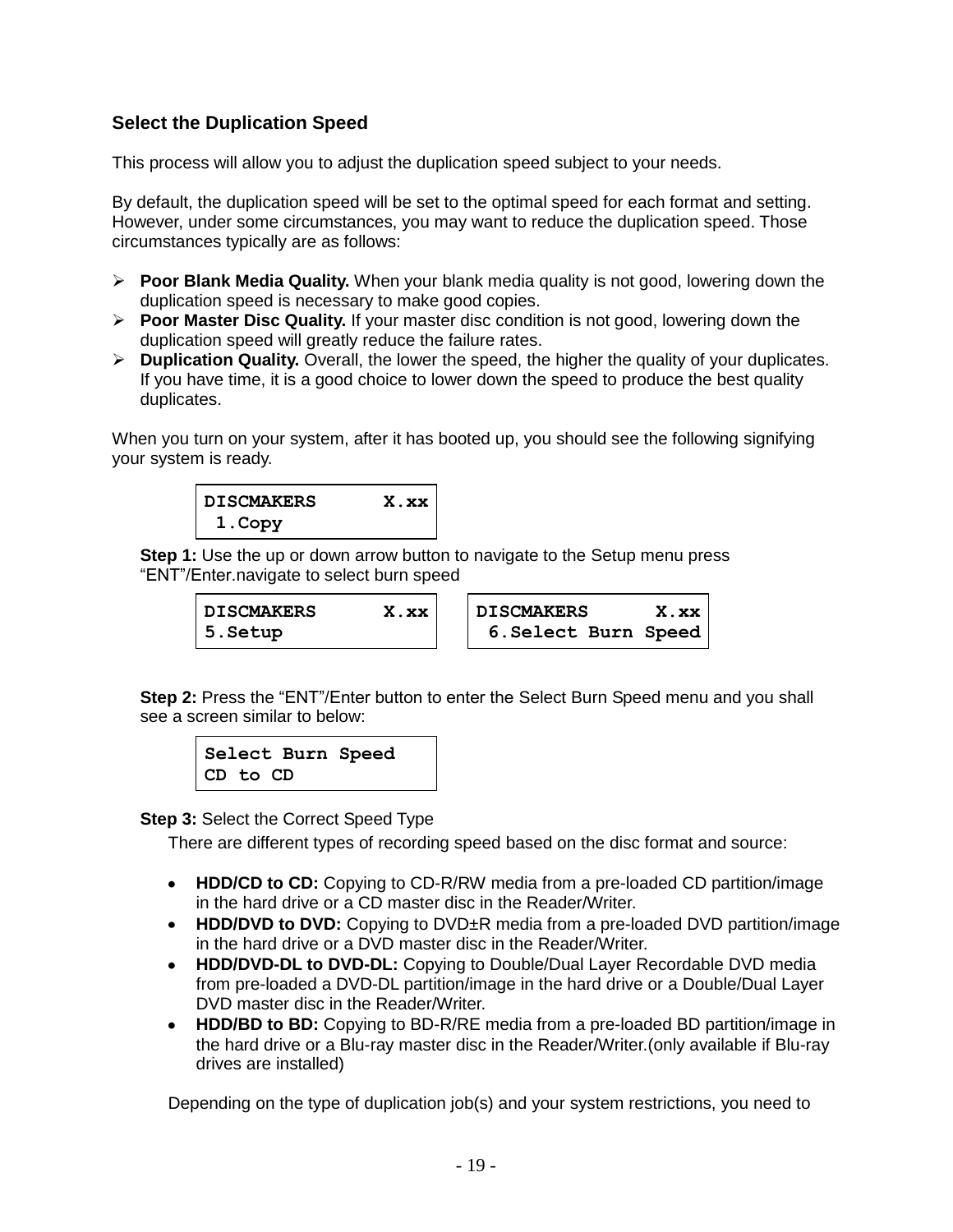# **Select the Duplication Speed**

This process will allow you to adjust the duplication speed subject to your needs.

By default, the duplication speed will be set to the optimal speed for each format and setting. However, under some circumstances, you may want to reduce the duplication speed. Those circumstances typically are as follows:

- **Poor Blank Media Quality.** When your blank media quality is not good, lowering down the duplication speed is necessary to make good copies.
- **Poor Master Disc Quality.** If your master disc condition is not good, lowering down the duplication speed will greatly reduce the failure rates.
- **Duplication Quality.** Overall, the lower the speed, the higher the quality of your duplicates. If you have time, it is a good choice to lower down the speed to produce the best quality duplicates.

When you turn on your system, after it has booted up, you should see the following signifying your system is ready.



**Step 1:** Use the up or down arrow button to navigate to the Setup menu press "ENT"/Enter.navigate to select burn speed

| <b>DISCMAKERS</b> | X.xx | <b>DISCMAKERS</b>    | X.xx |
|-------------------|------|----------------------|------|
| 5.Setup           |      | 6. Select Burn Speed |      |

**Step 2:** Press the "ENT"/Enter button to enter the Select Burn Speed menu and you shall see a screen similar to below:

**Select Burn Speed CD to CD**

**Step 3:** Select the Correct Speed Type

There are different types of recording speed based on the disc format and source:

- **HDD/CD to CD:** Copying to CD-R/RW media from a pre-loaded CD partition/image in the hard drive or a CD master disc in the Reader/Writer.
- **HDD/DVD to DVD:** Copying to DVD±R media from a pre-loaded DVD partition/image in the hard drive or a DVD master disc in the Reader/Writer.
- **HDD/DVD-DL to DVD-DL:** Copying to Double/Dual Layer Recordable DVD media from pre-loaded a DVD-DL partition/image in the hard drive or a Double/Dual Layer DVD master disc in the Reader/Writer.
- **HDD/BD to BD:** Copying to BD-R/RE media from a pre-loaded BD partition/image in the hard drive or a Blu-ray master disc in the Reader/Writer.(only available if Blu-ray drives are installed)

Depending on the type of duplication job(s) and your system restrictions, you need to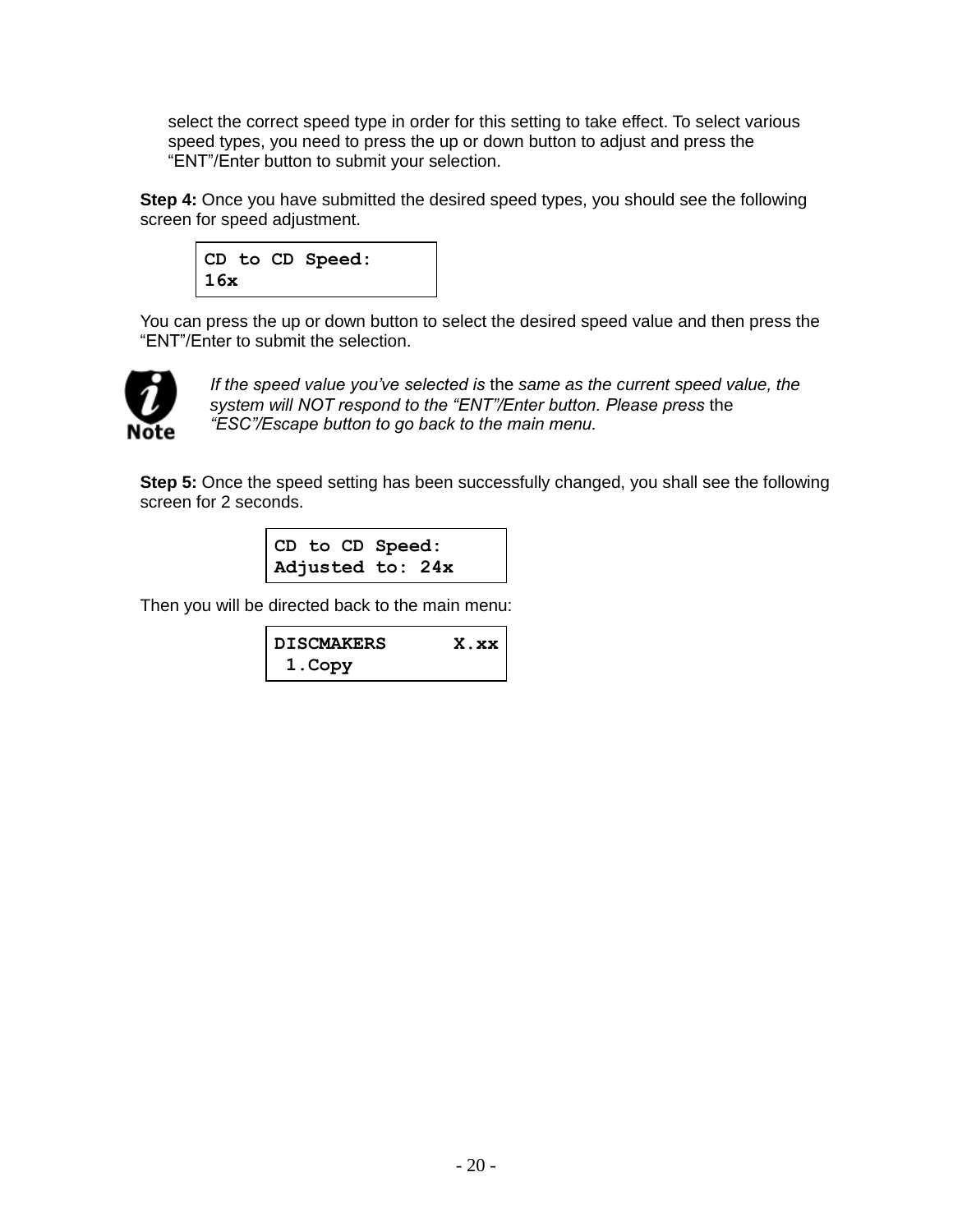select the correct speed type in order for this setting to take effect. To select various speed types, you need to press the up or down button to adjust and press the "ENT"/Enter button to submit your selection.

**Step 4:** Once you have submitted the desired speed types, you should see the following screen for speed adjustment.



You can press the up or down button to select the desired speed value and then press the "ENT"/Enter to submit the selection.



*If the speed value you've selected is* the *same as the current speed value, the system will NOT respond to the "ENT"/Enter button. Please press* the *"ESC"/Escape button to go back to the main menu.*

**Step 5:** Once the speed setting has been successfully changed, you shall see the following screen for 2 seconds.

> **CD to CD Speed: Adjusted to: 24x**

Then you will be directed back to the main menu:

| <b>DISCMAKERS</b> | $X$ . $XX$ |
|-------------------|------------|
| 1. Copy           |            |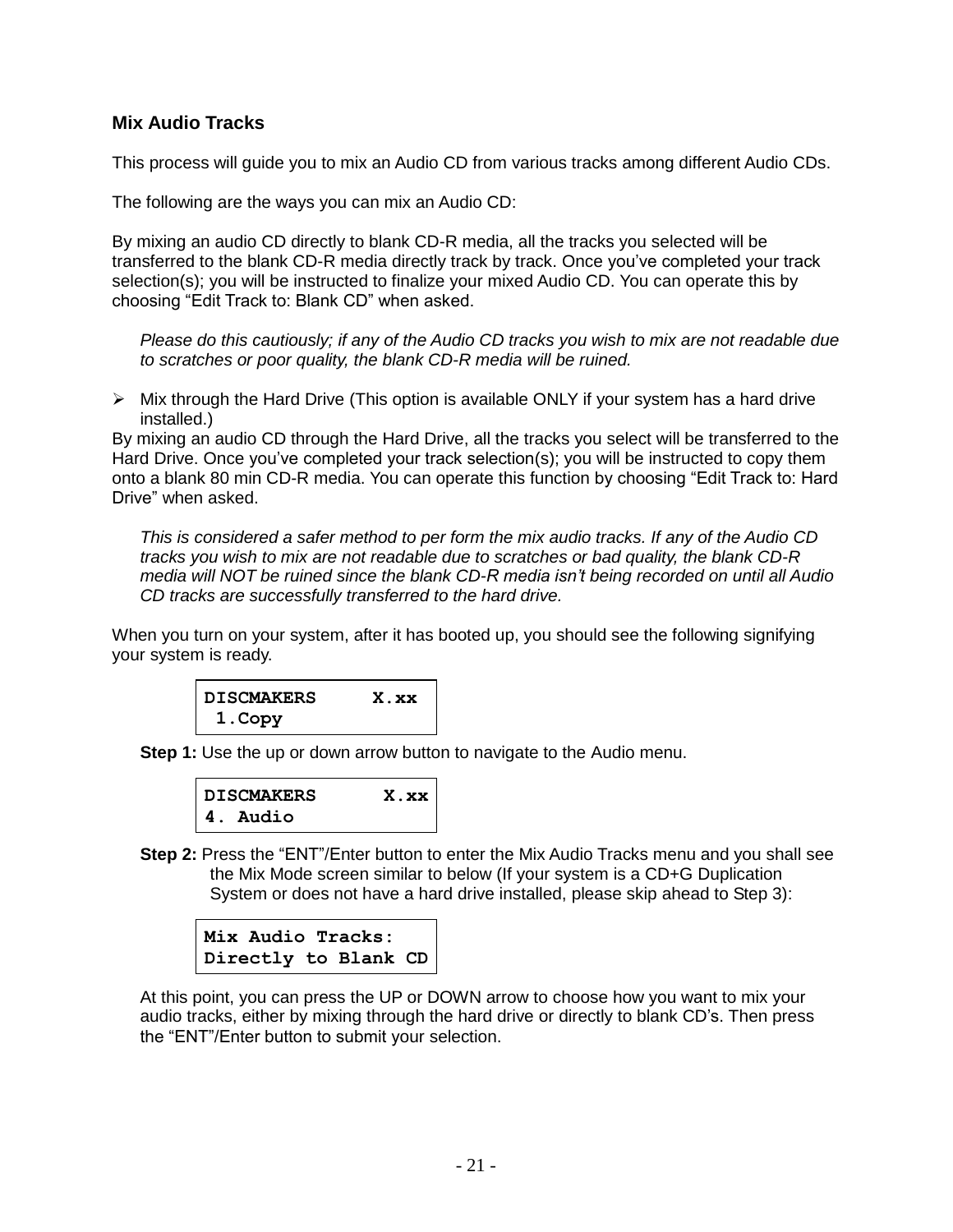#### **Mix Audio Tracks**

This process will guide you to mix an Audio CD from various tracks among different Audio CDs.

The following are the ways you can mix an Audio CD:

By mixing an audio CD directly to blank CD-R media, all the tracks you selected will be transferred to the blank CD-R media directly track by track. Once you've completed your track selection(s); you will be instructed to finalize your mixed Audio CD. You can operate this by choosing "Edit Track to: Blank CD" when asked.

*Please do this cautiously; if any of the Audio CD tracks you wish to mix are not readable due to scratches or poor quality, the blank CD-R media will be ruined.*

 $\triangleright$  Mix through the Hard Drive (This option is available ONLY if your system has a hard drive installed.)

By mixing an audio CD through the Hard Drive, all the tracks you select will be transferred to the Hard Drive. Once you've completed your track selection(s); you will be instructed to copy them onto a blank 80 min CD-R media. You can operate this function by choosing "Edit Track to: Hard Drive" when asked.

*This is considered a safer method to per form the mix audio tracks. If any of the Audio CD tracks you wish to mix are not readable due to scratches or bad quality, the blank CD-R media will NOT be ruined since the blank CD-R media isn't being recorded on until all Audio CD tracks are successfully transferred to the hard drive.*

When you turn on your system, after it has booted up, you should see the following signifying your system is ready.



**Step 1:** Use the up or down arrow button to navigate to the Audio menu.

| <b>DISCMAKERS</b> | X.xx |
|-------------------|------|
| 4. Audio          |      |

**Step 2:** Press the "ENT"/Enter button to enter the Mix Audio Tracks menu and you shall see the Mix Mode screen similar to below (If your system is a CD+G Duplication System or does not have a hard drive installed, please skip ahead to Step 3):



At this point, you can press the UP or DOWN arrow to choose how you want to mix your audio tracks, either by mixing through the hard drive or directly to blank CD's. Then press the "ENT"/Enter button to submit your selection.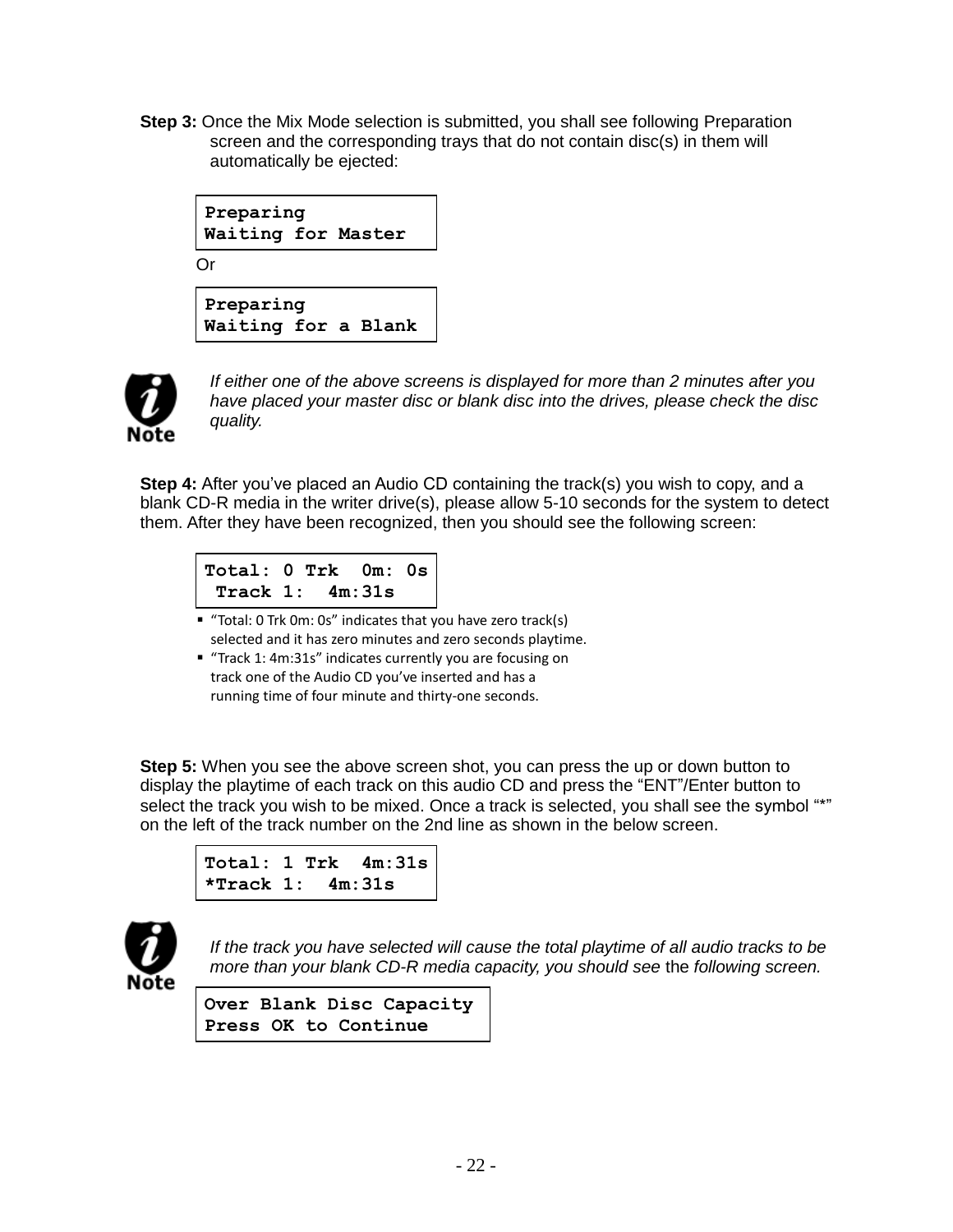**Step 3:** Once the Mix Mode selection is submitted, you shall see following Preparation screen and the corresponding trays that do not contain disc(s) in them will automatically be ejected:





*If either one of the above screens is displayed for more than 2 minutes after you have placed your master disc or blank disc into the drives, please check the disc quality.*

**Step 4:** After you've placed an Audio CD containing the track(s) you wish to copy, and a blank CD-R media in the writer drive(s), please allow 5-10 seconds for the system to detect them. After they have been recognized, then you should see the following screen:

```
Total: 0 Trk 0m: 0s
 Track 1: 4m:31s
```
- "Total: 0 Trk 0m: 0s" indicates that you have zero track(s) selected and it has zero minutes and zero seconds playtime.
- "Track 1: 4m:31s" indicates currently you are focusing on track one of the Audio CD you've inserted and has a running time of four minute and thirty-one seconds.

**Step 5:** When you see the above screen shot, you can press the up or down button to display the playtime of each track on this audio CD and press the "ENT"/Enter button to select the track you wish to be mixed. Once a track is selected, you shall see the symbol "\*" on the left of the track number on the 2nd line as shown in the below screen.

```
Total: 1 Trk 4m:31s
*Track 1: 4m:31s
```


*If the track you have selected will cause the total playtime of all audio tracks to be more than your blank CD-R media capacity, you should see* the *following screen.*

**Over Blank Disc Capacity Press OK to Continue**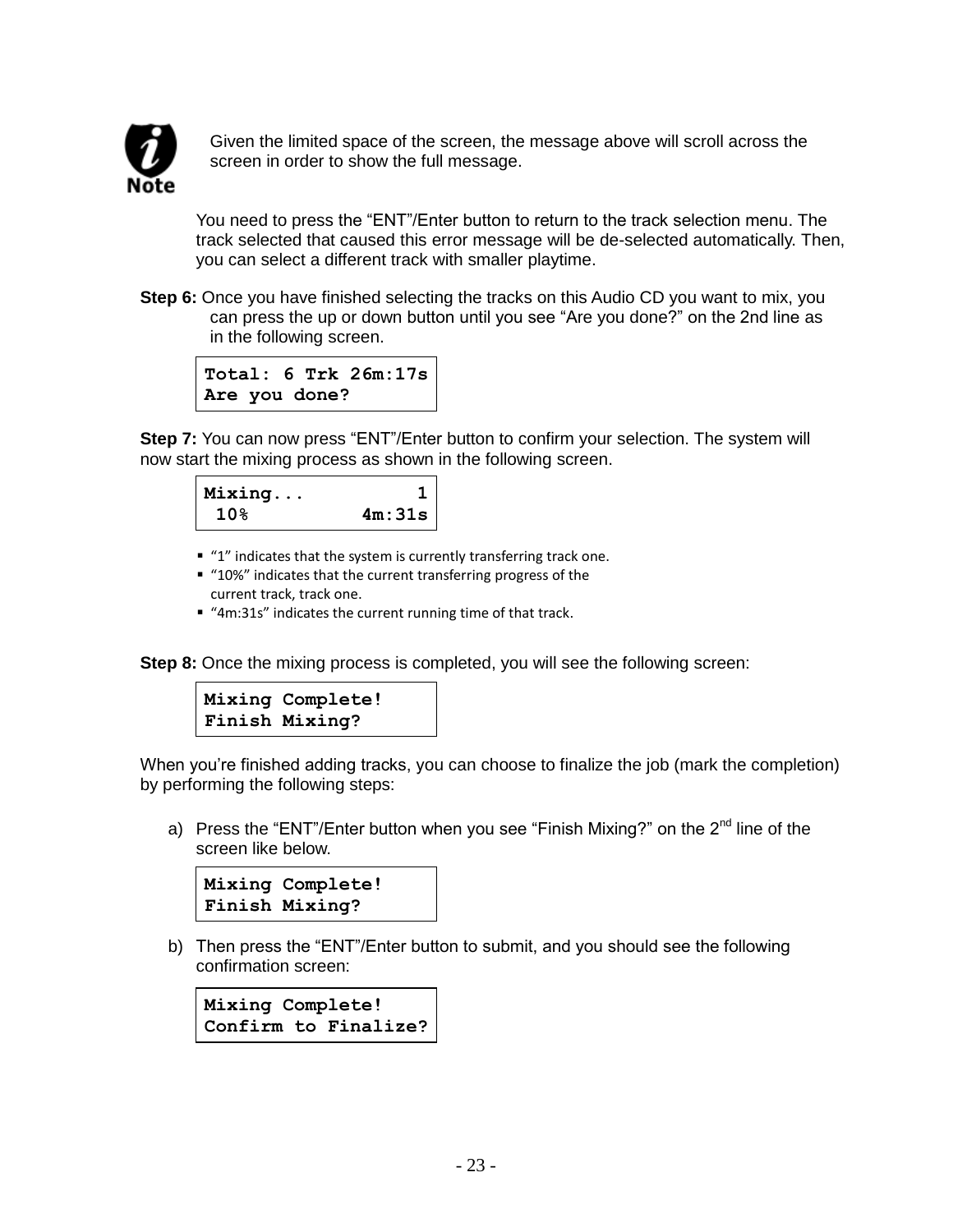

Given the limited space of the screen, the message above will scroll across the screen in order to show the full message.

You need to press the "ENT"/Enter button to return to the track selection menu. The track selected that caused this error message will be de-selected automatically. Then, you can select a different track with smaller playtime.

**Step 6:** Once you have finished selecting the tracks on this Audio CD you want to mix, you can press the up or down button until you see "Are you done?" on the 2nd line as in the following screen.



**Step 7:** You can now press "ENT"/Enter button to confirm your selection. The system will now start the mixing process as shown in the following screen.



- "1" indicates that the system is currently transferring track one.
- "10%" indicates that the current transferring progress of the current track, track one.
- "4m:31s" indicates the current running time of that track.

**Step 8:** Once the mixing process is completed, you will see the following screen:



When you're finished adding tracks, you can choose to finalize the job (mark the completion) by performing the following steps:

a) Press the "ENT"/Enter button when you see "Finish Mixing?" on the  $2^{nd}$  line of the screen like below.

```
Mixing Complete!
Finish Mixing?
```
b) Then press the "ENT"/Enter button to submit, and you should see the following confirmation screen:

**Mixing Complete! Confirm to Finalize?**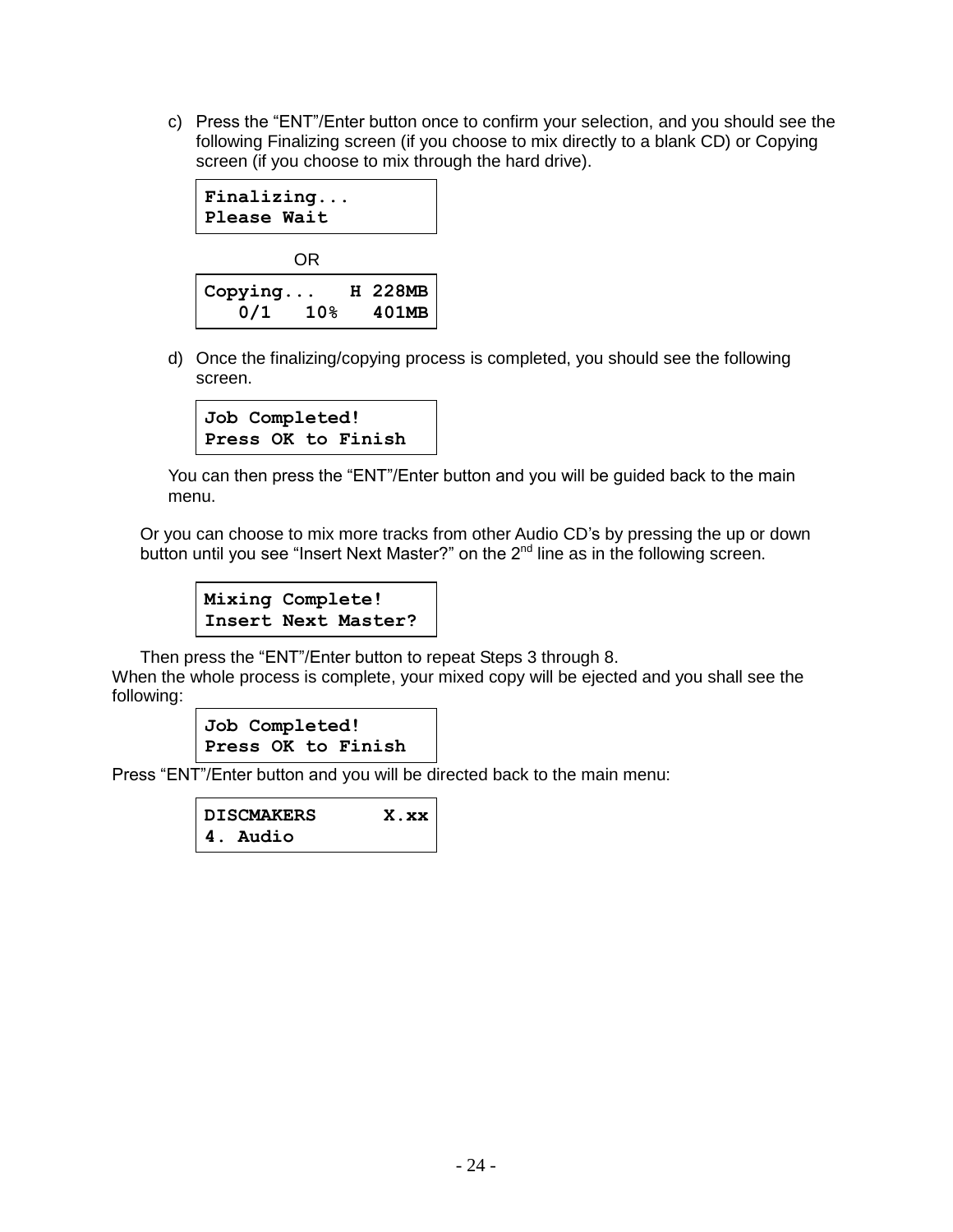c) Press the "ENT"/Enter button once to confirm your selection, and you should see the following Finalizing screen (if you choose to mix directly to a blank CD) or Copying screen (if you choose to mix through the hard drive).



d) Once the finalizing/copying process is completed, you should see the following screen.

```
Job Completed!
Press OK to Finish
```
You can then press the "ENT"/Enter button and you will be guided back to the main menu.

Or you can choose to mix more tracks from other Audio CD's by pressing the up or down button until you see "Insert Next Master?" on the  $2<sup>nd</sup>$  line as in the following screen.

**Mixing Complete! Insert Next Master?**

Then press the "ENT"/Enter button to repeat Steps 3 through 8.

When the whole process is complete, your mixed copy will be ejected and you shall see the following:

```
Job Completed!
Press OK to Finish
```
Press "ENT"/Enter button and you will be directed back to the main menu:

```
DISCMAKERS X.xx
4. Audio
```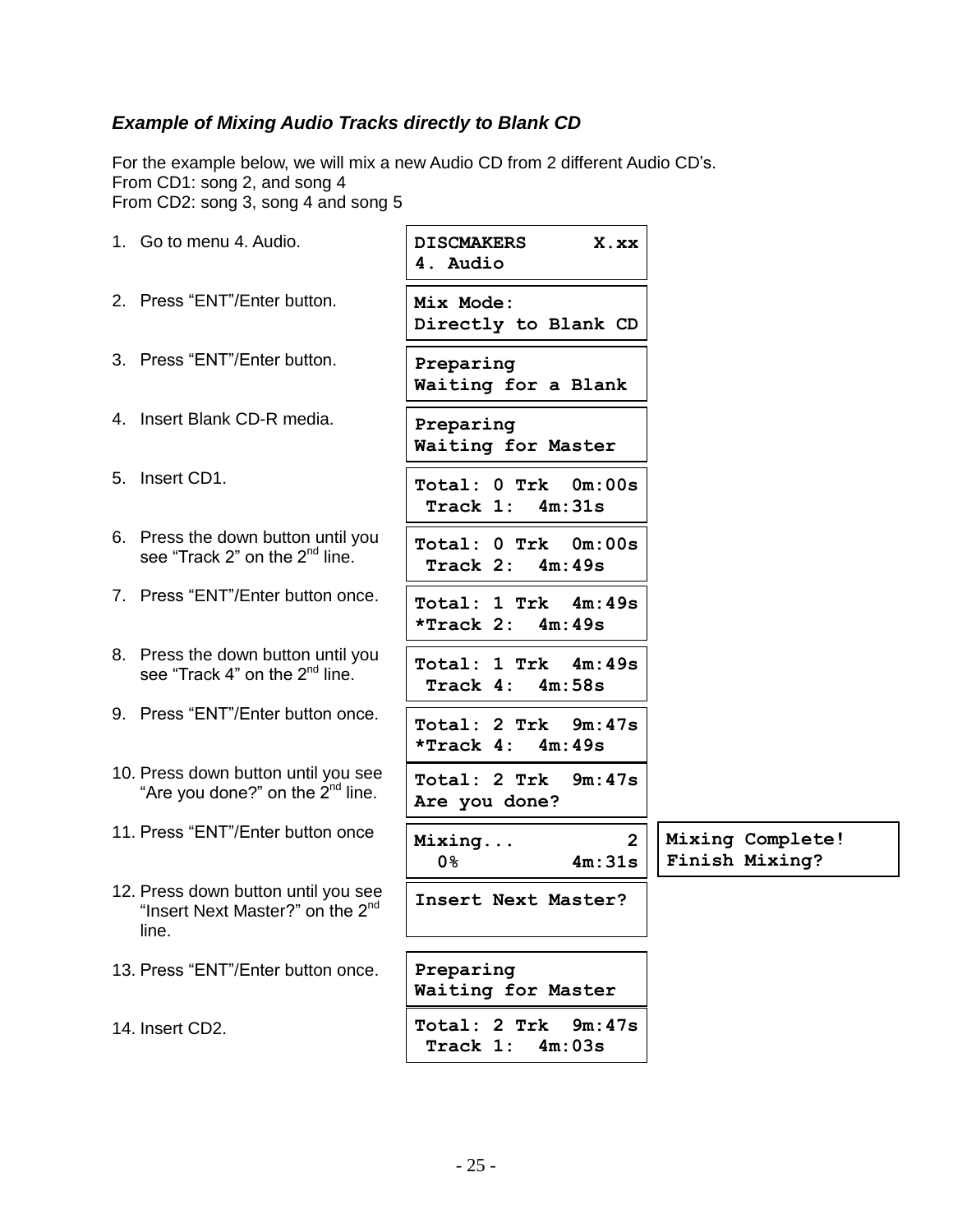# *Example of Mixing Audio Tracks directly to Blank CD*

For the example below, we will mix a new Audio CD from 2 different Audio CD's. From CD1: song 2, and song 4 From CD2: song 3, song 4 and song 5

| 1. Go to menu 4. Audio.                                                                      | <b>DISCMAKERS</b><br>X.xx<br>4. Audio            |                                    |
|----------------------------------------------------------------------------------------------|--------------------------------------------------|------------------------------------|
| 2. Press "ENT"/Enter button.                                                                 | Mix Mode:<br>Directly to Blank CD                |                                    |
| 3. Press "ENT"/Enter button.                                                                 | Preparing<br>Waiting for a Blank                 |                                    |
| 4. Insert Blank CD-R media.                                                                  | Preparing<br>Waiting for Master                  |                                    |
| 5. Insert CD1.                                                                               | Total: 0 Trk 0m:00s<br>Track 1:<br>4m:31s        |                                    |
| 6. Press the down button until you<br>see "Track 2" on the 2 <sup>nd</sup> line.             | Total: 0 Trk<br>0m:00s<br>Track $2: 4m:49s$      |                                    |
| 7. Press "ENT"/Enter button once.                                                            | Total: 1 Trk 4m:49s<br>$*$ Track 2: $4m:49s$     |                                    |
| 8. Press the down button until you<br>see "Track 4" on the 2 <sup>nd</sup> line.             | Total: 1 Trk 4m:49s<br>Track 4:<br>4m:58s        |                                    |
| 9. Press "ENT"/Enter button once.                                                            | Total: 2 Trk<br>9m:47s<br>*Track $4: 4m:49s$     |                                    |
| 10. Press down button until you see<br>"Are you done?" on the 2 <sup>nd</sup> line.          | Total: 2 Trk<br>9m:47s<br>Are you done?          |                                    |
| 11. Press "ENT"/Enter button once                                                            | $\overline{2}$<br>Mixing<br><b>0</b> %<br>4m:31s | Mixing Complete!<br>Finish Mixing? |
| 12. Press down button until you see<br>"Insert Next Master?" on the 2 <sup>nd</sup><br>line. | Insert Next Master?                              |                                    |
| 13. Press "ENT"/Enter button once.                                                           | Preparing<br>Waiting for Master                  |                                    |
| 14. Insert CD2.                                                                              | Total: 2 Trk<br>9m:47s<br>Track 1:<br>4m:03s     |                                    |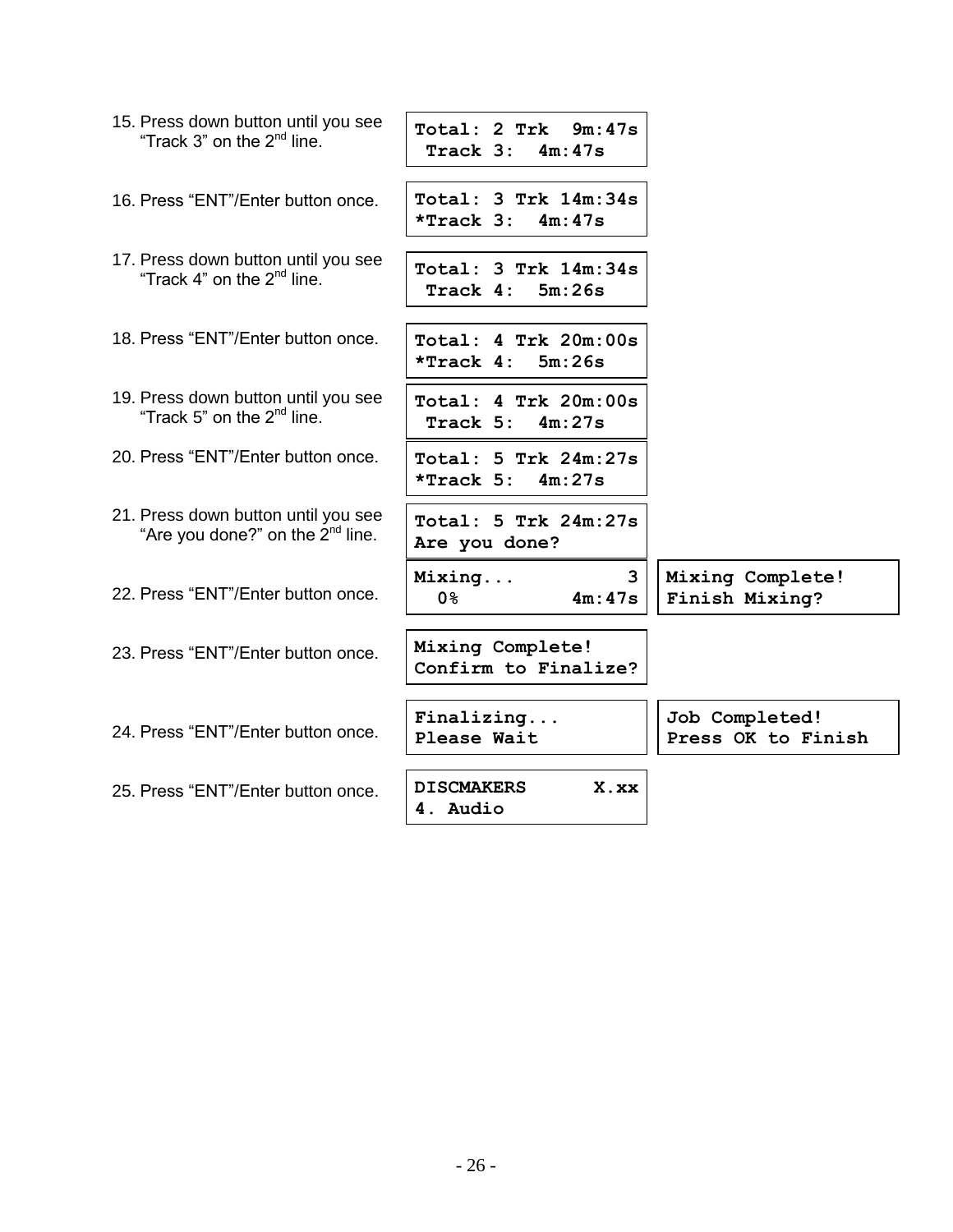| 15. Press down button until you see<br>"Track 3" on the 2 <sup>nd</sup> line.       | Total: 2 Trk 9m:47s<br>Track $3: 4m:47s$       |                                      |
|-------------------------------------------------------------------------------------|------------------------------------------------|--------------------------------------|
| 16. Press "ENT"/Enter button once.                                                  | Total: 3 Trk 14m:34s<br>$*$ Track 3: $4m:47s$  |                                      |
| 17. Press down button until you see<br>"Track 4" on the $2^{nd}$ line.              | $Total: 3$ Trk $14m:34s$<br>Track 4:<br>5m:26s |                                      |
| 18. Press "ENT"/Enter button once.                                                  | Total: 4 Trk 20m:00s<br>5m:26s<br>*Track 4:    |                                      |
| 19. Press down button until you see<br>"Track 5" on the $2^{nd}$ line.              | Total: 4 Trk 20m:00s<br>4m:27s<br>Track 5:     |                                      |
| 20. Press "ENT"/Enter button once.                                                  | Total: 5 Trk 24m:27s<br>*Track $5: 4m:27s$     |                                      |
| 21. Press down button until you see<br>"Are you done?" on the 2 <sup>nd</sup> line. | Total: 5 Trk 24m:27s<br>Are you done?          |                                      |
| 22. Press "ENT"/Enter button once.                                                  | 3<br>Mixing<br>4m:47s<br>0 <sup>8</sup>        | Mixing Complete!<br>Finish Mixing?   |
| 23. Press "ENT"/Enter button once.                                                  | Mixing Complete!<br>Confirm to Finalize?       |                                      |
| 24. Press "ENT"/Enter button once.                                                  | Finally,<br>Please Wait                        | Job Completed!<br>Press OK to Finish |
| 25. Press "ENT"/Enter button once.                                                  | <b>DISCMAKERS</b><br>X.xx<br>4. Audio          |                                      |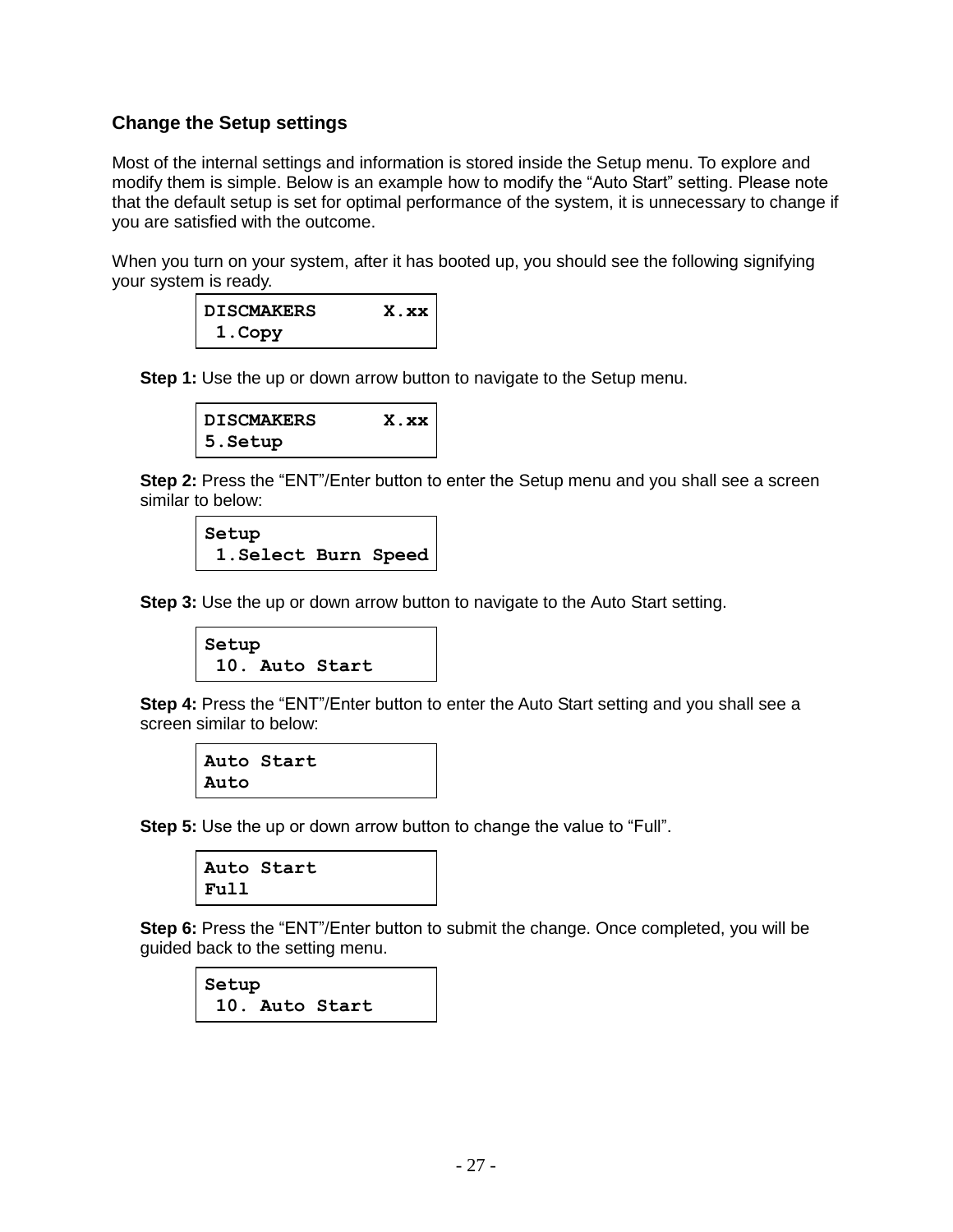#### **Change the Setup settings**

Most of the internal settings and information is stored inside the Setup menu. To explore and modify them is simple. Below is an example how to modify the "Auto Start" setting. Please note that the default setup is set for optimal performance of the system, it is unnecessary to change if you are satisfied with the outcome.

When you turn on your system, after it has booted up, you should see the following signifying your system is ready.

| DISCMAKERS | X.xx |
|------------|------|
| 1. Copy    |      |

**Step 1:** Use the up or down arrow button to navigate to the Setup menu.

| <b>DISCMAKERS</b> | X.xx |
|-------------------|------|
| $ 5.$ Setup       |      |

**Step 2:** Press the "ENT"/Enter button to enter the Setup menu and you shall see a screen similar to below:

```
Setup
 1.Select Burn Speed
```
**Step 3:** Use the up or down arrow button to navigate to the Auto Start setting.

```
Setup
 10. Auto Start
```
**Step 4:** Press the "ENT"/Enter button to enter the Auto Start setting and you shall see a screen similar to below:

```
Auto Start
Auto
```
**Step 5:** Use the up or down arrow button to change the value to "Full".



**Step 6:** Press the "ENT"/Enter button to submit the change. Once completed, you will be guided back to the setting menu.

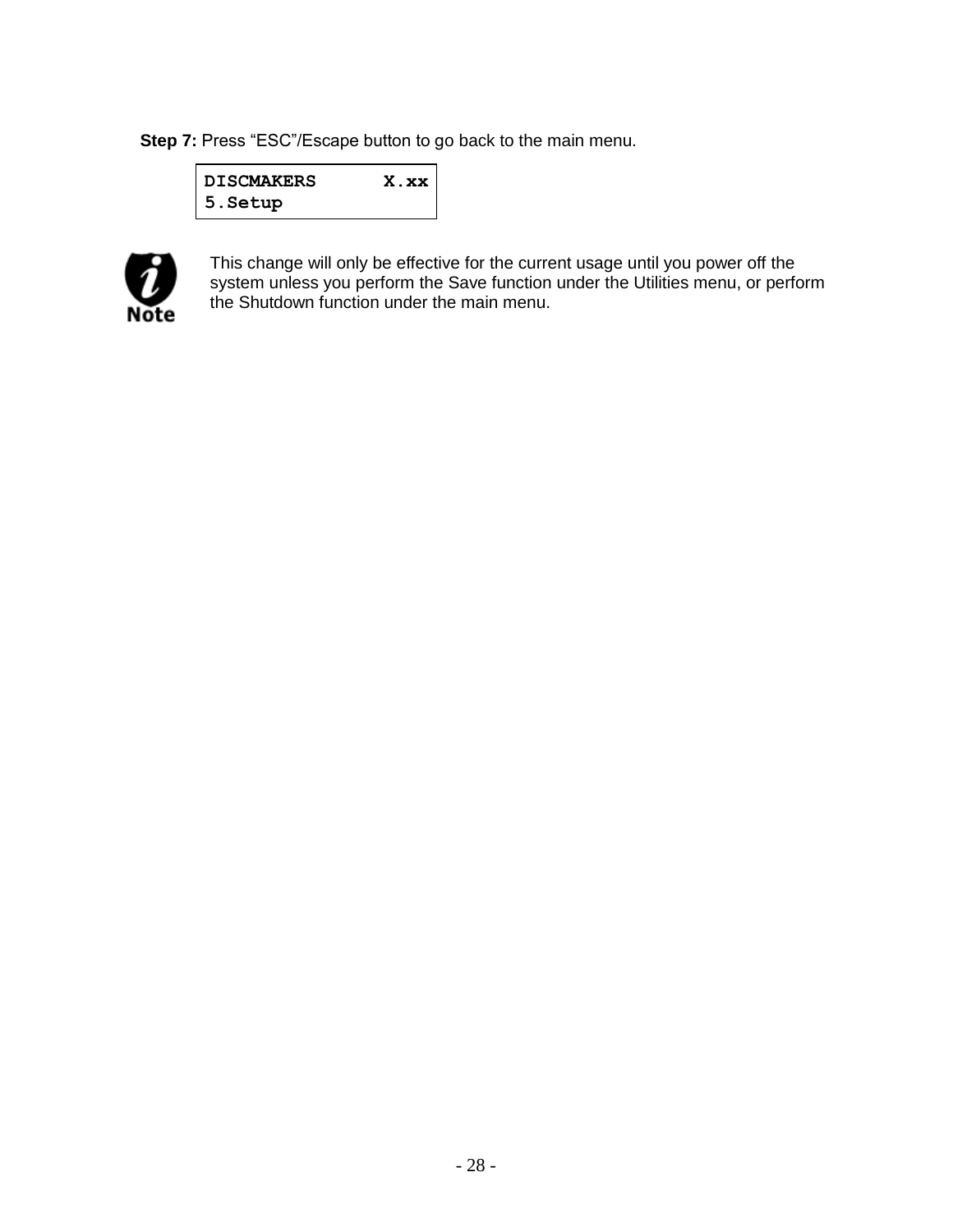**Step 7:** Press "ESC"/Escape button to go back to the main menu.

| <b>DISCMAKERS</b> | X.xx |
|-------------------|------|
| 5. Setup          |      |



This change will only be effective for the current usage until you power off the system unless you perform the Save function under the Utilities menu, or perform the Shutdown function under the main menu.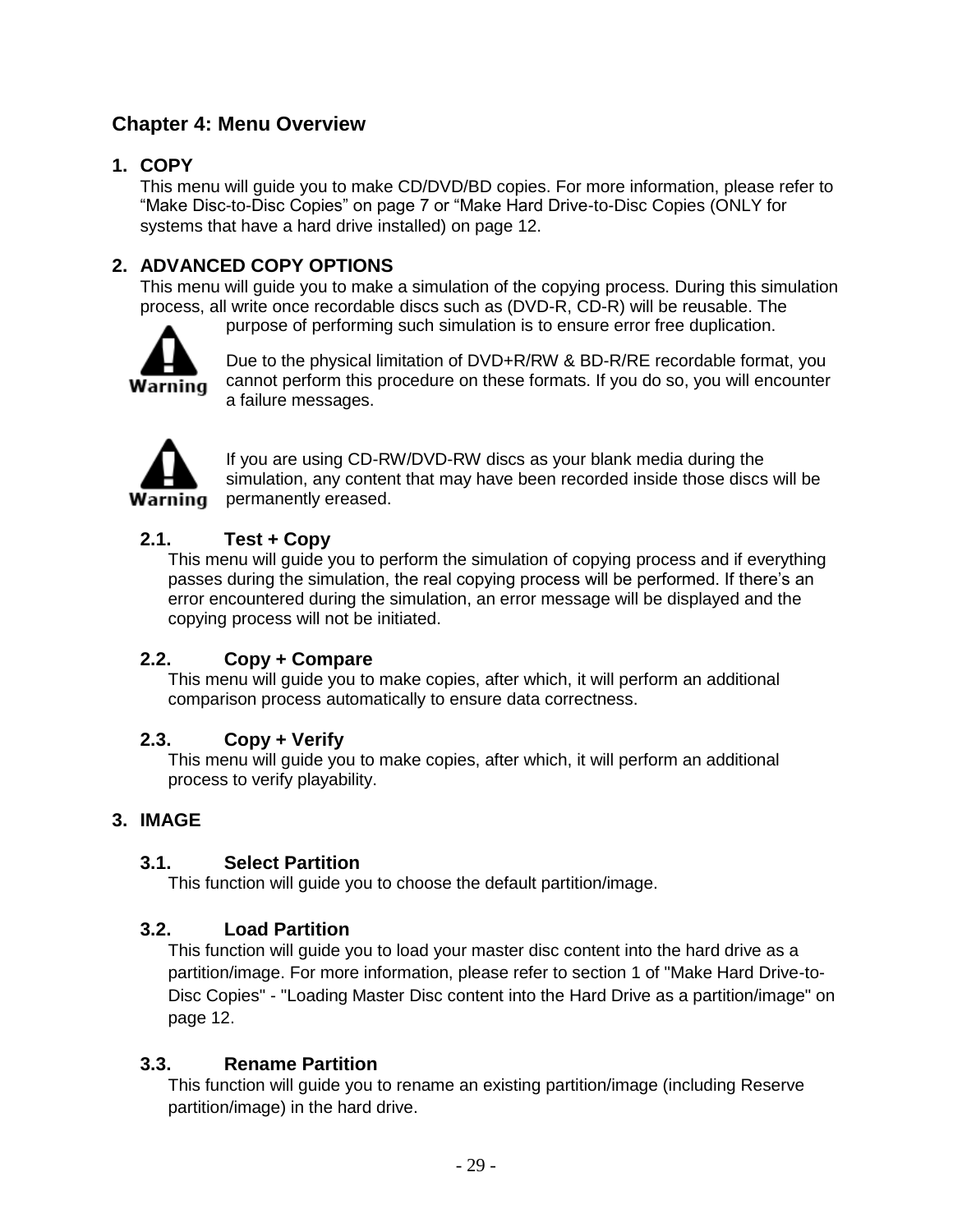# **Chapter 4: Menu Overview**

# **1. COPY**

This menu will guide you to make CD/DVD/BD copies. For more information, please refer to "Make Disc-to-Disc Copies" on page 7 or "Make Hard Drive-to-Disc Copies (ONLY for systems that have a hard drive installed) on page 12.

# **2. ADVANCED COPY OPTIONS**

This menu will guide you to make a simulation of the copying process. During this simulation process, all write once recordable discs such as (DVD-R, CD-R) will be reusable. The purpose of performing such simulation is to ensure error free duplication.



Due to the physical limitation of DVD+R/RW & BD-R/RE recordable format, you cannot perform this procedure on these formats. If you do so, you will encounter a failure messages.



If you are using CD-RW/DVD-RW discs as your blank media during the simulation, any content that may have been recorded inside those discs will be **Warning** permanently ereased.

# **2.1. Test + Copy**

This menu will guide you to perform the simulation of copying process and if everything passes during the simulation, the real copying process will be performed. If there's an error encountered during the simulation, an error message will be displayed and the copying process will not be initiated.

# **2.2. Copy + Compare**

This menu will guide you to make copies, after which, it will perform an additional comparison process automatically to ensure data correctness.

# **2.3. Copy + Verify**

This menu will guide you to make copies, after which, it will perform an additional process to verify playability.

#### **3. IMAGE**

#### **3.1. Select Partition**

This function will guide you to choose the default partition/image.

#### **3.2. Load Partition**

This function will guide you to load your master disc content into the hard drive as a partition/image. For more information, please refer to section 1 of "Make Hard Drive-to-Disc Copies" - "Loading Master Disc content into the Hard Drive as a partition/image" on page 12.

#### **3.3. Rename Partition**

This function will guide you to rename an existing partition/image (including Reserve partition/image) in the hard drive.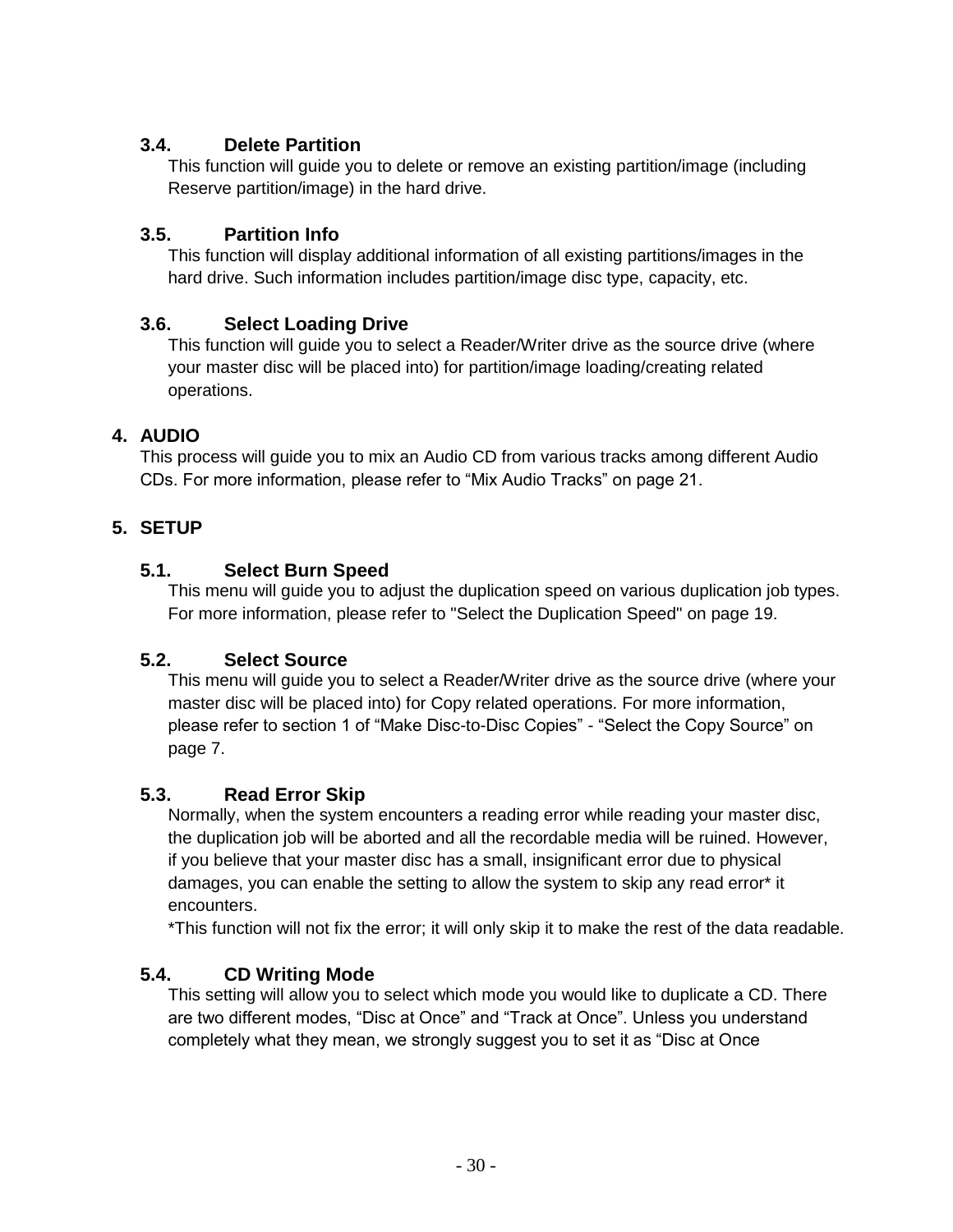# **3.4. Delete Partition**

This function will guide you to delete or remove an existing partition/image (including Reserve partition/image) in the hard drive.

# **3.5. Partition Info**

This function will display additional information of all existing partitions/images in the hard drive. Such information includes partition/image disc type, capacity, etc.

# **3.6. Select Loading Drive**

This function will guide you to select a Reader/Writer drive as the source drive (where your master disc will be placed into) for partition/image loading/creating related operations.

# **4. AUDIO**

This process will guide you to mix an Audio CD from various tracks among different Audio CDs. For more information, please refer to "Mix Audio Tracks" on page 21.

# **5. SETUP**

# **5.1. Select Burn Speed**

This menu will guide you to adjust the duplication speed on various duplication job types. For more information, please refer to "Select the Duplication Speed" on page 19.

# **5.2. Select Source**

This menu will guide you to select a Reader/Writer drive as the source drive (where your master disc will be placed into) for Copy related operations. For more information, please refer to section 1 of "Make Disc-to-Disc Copies" - "Select the Copy Source" on page 7.

# **5.3. Read Error Skip**

Normally, when the system encounters a reading error while reading your master disc, the duplication job will be aborted and all the recordable media will be ruined. However, if you believe that your master disc has a small, insignificant error due to physical damages, you can enable the setting to allow the system to skip any read error\* it encounters.

\*This function will not fix the error; it will only skip it to make the rest of the data readable.

# **5.4. CD Writing Mode**

This setting will allow you to select which mode you would like to duplicate a CD. There are two different modes, "Disc at Once" and "Track at Once". Unless you understand completely what they mean, we strongly suggest you to set it as "Disc at Once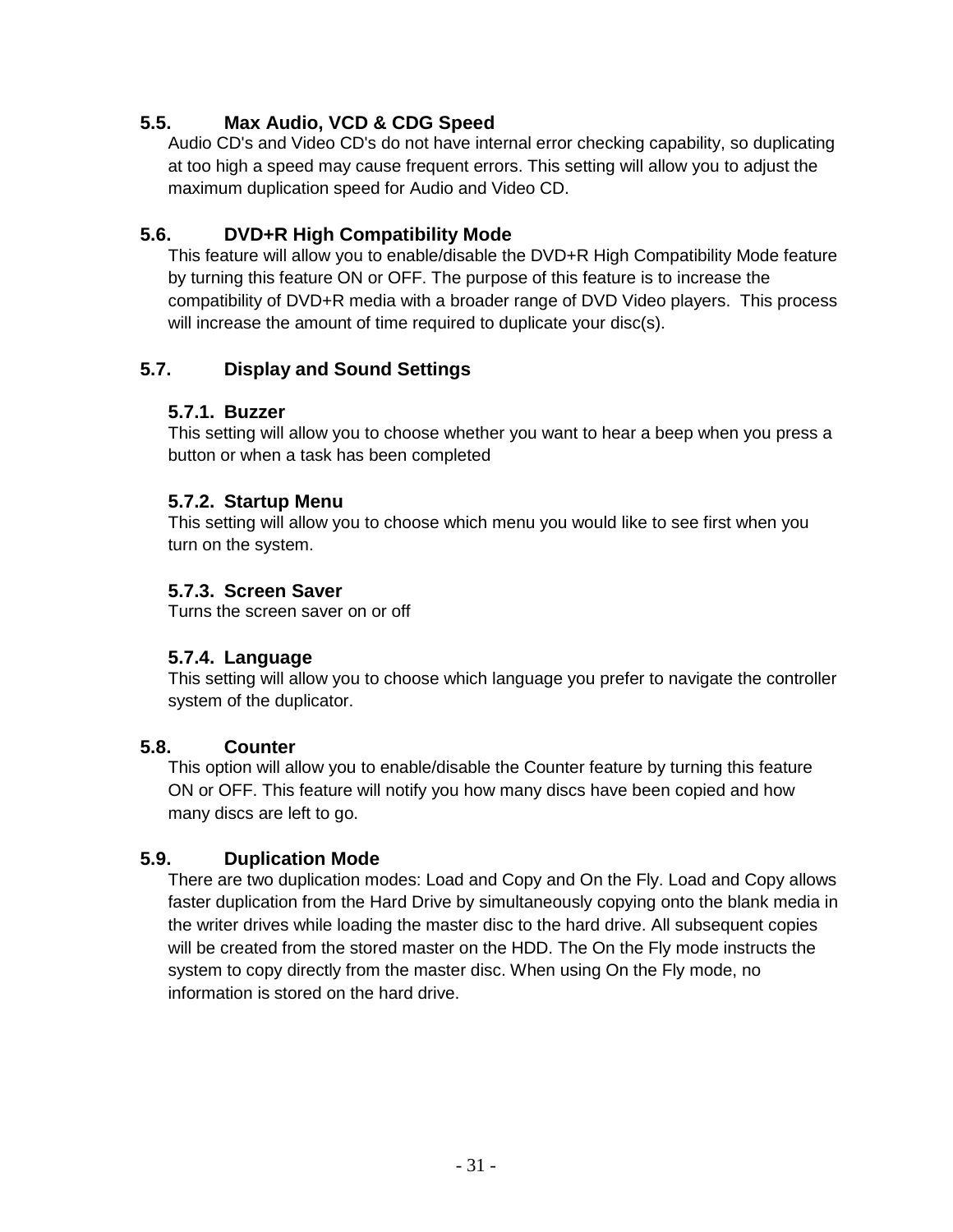# **5.5. Max Audio, VCD & CDG Speed**

Audio CD's and Video CD's do not have internal error checking capability, so duplicating at too high a speed may cause frequent errors. This setting will allow you to adjust the maximum duplication speed for Audio and Video CD.

# **5.6. DVD+R High Compatibility Mode**

This feature will allow you to enable/disable the DVD+R High Compatibility Mode feature by turning this feature ON or OFF. The purpose of this feature is to increase the compatibility of DVD+R media with a broader range of DVD Video players. This process will increase the amount of time required to duplicate your disc(s).

# **5.7. Display and Sound Settings**

# **5.7.1. Buzzer**

This setting will allow you to choose whether you want to hear a beep when you press a button or when a task has been completed

# **5.7.2. Startup Menu**

This setting will allow you to choose which menu you would like to see first when you turn on the system.

# **5.7.3. Screen Saver**

Turns the screen saver on or off

# **5.7.4. Language**

This setting will allow you to choose which language you prefer to navigate the controller system of the duplicator.

# **5.8. Counter**

This option will allow you to enable/disable the Counter feature by turning this feature ON or OFF. This feature will notify you how many discs have been copied and how many discs are left to go.

# **5.9. Duplication Mode**

There are two duplication modes: Load and Copy and On the Fly. Load and Copy allows faster duplication from the Hard Drive by simultaneously copying onto the blank media in the writer drives while loading the master disc to the hard drive. All subsequent copies will be created from the stored master on the HDD. The On the Fly mode instructs the system to copy directly from the master disc. When using On the Fly mode, no information is stored on the hard drive.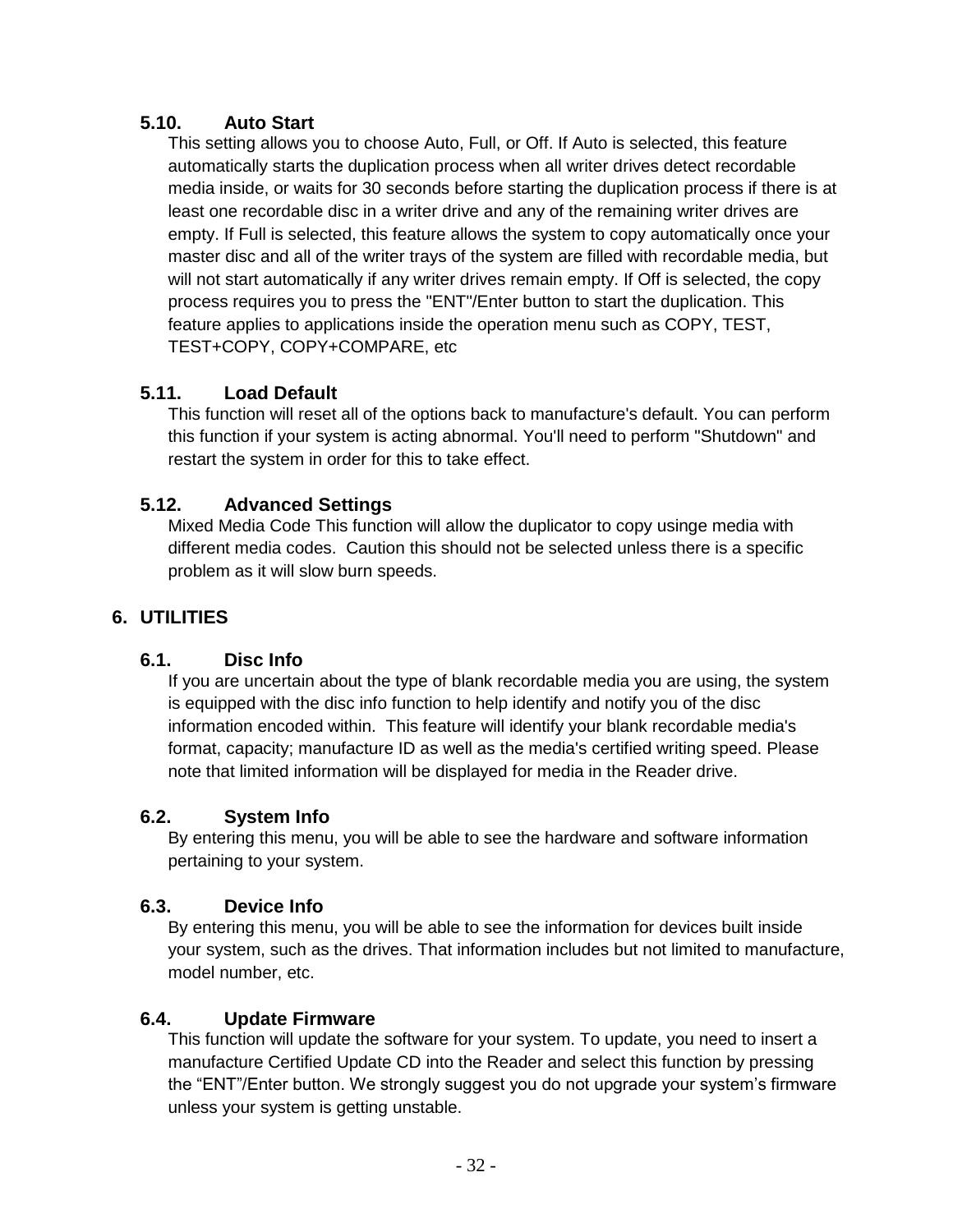# **5.10. Auto Start**

This setting allows you to choose Auto, Full, or Off. If Auto is selected, this feature automatically starts the duplication process when all writer drives detect recordable media inside, or waits for 30 seconds before starting the duplication process if there is at least one recordable disc in a writer drive and any of the remaining writer drives are empty. If Full is selected, this feature allows the system to copy automatically once your master disc and all of the writer trays of the system are filled with recordable media, but will not start automatically if any writer drives remain empty. If Off is selected, the copy process requires you to press the "ENT"/Enter button to start the duplication. This feature applies to applications inside the operation menu such as COPY, TEST, TEST+COPY, COPY+COMPARE, etc

# **5.11. Load Default**

This function will reset all of the options back to manufacture's default. You can perform this function if your system is acting abnormal. You'll need to perform "Shutdown" and restart the system in order for this to take effect.

# **5.12. Advanced Settings**

Mixed Media Code This function will allow the duplicator to copy usinge media with different media codes. Caution this should not be selected unless there is a specific problem as it will slow burn speeds.

# **6. UTILITIES**

# **6.1. Disc Info**

If you are uncertain about the type of blank recordable media you are using, the system is equipped with the disc info function to help identify and notify you of the disc information encoded within. This feature will identify your blank recordable media's format, capacity; manufacture ID as well as the media's certified writing speed. Please note that limited information will be displayed for media in the Reader drive.

# **6.2. System Info**

By entering this menu, you will be able to see the hardware and software information pertaining to your system.

# **6.3. Device Info**

By entering this menu, you will be able to see the information for devices built inside your system, such as the drives. That information includes but not limited to manufacture, model number, etc.

# **6.4. Update Firmware**

This function will update the software for your system. To update, you need to insert a manufacture Certified Update CD into the Reader and select this function by pressing the "ENT"/Enter button. We strongly suggest you do not upgrade your system's firmware unless your system is getting unstable.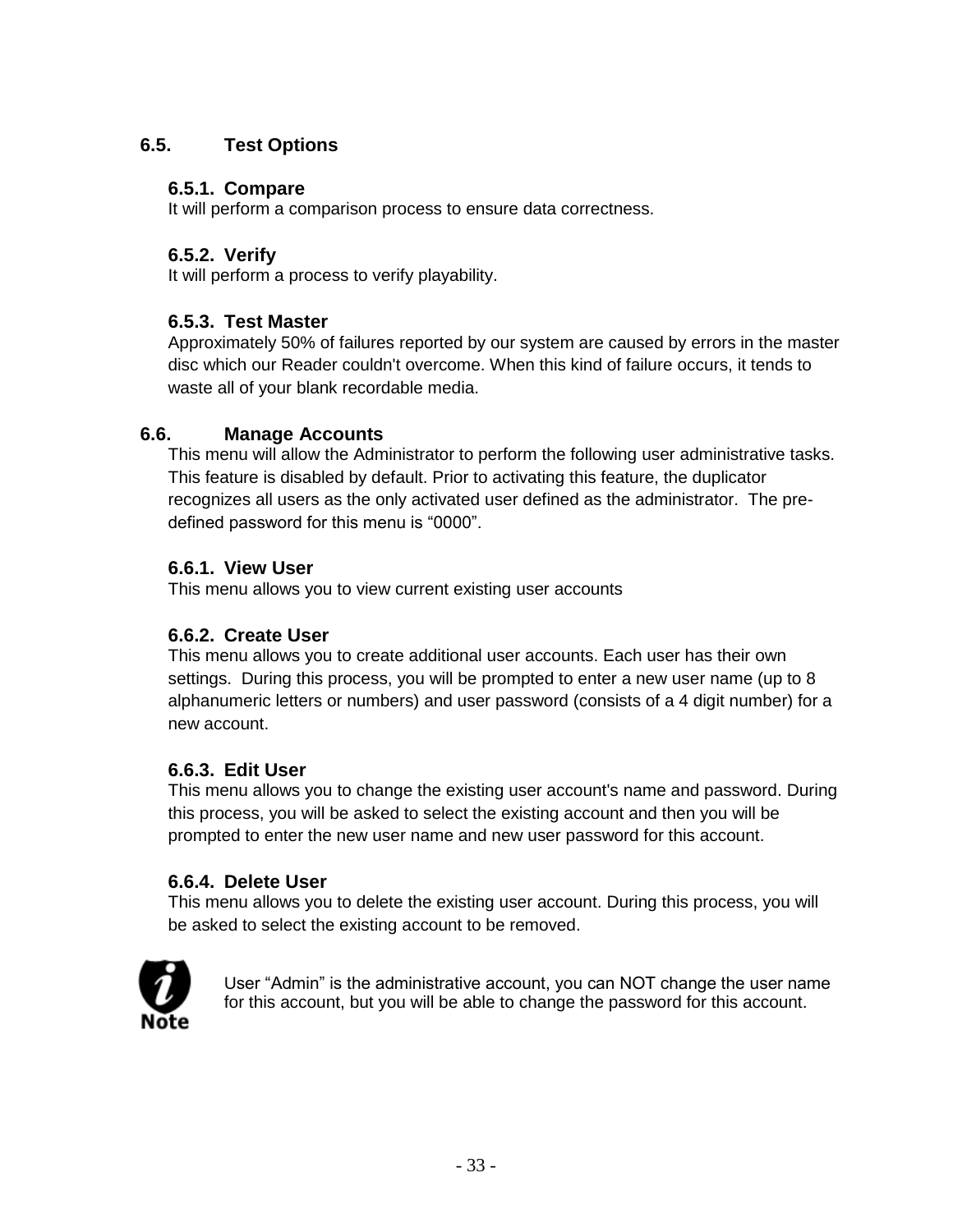# **6.5. Test Options**

# **6.5.1. Compare**

It will perform a comparison process to ensure data correctness.

# **6.5.2. Verify**

It will perform a process to verify playability.

# **6.5.3. Test Master**

Approximately 50% of failures reported by our system are caused by errors in the master disc which our Reader couldn't overcome. When this kind of failure occurs, it tends to waste all of your blank recordable media.

# **6.6. Manage Accounts**

This menu will allow the Administrator to perform the following user administrative tasks. This feature is disabled by default. Prior to activating this feature, the duplicator recognizes all users as the only activated user defined as the administrator. The predefined password for this menu is "0000".

# **6.6.1. View User**

This menu allows you to view current existing user accounts

# **6.6.2. Create User**

This menu allows you to create additional user accounts. Each user has their own settings. During this process, you will be prompted to enter a new user name (up to 8 alphanumeric letters or numbers) and user password (consists of a 4 digit number) for a new account.

# **6.6.3. Edit User**

This menu allows you to change the existing user account's name and password. During this process, you will be asked to select the existing account and then you will be prompted to enter the new user name and new user password for this account.

# **6.6.4. Delete User**

This menu allows you to delete the existing user account. During this process, you will be asked to select the existing account to be removed.



User "Admin" is the administrative account, you can NOT change the user name for this account, but you will be able to change the password for this account.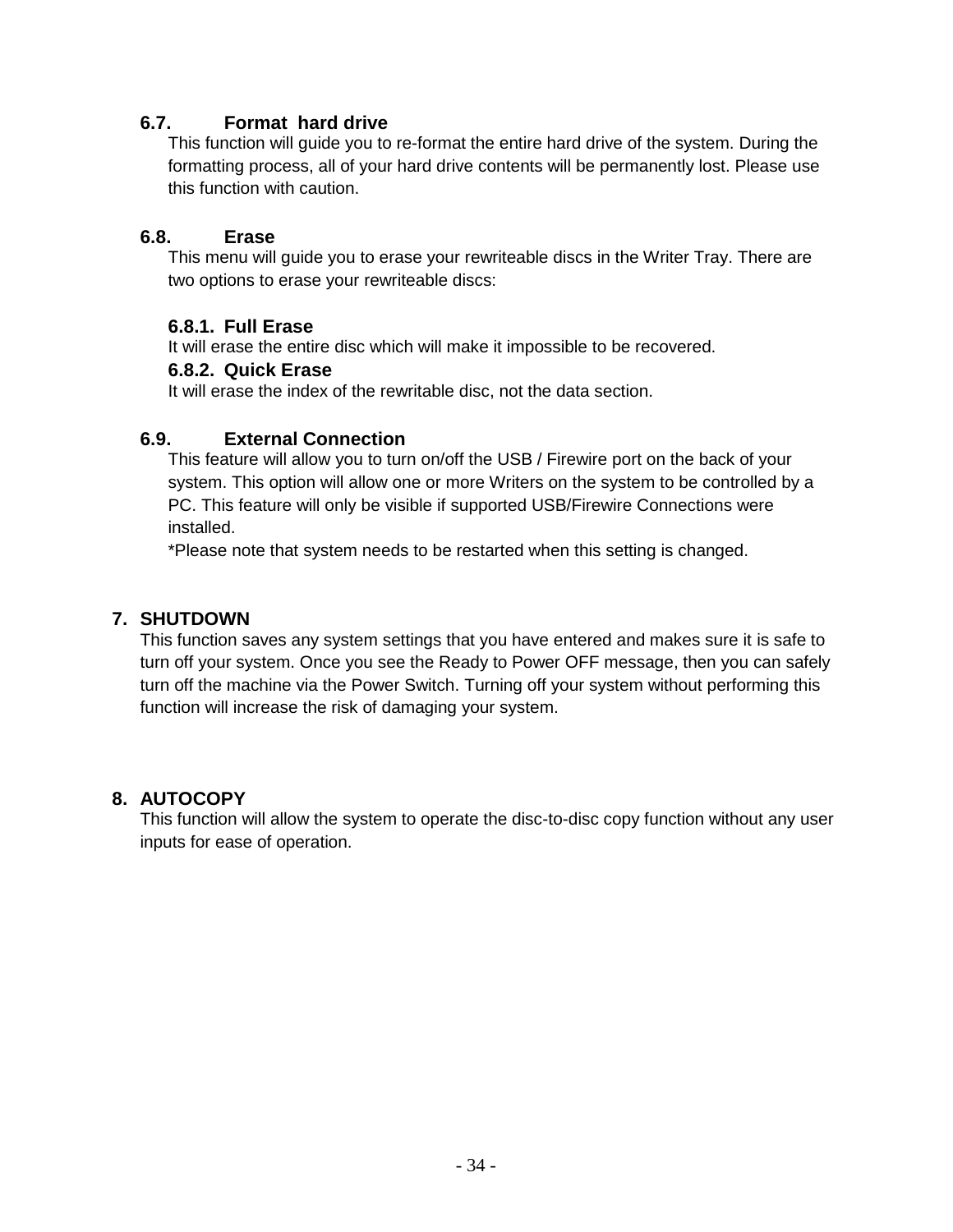# **6.7. Format hard drive**

This function will guide you to re-format the entire hard drive of the system. During the formatting process, all of your hard drive contents will be permanently lost. Please use this function with caution.

#### **6.8. Erase**

This menu will guide you to erase your rewriteable discs in the Writer Tray. There are two options to erase your rewriteable discs:

#### **6.8.1. Full Erase**

It will erase the entire disc which will make it impossible to be recovered.

#### **6.8.2. Quick Erase**

It will erase the index of the rewritable disc, not the data section.

#### **6.9. External Connection**

This feature will allow you to turn on/off the USB / Firewire port on the back of your system. This option will allow one or more Writers on the system to be controlled by a PC. This feature will only be visible if supported USB/Firewire Connections were installed.

\*Please note that system needs to be restarted when this setting is changed.

#### **7. SHUTDOWN**

This function saves any system settings that you have entered and makes sure it is safe to turn off your system. Once you see the Ready to Power OFF message, then you can safely turn off the machine via the Power Switch. Turning off your system without performing this function will increase the risk of damaging your system.

#### **8. AUTOCOPY**

This function will allow the system to operate the disc-to-disc copy function without any user inputs for ease of operation.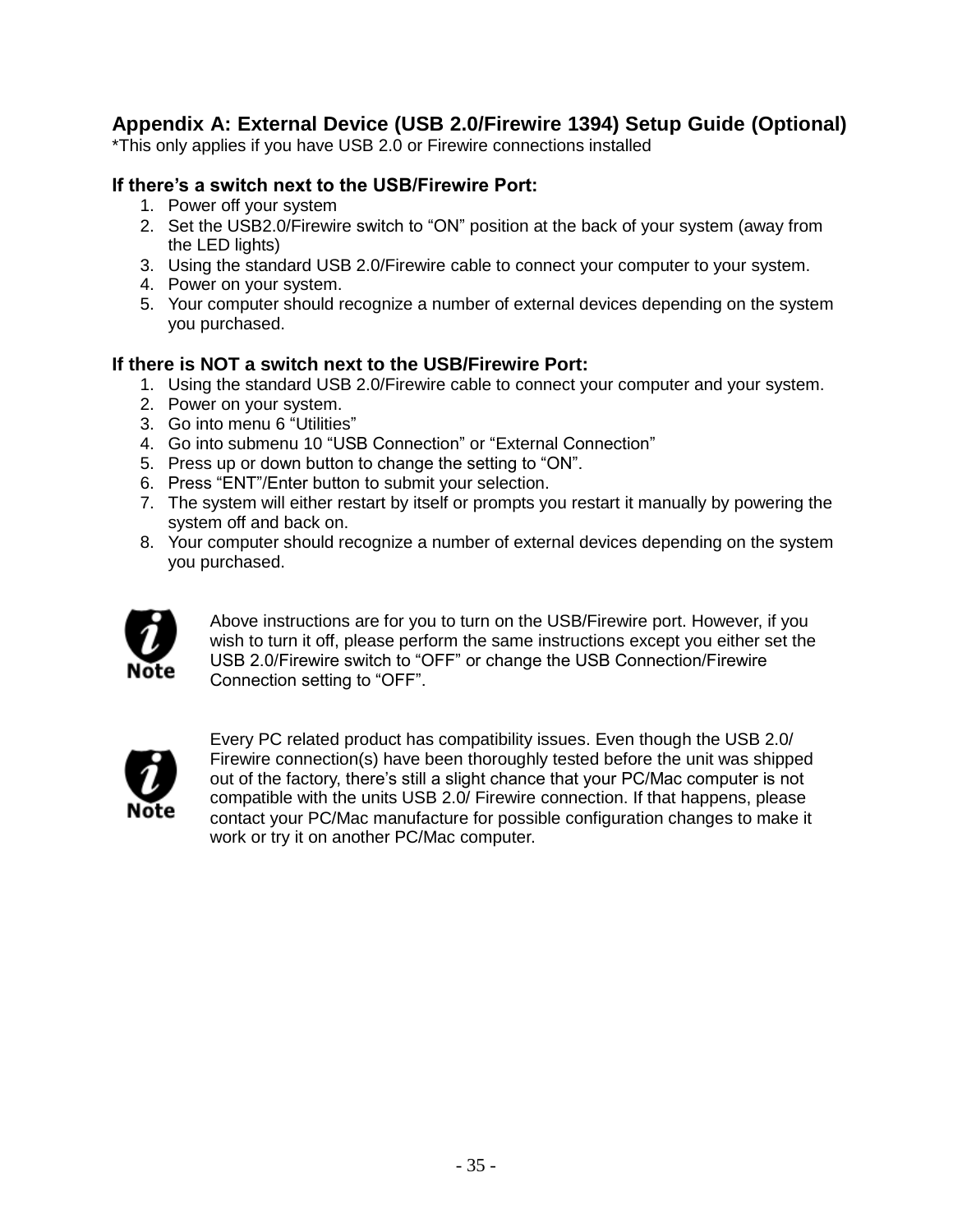# **Appendix A: External Device (USB 2.0/Firewire 1394) Setup Guide (Optional)**

\*This only applies if you have USB 2.0 or Firewire connections installed

#### **If there's a switch next to the USB/Firewire Port:**

- 1. Power off your system
- 2. Set the USB2.0/Firewire switch to "ON" position at the back of your system (away from the LED lights)
- 3. Using the standard USB 2.0/Firewire cable to connect your computer to your system.
- 4. Power on your system.
- 5. Your computer should recognize a number of external devices depending on the system you purchased.

#### **If there is NOT a switch next to the USB/Firewire Port:**

- 1. Using the standard USB 2.0/Firewire cable to connect your computer and your system.
- 2. Power on your system.
- 3. Go into menu 6 "Utilities"
- 4. Go into submenu 10 "USB Connection" or "External Connection"
- 5. Press up or down button to change the setting to "ON".
- 6. Press "ENT"/Enter button to submit your selection.
- 7. The system will either restart by itself or prompts you restart it manually by powering the system off and back on.
- 8. Your computer should recognize a number of external devices depending on the system you purchased.



Above instructions are for you to turn on the USB/Firewire port. However, if you wish to turn it off, please perform the same instructions except you either set the USB 2.0/Firewire switch to "OFF" or change the USB Connection/Firewire Connection setting to "OFF".



Every PC related product has compatibility issues. Even though the USB 2.0/ Firewire connection(s) have been thoroughly tested before the unit was shipped out of the factory, there's still a slight chance that your PC/Mac computer is not compatible with the units USB 2.0/ Firewire connection. If that happens, please contact your PC/Mac manufacture for possible configuration changes to make it work or try it on another PC/Mac computer.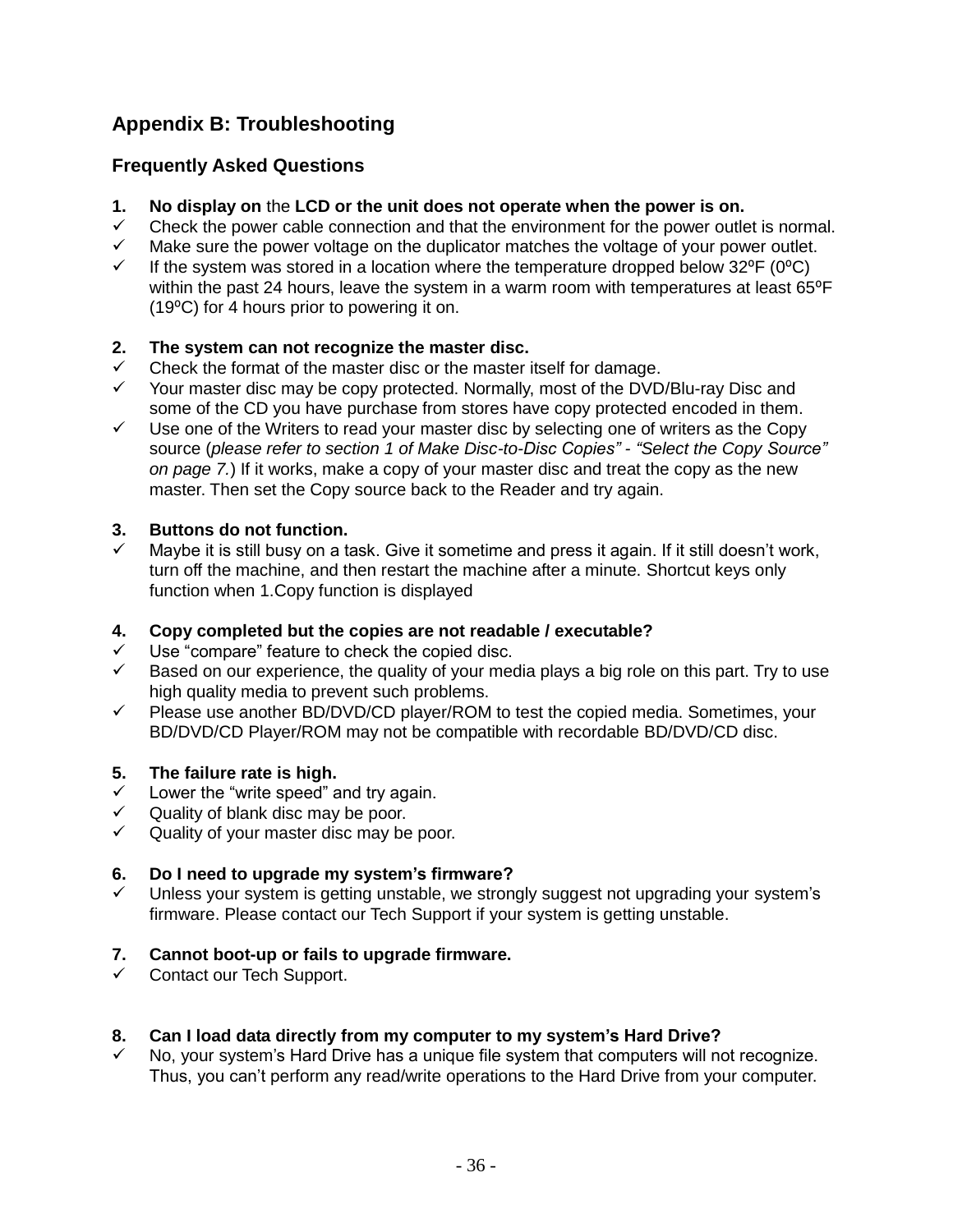# **Appendix B: Troubleshooting**

# **Frequently Asked Questions**

- **1. No display on** the **LCD or the unit does not operate when the power is on.**
- $\checkmark$  Check the power cable connection and that the environment for the power outlet is normal.
- $\checkmark$  Make sure the power voltage on the duplicator matches the voltage of your power outlet.<br> $\checkmark$  If the system was stored in a location where the temperature dropped below 32°F (0°C)
- If the system was stored in a location where the temperature dropped below  $32^{\circ}F (0^{\circ}C)$ within the past 24 hours, leave the system in a warm room with temperatures at least 65°F (19⁰C) for 4 hours prior to powering it on.

# **2. The system can not recognize the master disc.**

- $\checkmark$  Check the format of the master disc or the master itself for damage.
- Your master disc may be copy protected. Normally, most of the DVD/Blu-ray Disc and some of the CD you have purchase from stores have copy protected encoded in them.
- $\checkmark$  Use one of the Writers to read your master disc by selecting one of writers as the Copy source (*please refer to section 1 of Make Disc-to-Disc Copies" - "Select the Copy Source" on page 7.*) If it works, make a copy of your master disc and treat the copy as the new master. Then set the Copy source back to the Reader and try again.

# **3. Buttons do not function.**

 Maybe it is still busy on a task. Give it sometime and press it again. If it still doesn't work, turn off the machine, and then restart the machine after a minute. Shortcut keys only function when 1.Copy function is displayed

#### **4. Copy completed but the copies are not readable / executable?**

- Use "compare" feature to check the copied disc.
- $\checkmark$  Based on our experience, the quality of your media plays a big role on this part. Try to use high quality media to prevent such problems.
- $\checkmark$  Please use another BD/DVD/CD player/ROM to test the copied media. Sometimes, your BD/DVD/CD Player/ROM may not be compatible with recordable BD/DVD/CD disc.

#### **5. The failure rate is high.**

- $\checkmark$  Lower the "write speed" and try again.
- $\checkmark$  Quality of blank disc may be poor.
- $\checkmark$  Quality of your master disc may be poor.

#### **6. Do I need to upgrade my system's firmware?**

 $\checkmark$  Unless your system is getting unstable, we strongly suggest not upgrading your system's firmware. Please contact our Tech Support if your system is getting unstable.

# **7. Cannot boot-up or fails to upgrade firmware.**

 $\checkmark$  Contact our Tech Support.

#### **8. Can I load data directly from my computer to my system's Hard Drive?**

 $\checkmark$  No, your system's Hard Drive has a unique file system that computers will not recognize. Thus, you can't perform any read/write operations to the Hard Drive from your computer.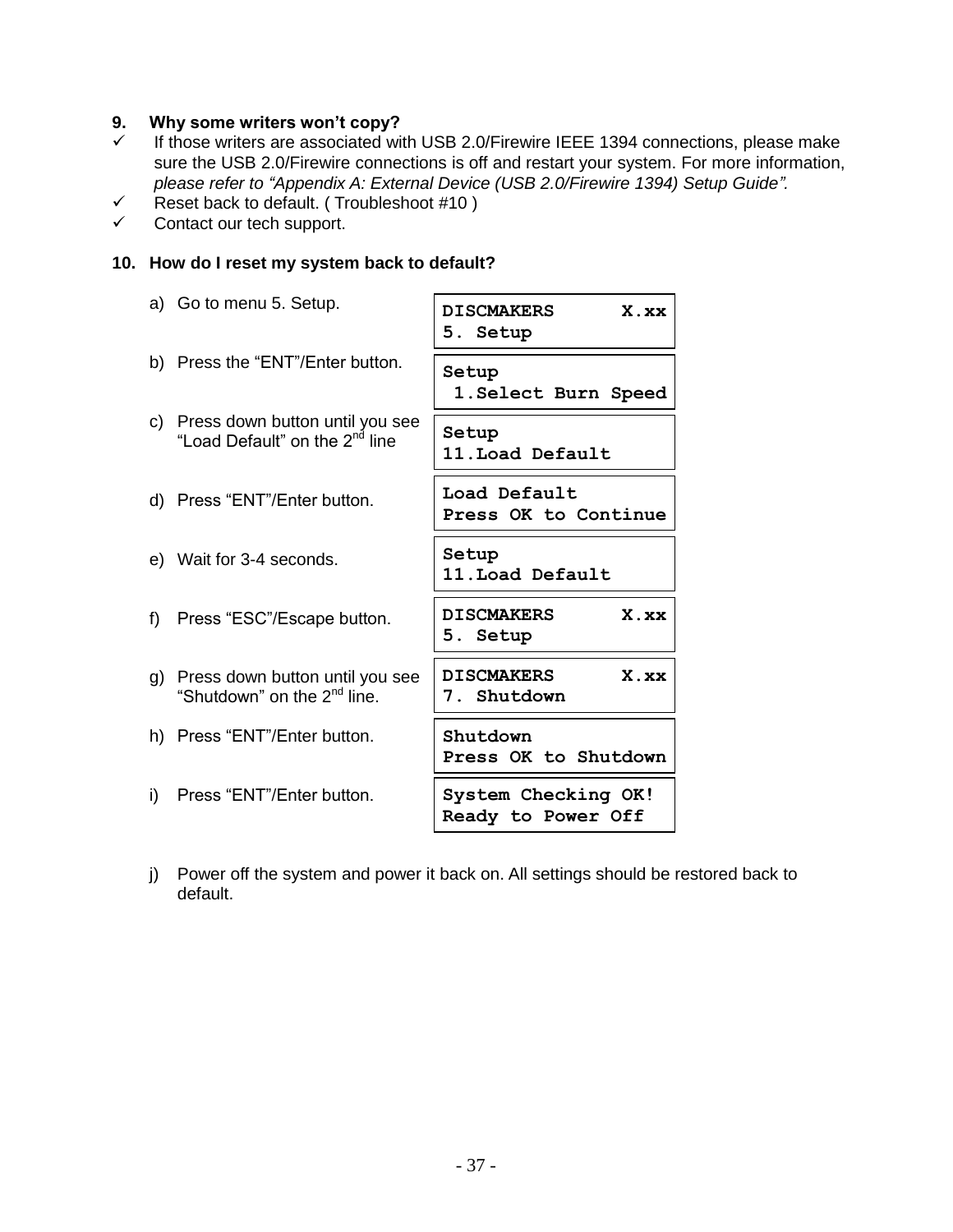#### **9. Why some writers won't copy?**

- $\checkmark$  If those writers are associated with USB 2.0/Firewire IEEE 1394 connections, please make sure the USB 2.0/Firewire connections is off and restart your system. For more information, *please refer to "Appendix A: External Device (USB 2.0/Firewire 1394) Setup Guide".*
- $\checkmark$  Reset back to default. (Troubleshoot #10)
- $\checkmark$  Contact our tech support.

#### **10. How do I reset my system back to default?**

|     | a) Go to menu 5. Setup.                                                          | X.xx<br><b>DISCMAKERS</b><br>5. Setup     |
|-----|----------------------------------------------------------------------------------|-------------------------------------------|
|     | b) Press the "ENT"/Enter button.                                                 | Setup<br>1. Select Burn Speed             |
|     | c) Press down button until you see<br>"Load Default" on the 2 <sup>nd</sup> line | Setup<br>11. Load Default                 |
|     | d) Press "ENT"/Enter button.                                                     | Load Default<br>Press OK to Continue      |
|     | e) Wait for 3-4 seconds.                                                         | Setup<br>11. Load Default                 |
|     | f) Press "ESC"/Escape button.                                                    | X.xx<br><b>DISCMAKERS</b><br>5. Setup     |
|     | g) Press down button until you see<br>"Shutdown" on the 2 <sup>nd</sup> line.    | <b>DISCMAKERS</b><br>X.xx<br>7. Shutdown  |
|     | h) Press "ENT"/Enter button.                                                     | Shutdown<br>Press OK to Shutdown          |
| i). | Press "ENT"/Enter button.                                                        | System Checking OK!<br>Ready to Power Off |

j) Power off the system and power it back on. All settings should be restored back to default.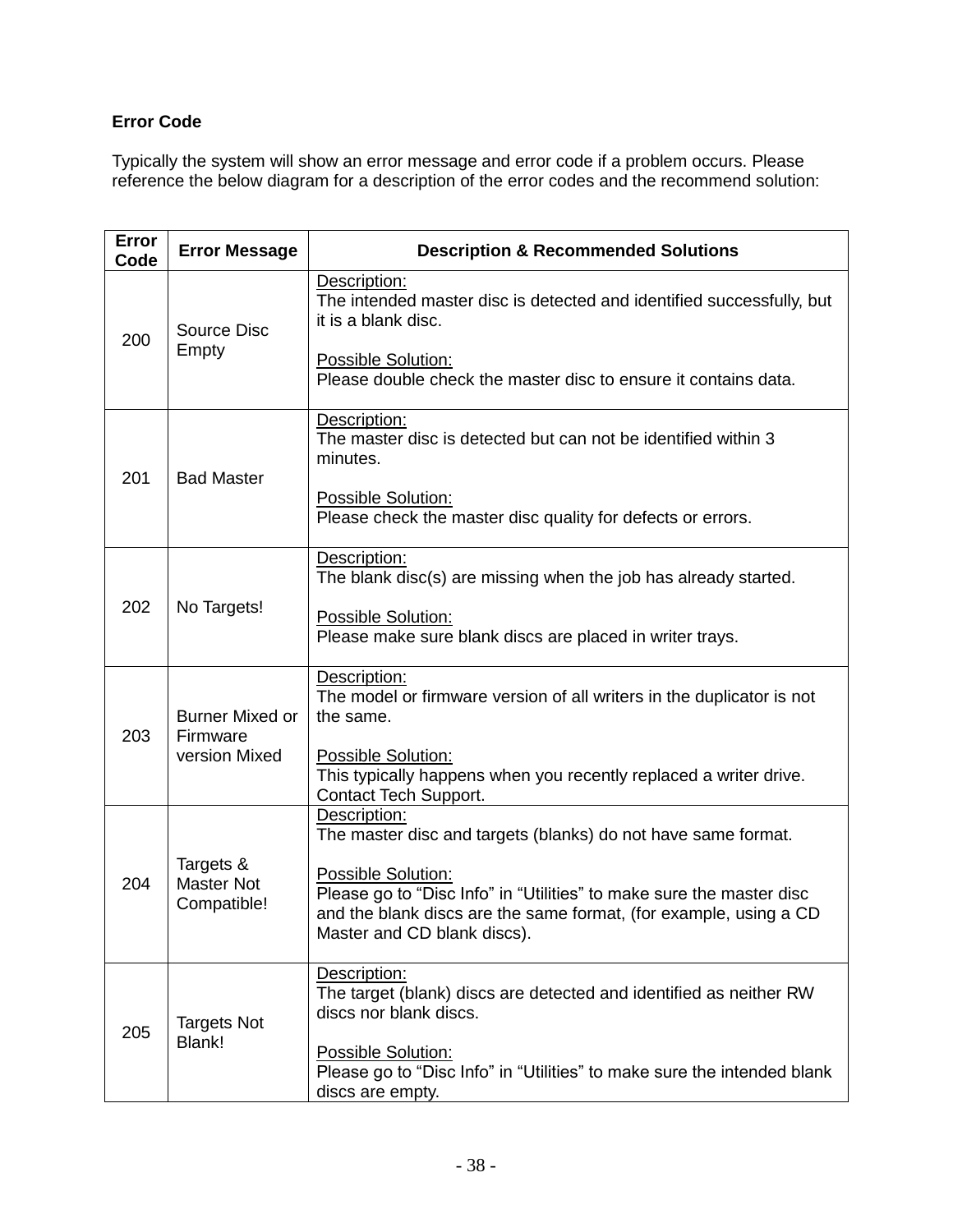# **Error Code**

Typically the system will show an error message and error code if a problem occurs. Please reference the below diagram for a description of the error codes and the recommend solution:

| Error<br>Code | <b>Error Message</b>                                | <b>Description &amp; Recommended Solutions</b>                                                                                                                                                 |
|---------------|-----------------------------------------------------|------------------------------------------------------------------------------------------------------------------------------------------------------------------------------------------------|
| 200           | <b>Source Disc</b><br>Empty                         | Description:<br>The intended master disc is detected and identified successfully, but<br>it is a blank disc.                                                                                   |
|               |                                                     | Possible Solution:<br>Please double check the master disc to ensure it contains data.                                                                                                          |
| 201           | <b>Bad Master</b>                                   | Description:<br>The master disc is detected but can not be identified within 3<br>minutes.                                                                                                     |
|               |                                                     | Possible Solution:<br>Please check the master disc quality for defects or errors.                                                                                                              |
|               |                                                     | Description:<br>The blank disc(s) are missing when the job has already started.                                                                                                                |
| 202           | No Targets!                                         | Possible Solution:<br>Please make sure blank discs are placed in writer trays.                                                                                                                 |
| 203           | <b>Burner Mixed or</b><br>Firmware<br>version Mixed | Description:<br>The model or firmware version of all writers in the duplicator is not<br>the same.                                                                                             |
|               |                                                     | Possible Solution:<br>This typically happens when you recently replaced a writer drive.<br>Contact Tech Support.                                                                               |
| 204           | Targets &<br><b>Master Not</b><br>Compatible!       | Description:<br>The master disc and targets (blanks) do not have same format.                                                                                                                  |
|               |                                                     | Possible Solution:<br>Please go to "Disc Info" in "Utilities" to make sure the master disc<br>and the blank discs are the same format, (for example, using a CD<br>Master and CD blank discs). |
| 205           | <b>Targets Not</b><br>Blank!                        | Description:<br>The target (blank) discs are detected and identified as neither RW<br>discs nor blank discs.                                                                                   |
|               |                                                     | Possible Solution:<br>Please go to "Disc Info" in "Utilities" to make sure the intended blank<br>discs are empty.                                                                              |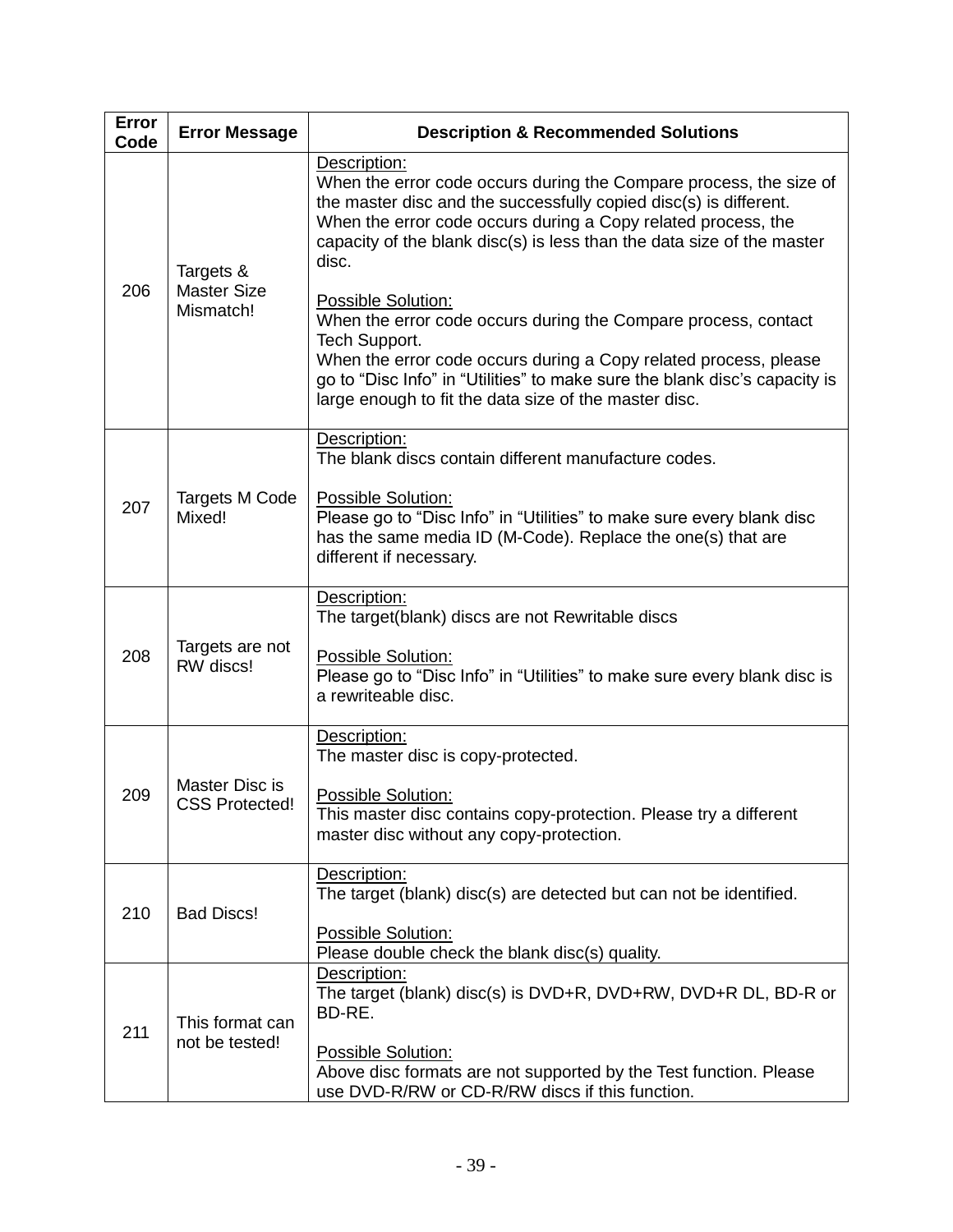| Error<br>Code | <b>Error Message</b>                         | <b>Description &amp; Recommended Solutions</b>                                                                                                                                                                                                                                                                                                                                                                                                                                                                                                                                                                                         |
|---------------|----------------------------------------------|----------------------------------------------------------------------------------------------------------------------------------------------------------------------------------------------------------------------------------------------------------------------------------------------------------------------------------------------------------------------------------------------------------------------------------------------------------------------------------------------------------------------------------------------------------------------------------------------------------------------------------------|
| 206           | Targets &<br><b>Master Size</b><br>Mismatch! | Description:<br>When the error code occurs during the Compare process, the size of<br>the master disc and the successfully copied disc(s) is different.<br>When the error code occurs during a Copy related process, the<br>capacity of the blank disc(s) is less than the data size of the master<br>disc.<br><b>Possible Solution:</b><br>When the error code occurs during the Compare process, contact<br>Tech Support.<br>When the error code occurs during a Copy related process, please<br>go to "Disc Info" in "Utilities" to make sure the blank disc's capacity is<br>large enough to fit the data size of the master disc. |
| 207           | <b>Targets M Code</b><br>Mixed!              | Description:<br>The blank discs contain different manufacture codes.<br>Possible Solution:<br>Please go to "Disc Info" in "Utilities" to make sure every blank disc<br>has the same media ID (M-Code). Replace the one(s) that are<br>different if necessary.                                                                                                                                                                                                                                                                                                                                                                          |
| 208           | Targets are not<br>RW discs!                 | Description:<br>The target(blank) discs are not Rewritable discs<br>Possible Solution:<br>Please go to "Disc Info" in "Utilities" to make sure every blank disc is<br>a rewriteable disc.                                                                                                                                                                                                                                                                                                                                                                                                                                              |
| 209           | Master Disc is<br><b>CSS Protected!</b>      | Description:<br>The master disc is copy-protected.<br>Possible Solution:<br>This master disc contains copy-protection. Please try a different<br>master disc without any copy-protection.                                                                                                                                                                                                                                                                                                                                                                                                                                              |
| 210           | <b>Bad Discs!</b>                            | Description:<br>The target (blank) disc(s) are detected but can not be identified.<br>Possible Solution:<br>Please double check the blank disc(s) quality.                                                                                                                                                                                                                                                                                                                                                                                                                                                                             |
| 211           | This format can<br>not be tested!            | Description:<br>The target (blank) disc(s) is DVD+R, DVD+RW, DVD+R DL, BD-R or<br>BD-RE.<br>Possible Solution:<br>Above disc formats are not supported by the Test function. Please<br>use DVD-R/RW or CD-R/RW discs if this function.                                                                                                                                                                                                                                                                                                                                                                                                 |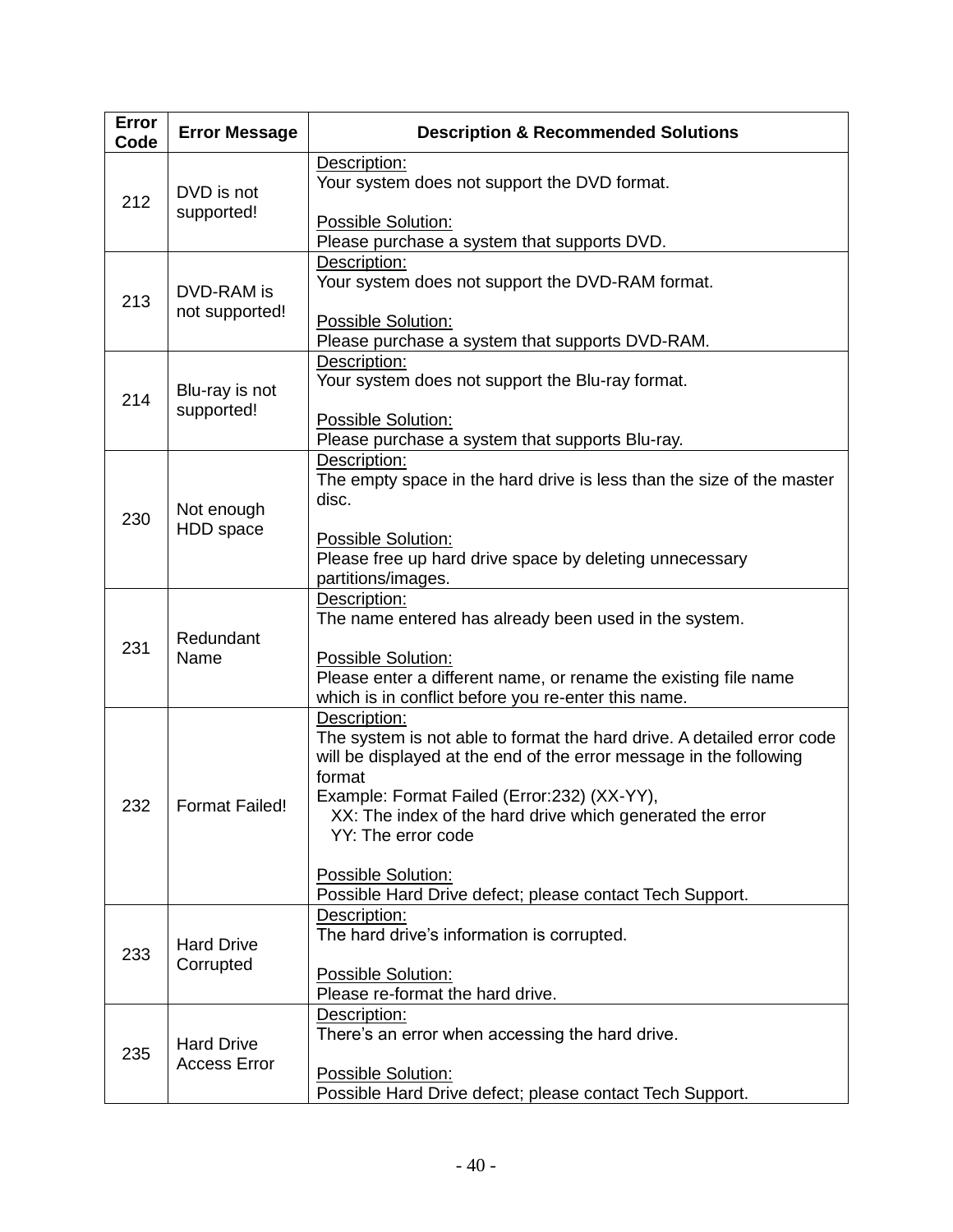| Error<br>Code | <b>Error Message</b>                     | <b>Description &amp; Recommended Solutions</b>                                                                                                                                                                                                                                                                                                                                             |
|---------------|------------------------------------------|--------------------------------------------------------------------------------------------------------------------------------------------------------------------------------------------------------------------------------------------------------------------------------------------------------------------------------------------------------------------------------------------|
| 212           | DVD is not<br>supported!                 | Description:<br>Your system does not support the DVD format.<br>Possible Solution:<br>Please purchase a system that supports DVD.                                                                                                                                                                                                                                                          |
| 213           | DVD-RAM is<br>not supported!             | Description:<br>Your system does not support the DVD-RAM format.<br>Possible Solution:<br>Please purchase a system that supports DVD-RAM.                                                                                                                                                                                                                                                  |
| 214           | Blu-ray is not<br>supported!             | Description:<br>Your system does not support the Blu-ray format.<br>Possible Solution:<br>Please purchase a system that supports Blu-ray.                                                                                                                                                                                                                                                  |
| 230           | Not enough<br>HDD space                  | Description:<br>The empty space in the hard drive is less than the size of the master<br>disc.<br>Possible Solution:<br>Please free up hard drive space by deleting unnecessary<br>partitions/images.                                                                                                                                                                                      |
| 231           | Redundant<br>Name                        | Description:<br>The name entered has already been used in the system.<br>Possible Solution:<br>Please enter a different name, or rename the existing file name<br>which is in conflict before you re-enter this name.                                                                                                                                                                      |
| 232           | <b>Format Failed!</b>                    | Description:<br>The system is not able to format the hard drive. A detailed error code<br>will be displayed at the end of the error message in the following<br>format<br>Example: Format Failed (Error:232) (XX-YY),<br>XX: The index of the hard drive which generated the error<br>YY: The error code<br>Possible Solution:<br>Possible Hard Drive defect; please contact Tech Support. |
| 233           | <b>Hard Drive</b><br>Corrupted           | Description:<br>The hard drive's information is corrupted.<br>Possible Solution:<br>Please re-format the hard drive.                                                                                                                                                                                                                                                                       |
| 235           | <b>Hard Drive</b><br><b>Access Error</b> | Description:<br>There's an error when accessing the hard drive.<br>Possible Solution:<br>Possible Hard Drive defect; please contact Tech Support.                                                                                                                                                                                                                                          |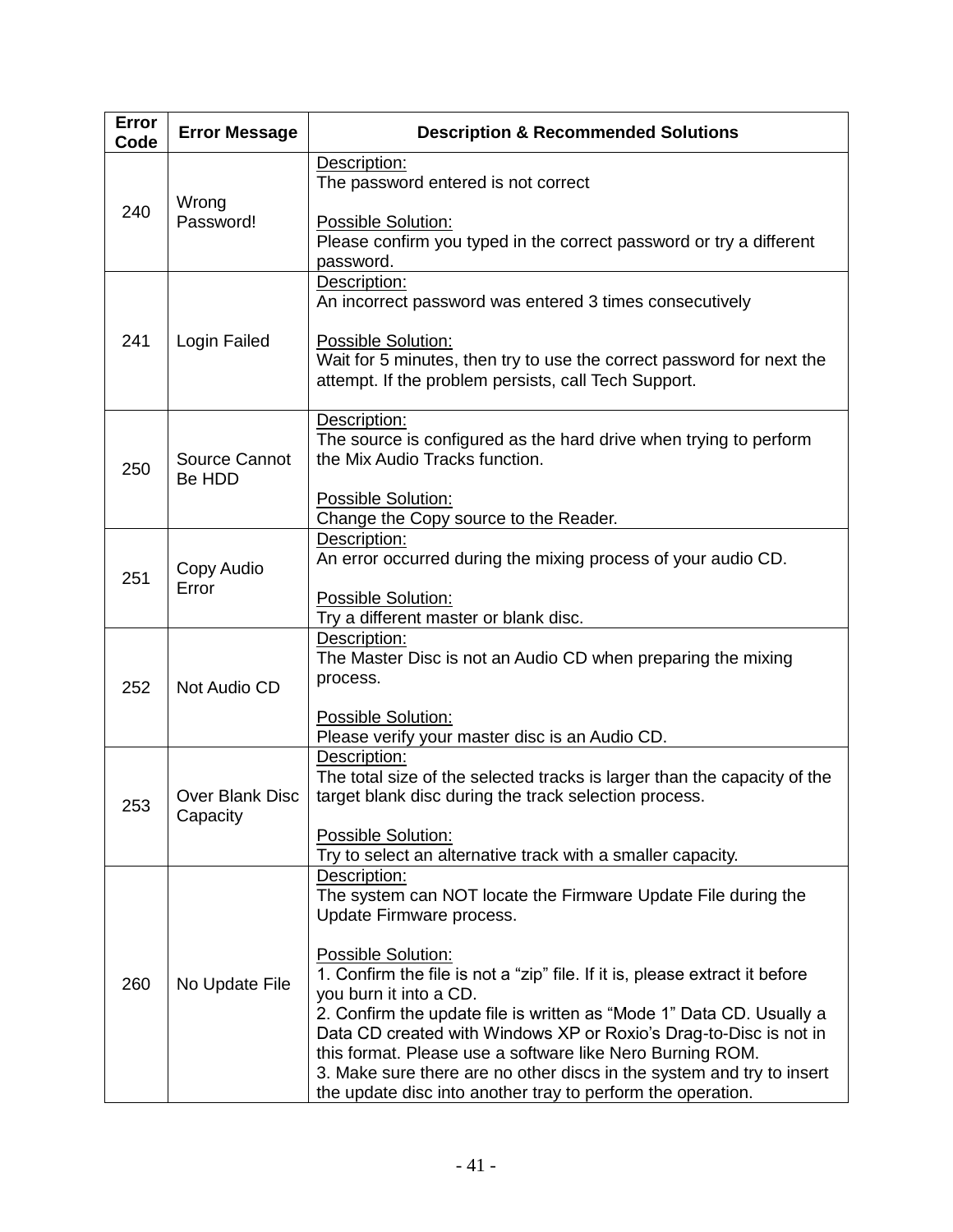| <b>Error</b><br>Code | <b>Error Message</b>        | <b>Description &amp; Recommended Solutions</b>                                                                                                                                                                                                                                                                                                                                                                                                                                |
|----------------------|-----------------------------|-------------------------------------------------------------------------------------------------------------------------------------------------------------------------------------------------------------------------------------------------------------------------------------------------------------------------------------------------------------------------------------------------------------------------------------------------------------------------------|
| 240                  | Wrong<br>Password!          | Description:<br>The password entered is not correct                                                                                                                                                                                                                                                                                                                                                                                                                           |
|                      |                             | Possible Solution:<br>Please confirm you typed in the correct password or try a different<br>password.                                                                                                                                                                                                                                                                                                                                                                        |
|                      |                             | Description:<br>An incorrect password was entered 3 times consecutively                                                                                                                                                                                                                                                                                                                                                                                                       |
| 241                  | Login Failed                | Possible Solution:<br>Wait for 5 minutes, then try to use the correct password for next the<br>attempt. If the problem persists, call Tech Support.                                                                                                                                                                                                                                                                                                                           |
| 250                  | Source Cannot<br>Be HDD     | Description:<br>The source is configured as the hard drive when trying to perform<br>the Mix Audio Tracks function.                                                                                                                                                                                                                                                                                                                                                           |
|                      |                             | Possible Solution:<br>Change the Copy source to the Reader.                                                                                                                                                                                                                                                                                                                                                                                                                   |
| 251                  | Copy Audio                  | Description:<br>An error occurred during the mixing process of your audio CD.                                                                                                                                                                                                                                                                                                                                                                                                 |
|                      | Error                       | Possible Solution:<br>Try a different master or blank disc.                                                                                                                                                                                                                                                                                                                                                                                                                   |
| 252                  | Not Audio CD                | Description:<br>The Master Disc is not an Audio CD when preparing the mixing<br>process.                                                                                                                                                                                                                                                                                                                                                                                      |
|                      |                             | Possible Solution:<br>Please verify your master disc is an Audio CD.                                                                                                                                                                                                                                                                                                                                                                                                          |
| 253                  | Over Blank Disc<br>Capacity | Description:<br>The total size of the selected tracks is larger than the capacity of the<br>target blank disc during the track selection process.                                                                                                                                                                                                                                                                                                                             |
|                      |                             | Possible Solution:<br>Try to select an alternative track with a smaller capacity.                                                                                                                                                                                                                                                                                                                                                                                             |
| 260                  | No Update File              | Description:<br>The system can NOT locate the Firmware Update File during the<br>Update Firmware process.                                                                                                                                                                                                                                                                                                                                                                     |
|                      |                             | Possible Solution:<br>1. Confirm the file is not a "zip" file. If it is, please extract it before<br>you burn it into a CD.<br>2. Confirm the update file is written as "Mode 1" Data CD. Usually a<br>Data CD created with Windows XP or Roxio's Drag-to-Disc is not in<br>this format. Please use a software like Nero Burning ROM.<br>3. Make sure there are no other discs in the system and try to insert<br>the update disc into another tray to perform the operation. |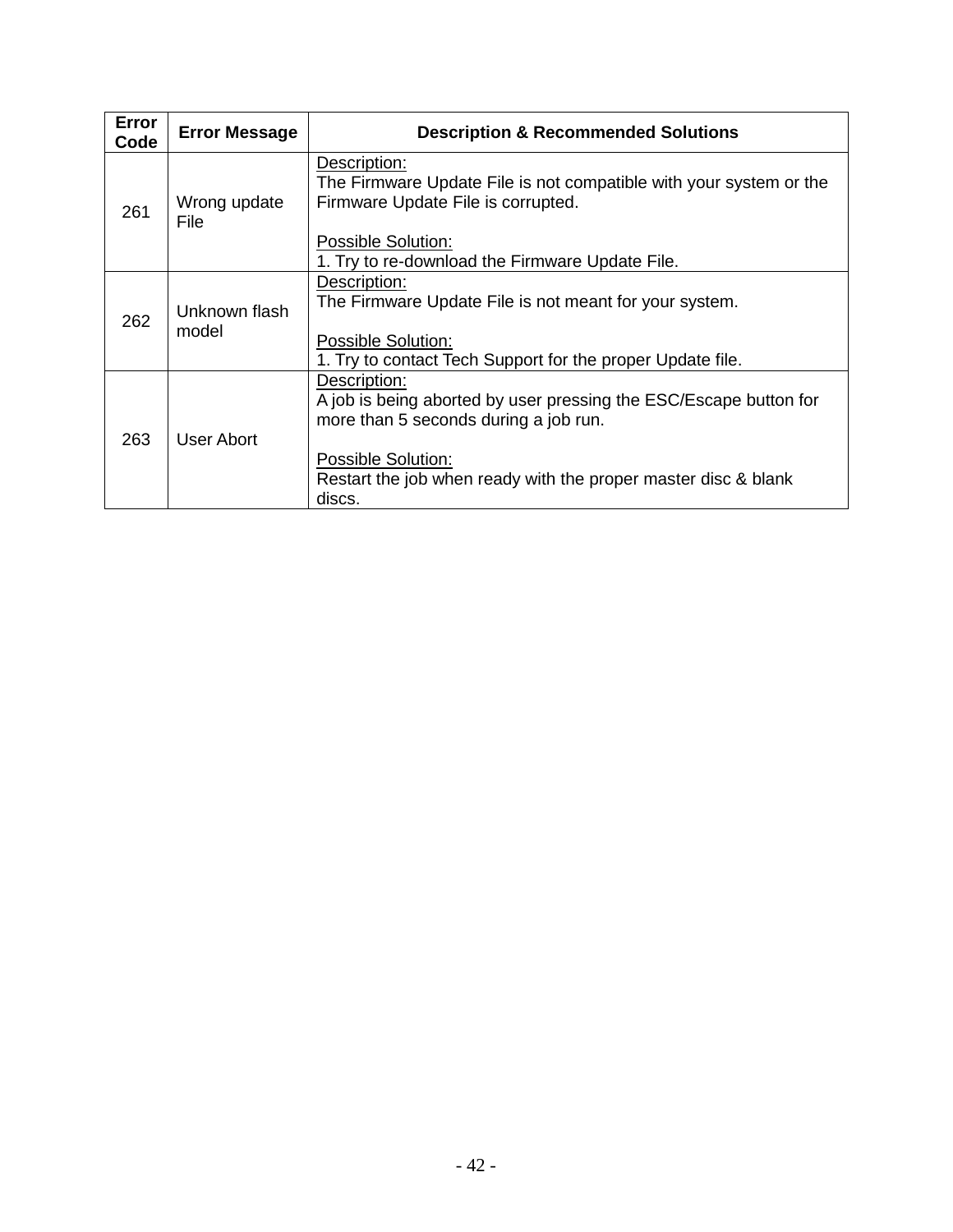| <b>Error</b><br>Code | <b>Error Message</b>   | <b>Description &amp; Recommended Solutions</b>                                                                                                                                                                               |
|----------------------|------------------------|------------------------------------------------------------------------------------------------------------------------------------------------------------------------------------------------------------------------------|
| 261                  | Wrong update<br>File   | Description:<br>The Firmware Update File is not compatible with your system or the<br>Firmware Update File is corrupted.<br>Possible Solution:                                                                               |
|                      |                        | 1. Try to re-download the Firmware Update File.                                                                                                                                                                              |
| 262                  | Unknown flash<br>model | Description:<br>The Firmware Update File is not meant for your system.<br>Possible Solution:<br>1. Try to contact Tech Support for the proper Update file.                                                                   |
| 263                  | User Abort             | Description:<br>A job is being aborted by user pressing the ESC/Escape button for<br>more than 5 seconds during a job run.<br>Possible Solution:<br>Restart the job when ready with the proper master disc & blank<br>discs. |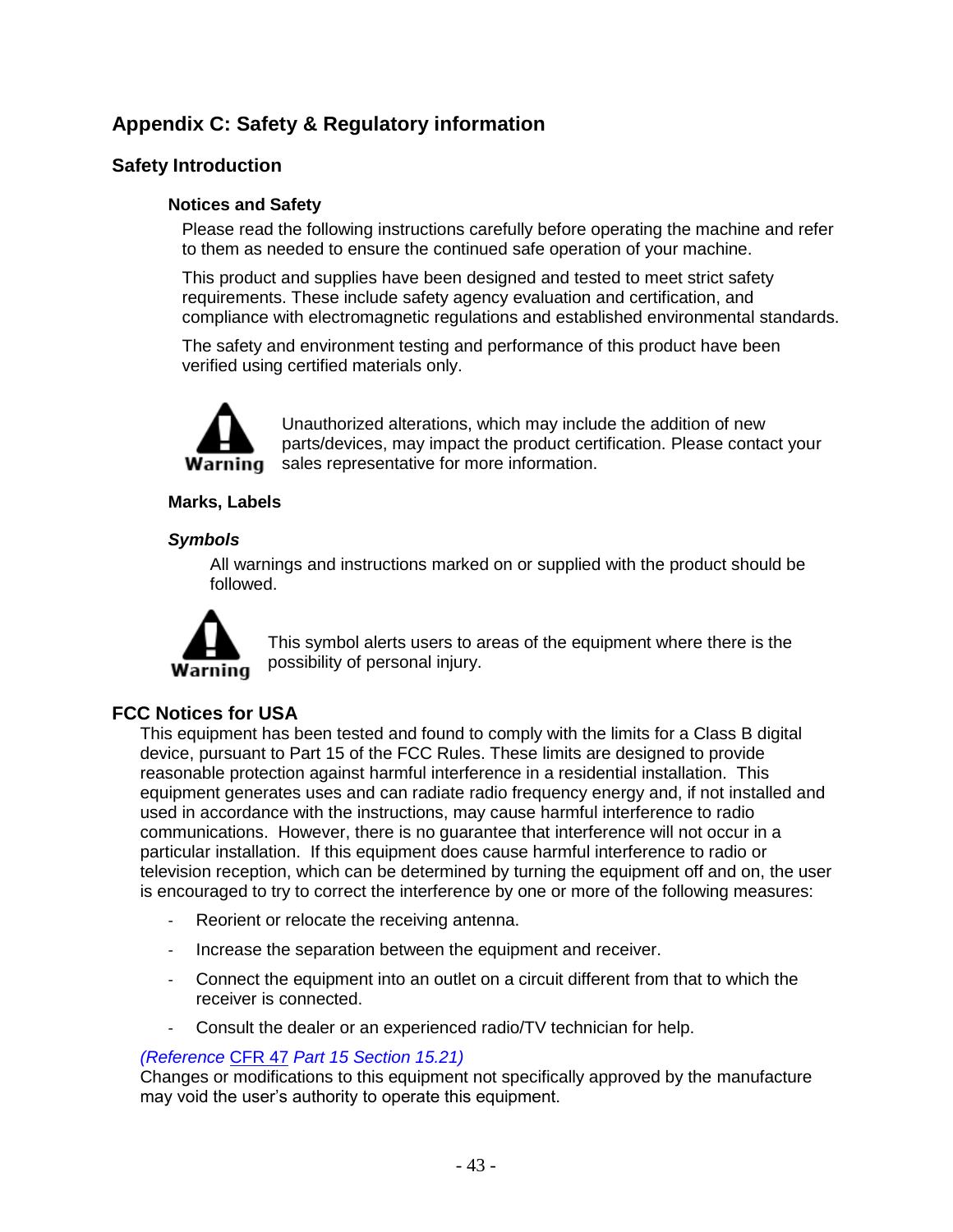# **Appendix C: Safety & Regulatory information**

# **Safety Introduction**

#### **Notices and Safety**

Please read the following instructions carefully before operating the machine and refer to them as needed to ensure the continued safe operation of your machine.

This product and supplies have been designed and tested to meet strict safety requirements. These include safety agency evaluation and certification, and compliance with electromagnetic regulations and established environmental standards.

The safety and environment testing and performance of this product have been verified using certified materials only.



Unauthorized alterations, which may include the addition of new parts/devices, may impact the product certification. Please contact your **Warning** sales representative for more information.

#### **Marks, Labels**

#### *Symbols*

All warnings and instructions marked on or supplied with the product should be followed.



This symbol alerts users to areas of the equipment where there is the possibility of personal injury.

#### **FCC Notices for USA**

This equipment has been tested and found to comply with the limits for a Class B digital device, pursuant to Part 15 of the FCC Rules. These limits are designed to provide reasonable protection against harmful interference in a residential installation. This equipment generates uses and can radiate radio frequency energy and, if not installed and used in accordance with the instructions, may cause harmful interference to radio communications. However, there is no guarantee that interference will not occur in a particular installation. If this equipment does cause harmful interference to radio or television reception, which can be determined by turning the equipment off and on, the user is encouraged to try to correct the interference by one or more of the following measures:

- Reorient or relocate the receiving antenna.
- Increase the separation between the equipment and receiver.
- Connect the equipment into an outlet on a circuit different from that to which the receiver is connected.
- Consult the dealer or an experienced radio/TV technician for help.

#### *(Reference* [CFR 47](http://www.access.gpo.gov/cgi-bin/cfrassemble.cgi?title=199847) *Part 15 Section 15.21)*

Changes or modifications to this equipment not specifically approved by the manufacture may void the user's authority to operate this equipment.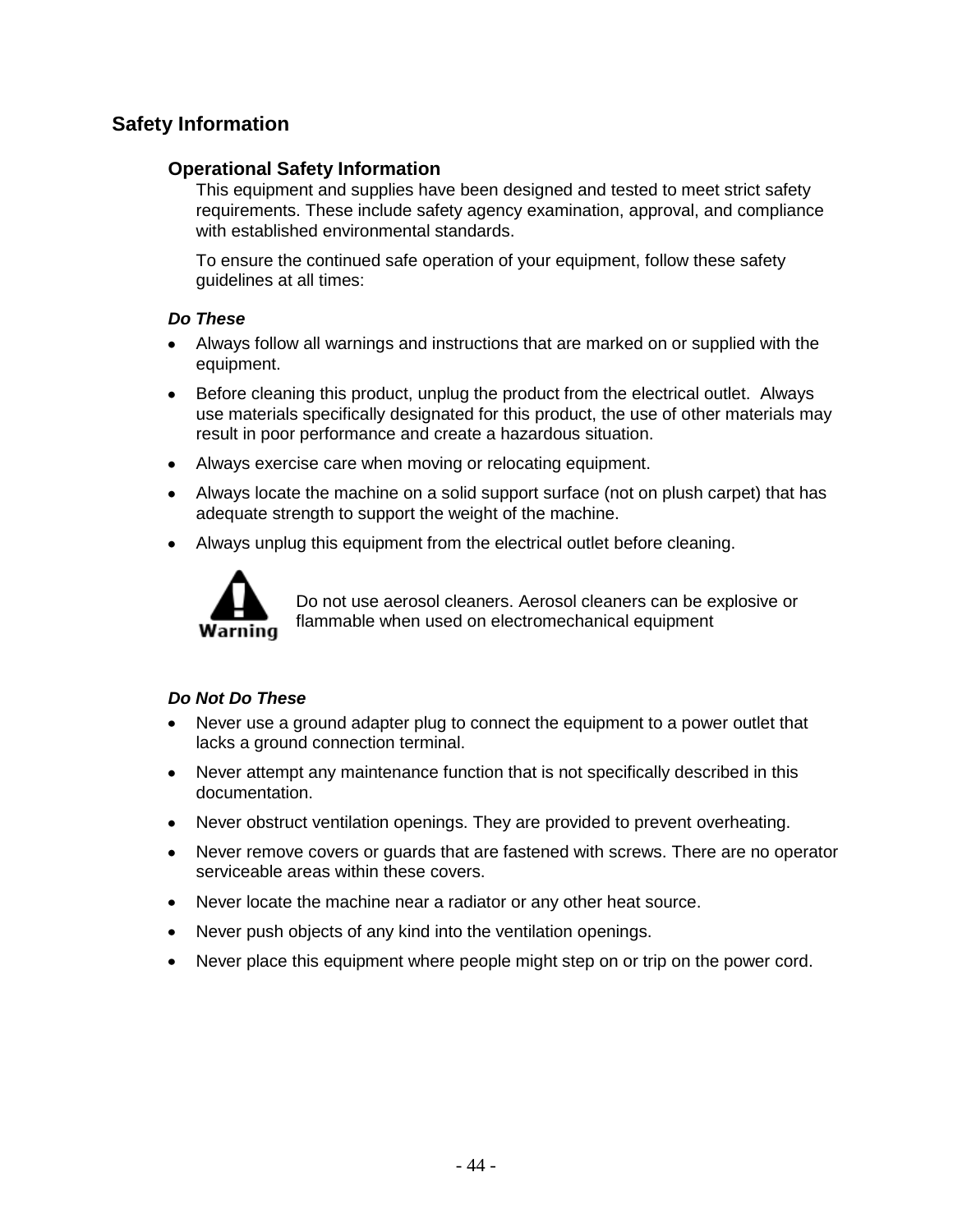# **Safety Information**

#### **Operational Safety Information**

This equipment and supplies have been designed and tested to meet strict safety requirements. These include safety agency examination, approval, and compliance with established environmental standards.

To ensure the continued safe operation of your equipment, follow these safety guidelines at all times:

#### *Do These*

- Always follow all warnings and instructions that are marked on or supplied with the equipment.
- Before cleaning this product, unplug the product from the electrical outlet. Always use materials specifically designated for this product, the use of other materials may result in poor performance and create a hazardous situation.
- Always exercise care when moving or relocating equipment.
- Always locate the machine on a solid support surface (not on plush carpet) that has adequate strength to support the weight of the machine.
- $\bullet$ Always unplug this equipment from the electrical outlet before cleaning.



Do not use aerosol cleaners. Aerosol cleaners can be explosive or flammable when used on electromechanical equipment

#### *Do Not Do These*

- $\bullet$ Never use a ground adapter plug to connect the equipment to a power outlet that lacks a ground connection terminal.
- Never attempt any maintenance function that is not specifically described in this  $\bullet$ documentation.
- Never obstruct ventilation openings. They are provided to prevent overheating.  $\bullet$
- Never remove covers or guards that are fastened with screws. There are no operator  $\bullet$ serviceable areas within these covers.
- Never locate the machine near a radiator or any other heat source.  $\bullet$
- $\bullet$ Never push objects of any kind into the ventilation openings.
- Never place this equipment where people might step on or trip on the power cord.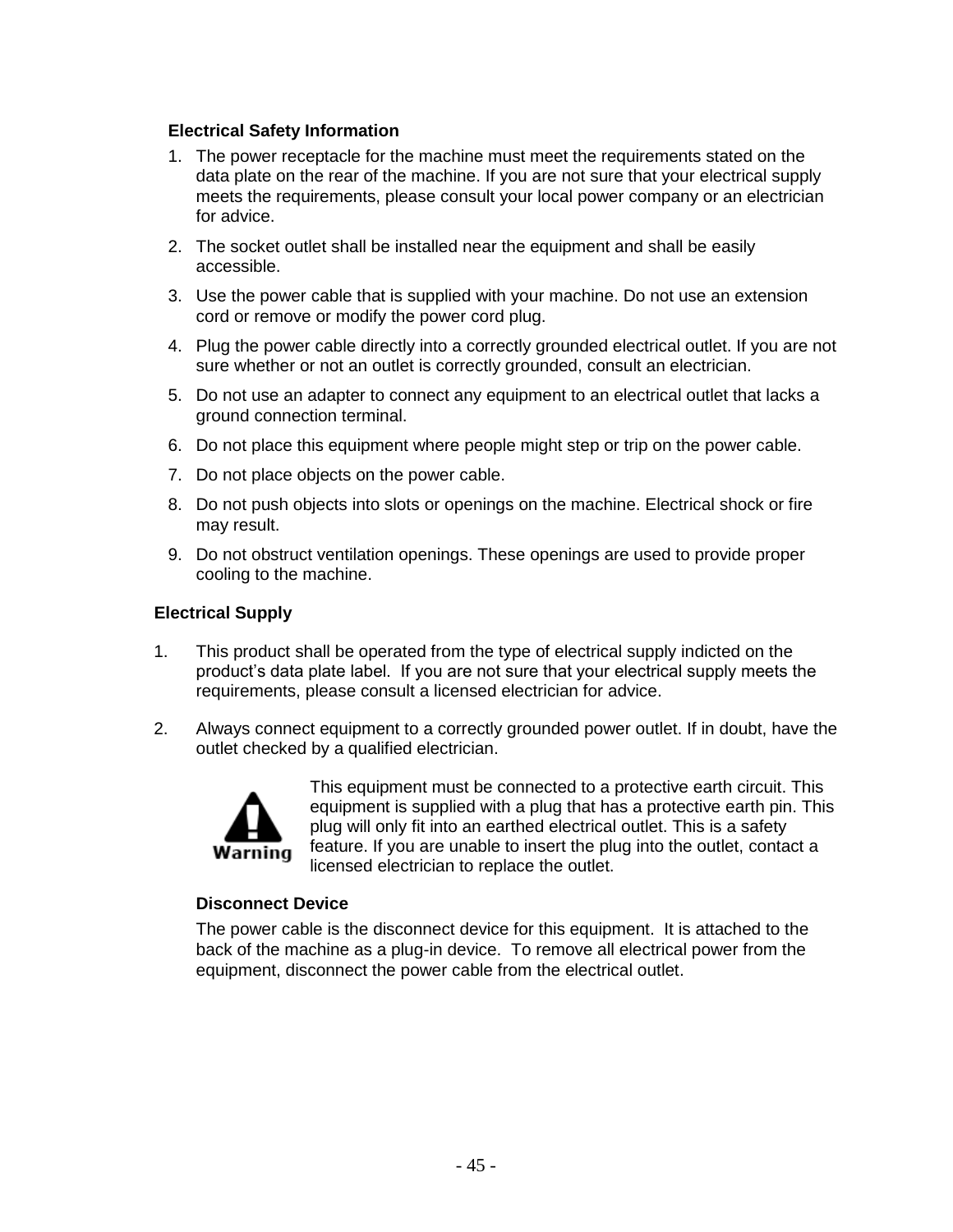#### **Electrical Safety Information**

- 1. The power receptacle for the machine must meet the requirements stated on the data plate on the rear of the machine. If you are not sure that your electrical supply meets the requirements, please consult your local power company or an electrician for advice.
- 2. The socket outlet shall be installed near the equipment and shall be easily accessible.
- 3. Use the power cable that is supplied with your machine. Do not use an extension cord or remove or modify the power cord plug.
- 4. Plug the power cable directly into a correctly grounded electrical outlet. If you are not sure whether or not an outlet is correctly grounded, consult an electrician.
- 5. Do not use an adapter to connect any equipment to an electrical outlet that lacks a ground connection terminal.
- 6. Do not place this equipment where people might step or trip on the power cable.
- 7. Do not place objects on the power cable.
- 8. Do not push objects into slots or openings on the machine. Electrical shock or fire may result.
- 9. Do not obstruct ventilation openings. These openings are used to provide proper cooling to the machine.

#### **Electrical Supply**

- 1. This product shall be operated from the type of electrical supply indicted on the product's data plate label. If you are not sure that your electrical supply meets the requirements, please consult a licensed electrician for advice.
- 2. Always connect equipment to a correctly grounded power outlet. If in doubt, have the outlet checked by a qualified electrician.



This equipment must be connected to a protective earth circuit. This equipment is supplied with a plug that has a protective earth pin. This plug will only fit into an earthed electrical outlet. This is a safety feature. If you are unable to insert the plug into the outlet, contact a licensed electrician to replace the outlet.

#### **Disconnect Device**

The power cable is the disconnect device for this equipment. It is attached to the back of the machine as a plug-in device. To remove all electrical power from the equipment, disconnect the power cable from the electrical outlet.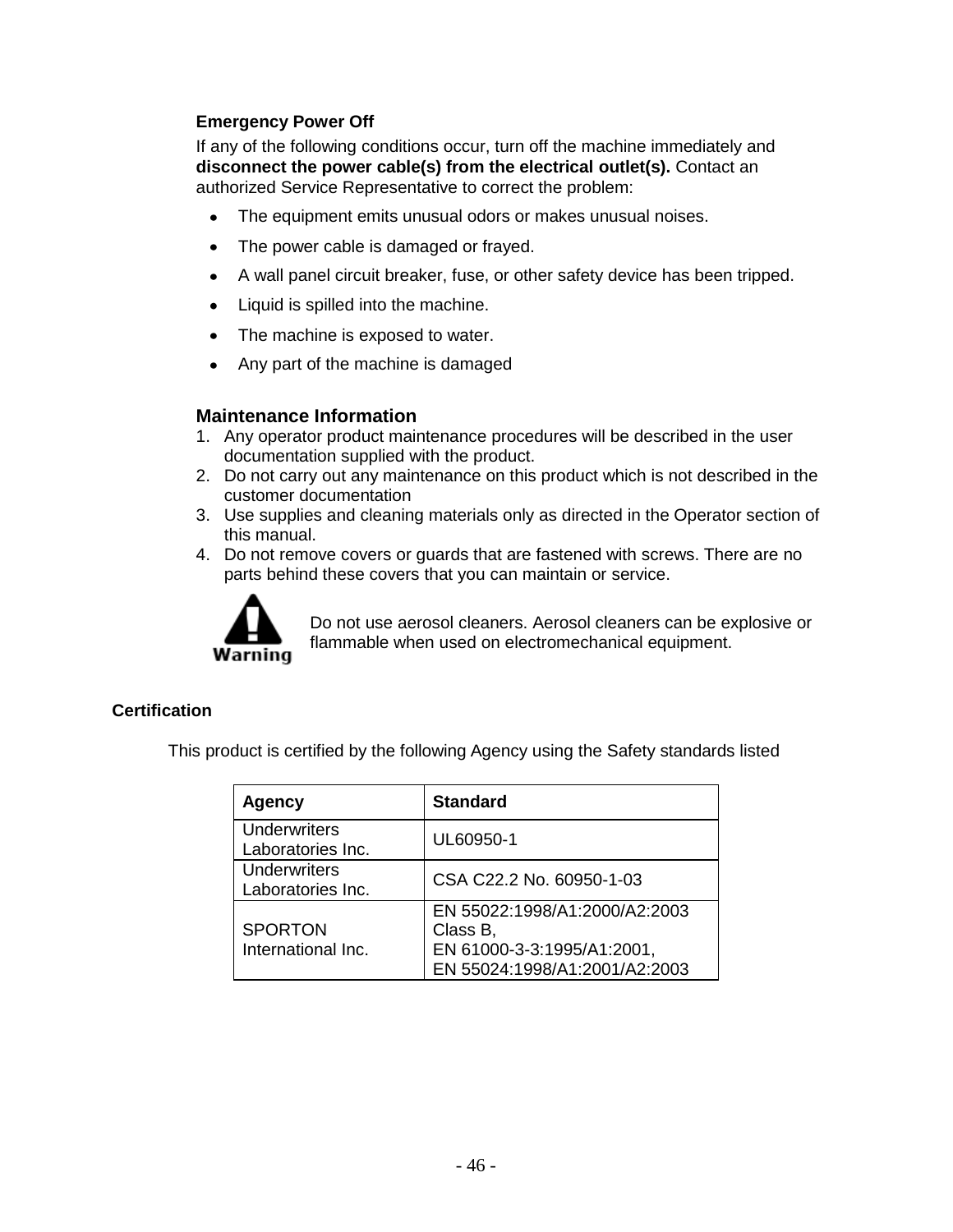#### **Emergency Power Off**

If any of the following conditions occur, turn off the machine immediately and **disconnect the power cable(s) from the electrical outlet(s).** Contact an authorized Service Representative to correct the problem:

- The equipment emits unusual odors or makes unusual noises.
- The power cable is damaged or frayed.  $\bullet$
- A wall panel circuit breaker, fuse, or other safety device has been tripped.
- Liquid is spilled into the machine.  $\bullet$
- The machine is exposed to water.  $\bullet$
- Any part of the machine is damaged

#### **Maintenance Information**

- 1. Any operator product maintenance procedures will be described in the user documentation supplied with the product.
- 2. Do not carry out any maintenance on this product which is not described in the customer documentation
- 3. Use supplies and cleaning materials only as directed in the Operator section of this manual.
- 4. Do not remove covers or guards that are fastened with screws. There are no parts behind these covers that you can maintain or service.



Do not use aerosol cleaners. Aerosol cleaners can be explosive or flammable when used on electromechanical equipment.

#### **Certification**

This product is certified by the following Agency using the Safety standards listed

| Agency                                   | <b>Standard</b>                                                                                          |
|------------------------------------------|----------------------------------------------------------------------------------------------------------|
| Underwriters<br>Laboratories Inc.        | UL60950-1                                                                                                |
| <b>Underwriters</b><br>Laboratories Inc. | CSA C22.2 No. 60950-1-03                                                                                 |
| <b>SPORTON</b><br>International Inc.     | EN 55022:1998/A1:2000/A2:2003<br>Class B,<br>EN 61000-3-3:1995/A1:2001,<br>EN 55024:1998/A1:2001/A2:2003 |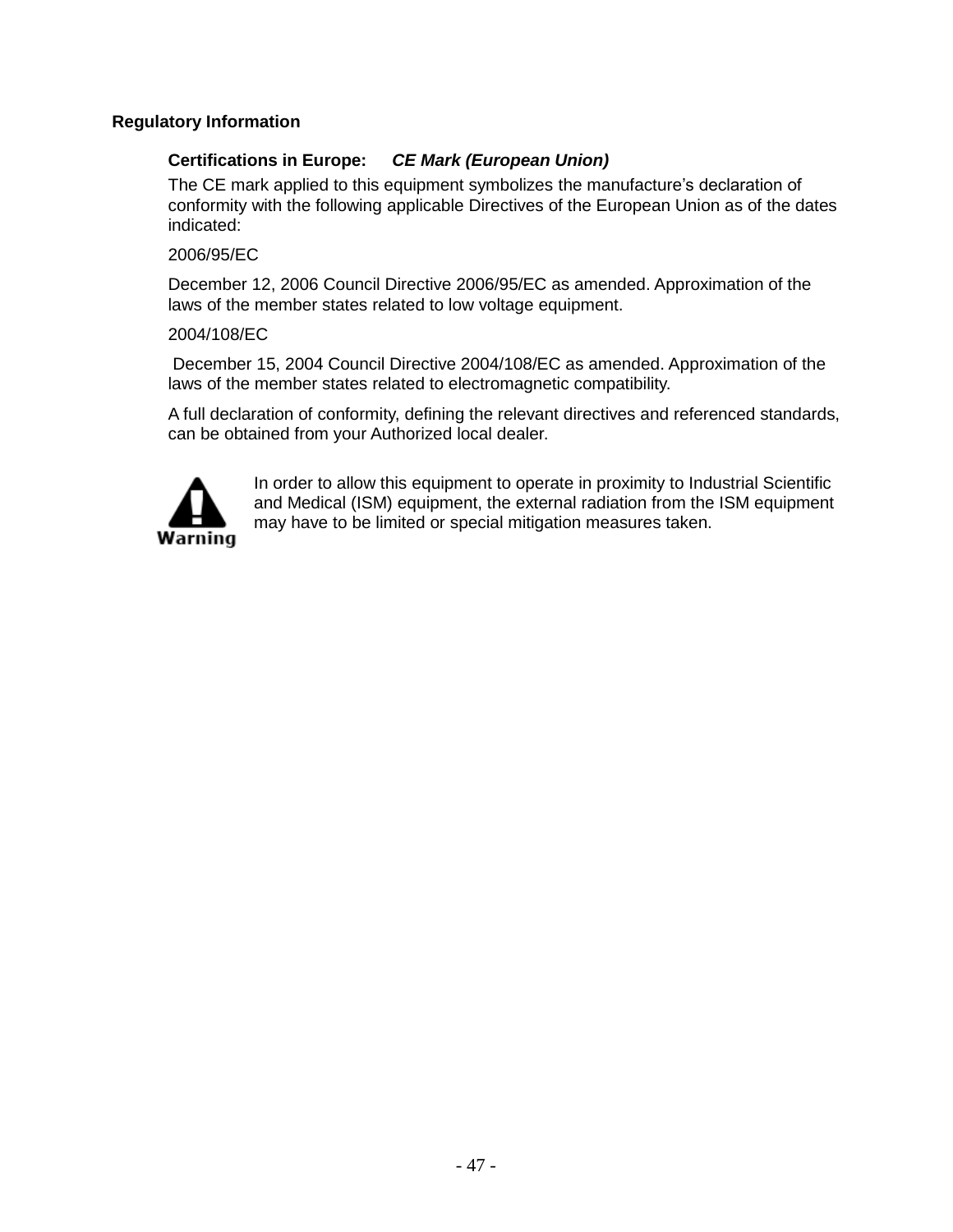#### **Regulatory Information**

#### **Certifications in Europe:** *CE Mark (European Union)*

The CE mark applied to this equipment symbolizes the manufacture's declaration of conformity with the following applicable Directives of the European Union as of the dates indicated:

#### 2006/95/EC

December 12, 2006 Council Directive 2006/95/EC as amended. Approximation of the laws of the member states related to low voltage equipment.

#### 2004/108/EC

December 15, 2004 Council Directive 2004/108/EC as amended. Approximation of the laws of the member states related to electromagnetic compatibility.

A full declaration of conformity, defining the relevant directives and referenced standards, can be obtained from your Authorized local dealer.



In order to allow this equipment to operate in proximity to Industrial Scientific and Medical (ISM) equipment, the external radiation from the ISM equipment may have to be limited or special mitigation measures taken.